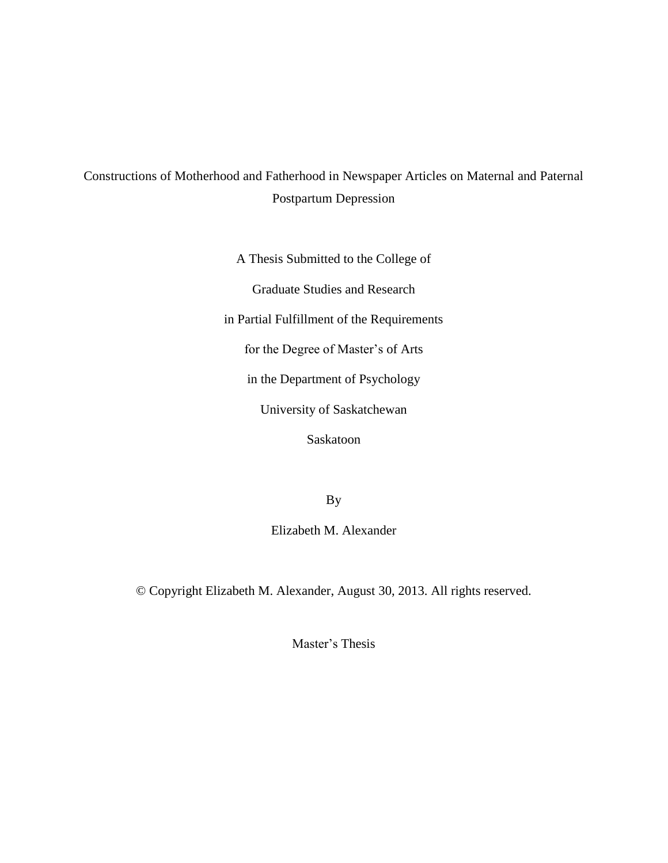# Constructions of Motherhood and Fatherhood in Newspaper Articles on Maternal and Paternal Postpartum Depression

A Thesis Submitted to the College of

Graduate Studies and Research

in Partial Fulfillment of the Requirements

for the Degree of Master's of Arts

in the Department of Psychology

University of Saskatchewan

Saskatoon

By

Elizabeth M. Alexander

© Copyright Elizabeth M. Alexander, August 30, 2013. All rights reserved.

Master's Thesis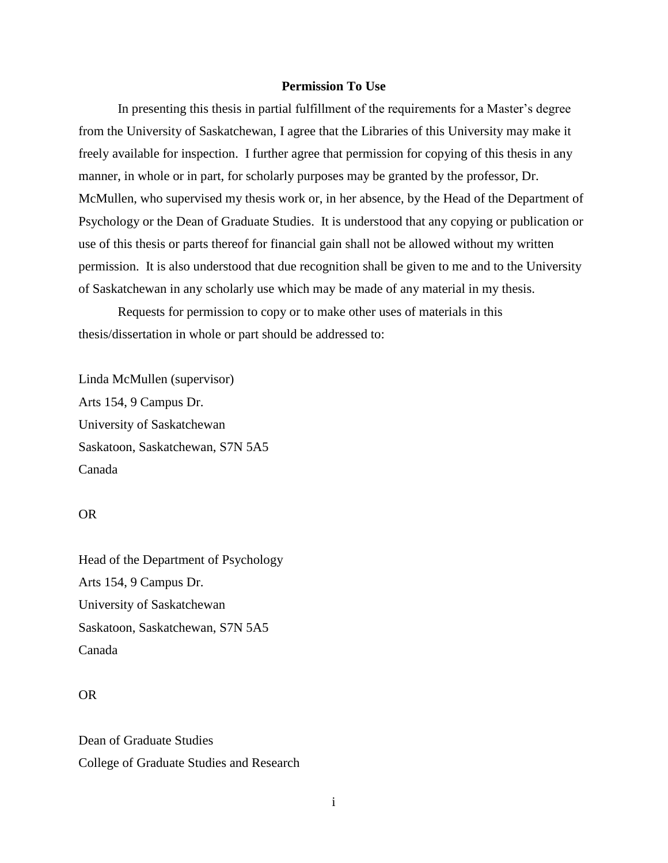### **Permission To Use**

In presenting this thesis in partial fulfillment of the requirements for a Master's degree from the University of Saskatchewan, I agree that the Libraries of this University may make it freely available for inspection. I further agree that permission for copying of this thesis in any manner, in whole or in part, for scholarly purposes may be granted by the professor, Dr. McMullen, who supervised my thesis work or, in her absence, by the Head of the Department of Psychology or the Dean of Graduate Studies. It is understood that any copying or publication or use of this thesis or parts thereof for financial gain shall not be allowed without my written permission. It is also understood that due recognition shall be given to me and to the University of Saskatchewan in any scholarly use which may be made of any material in my thesis.

Requests for permission to copy or to make other uses of materials in this thesis/dissertation in whole or part should be addressed to:

Linda McMullen (supervisor) Arts 154, 9 Campus Dr. University of Saskatchewan Saskatoon, Saskatchewan, S7N 5A5 Canada

### OR

Head of the Department of Psychology Arts 154, 9 Campus Dr. University of Saskatchewan Saskatoon, Saskatchewan, S7N 5A5 Canada

## OR

Dean of Graduate Studies College of Graduate Studies and Research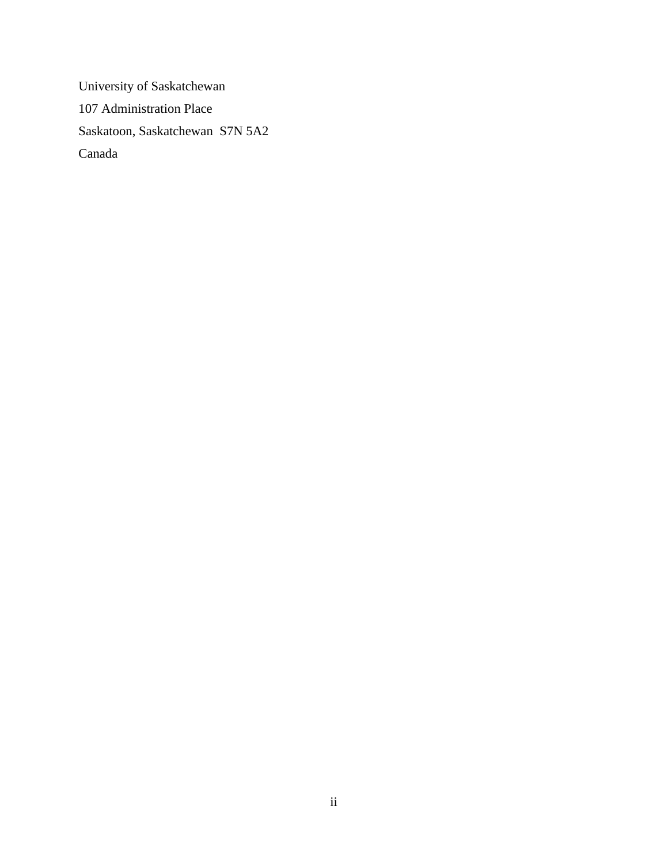University of Saskatchewan 107 Administration Place Saskatoon, Saskatchewan S7N 5A2 Canada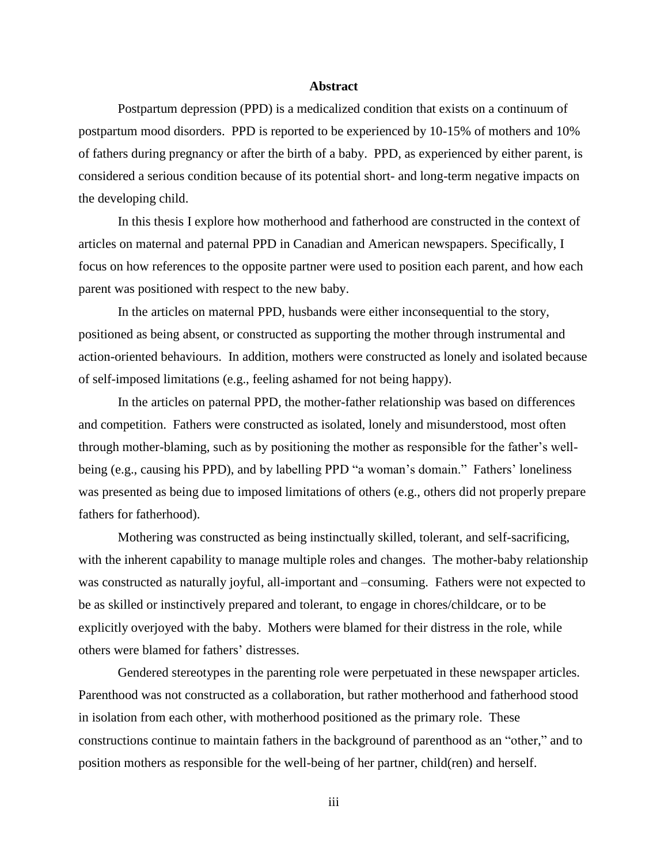### **Abstract**

Postpartum depression (PPD) is a medicalized condition that exists on a continuum of postpartum mood disorders. PPD is reported to be experienced by 10-15% of mothers and 10% of fathers during pregnancy or after the birth of a baby. PPD, as experienced by either parent, is considered a serious condition because of its potential short- and long-term negative impacts on the developing child.

In this thesis I explore how motherhood and fatherhood are constructed in the context of articles on maternal and paternal PPD in Canadian and American newspapers. Specifically, I focus on how references to the opposite partner were used to position each parent, and how each parent was positioned with respect to the new baby.

In the articles on maternal PPD, husbands were either inconsequential to the story, positioned as being absent, or constructed as supporting the mother through instrumental and action-oriented behaviours. In addition, mothers were constructed as lonely and isolated because of self-imposed limitations (e.g., feeling ashamed for not being happy).

In the articles on paternal PPD, the mother-father relationship was based on differences and competition. Fathers were constructed as isolated, lonely and misunderstood, most often through mother-blaming, such as by positioning the mother as responsible for the father's wellbeing (e.g., causing his PPD), and by labelling PPD "a woman's domain." Fathers' loneliness was presented as being due to imposed limitations of others (e.g., others did not properly prepare fathers for fatherhood).

Mothering was constructed as being instinctually skilled, tolerant, and self-sacrificing, with the inherent capability to manage multiple roles and changes. The mother-baby relationship was constructed as naturally joyful, all-important and –consuming. Fathers were not expected to be as skilled or instinctively prepared and tolerant, to engage in chores/childcare, or to be explicitly overjoyed with the baby. Mothers were blamed for their distress in the role, while others were blamed for fathers' distresses.

Gendered stereotypes in the parenting role were perpetuated in these newspaper articles. Parenthood was not constructed as a collaboration, but rather motherhood and fatherhood stood in isolation from each other, with motherhood positioned as the primary role. These constructions continue to maintain fathers in the background of parenthood as an "other," and to position mothers as responsible for the well-being of her partner, child(ren) and herself.

iii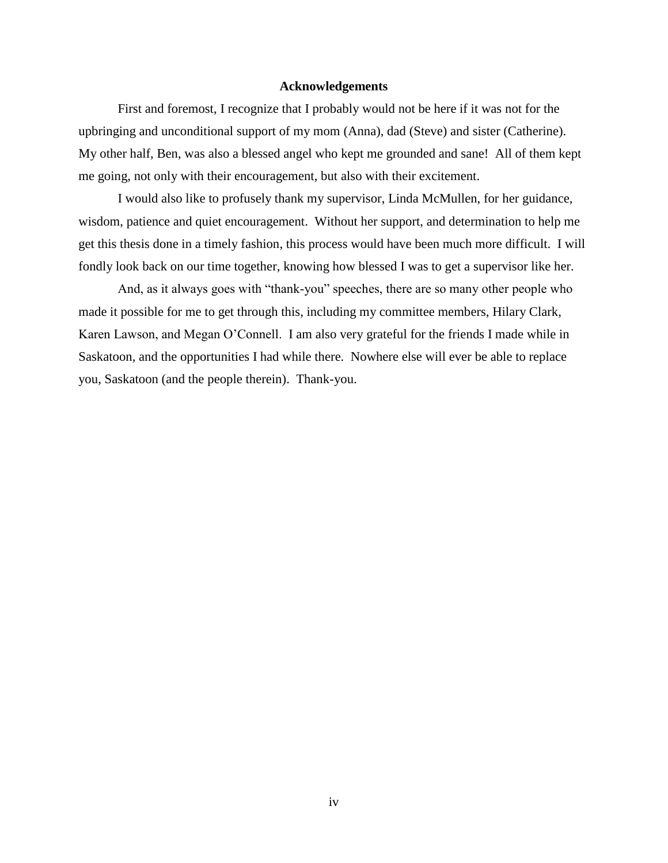### **Acknowledgements**

First and foremost, I recognize that I probably would not be here if it was not for the upbringing and unconditional support of my mom (Anna), dad (Steve) and sister (Catherine). My other half, Ben, was also a blessed angel who kept me grounded and sane! All of them kept me going, not only with their encouragement, but also with their excitement.

I would also like to profusely thank my supervisor, Linda McMullen, for her guidance, wisdom, patience and quiet encouragement. Without her support, and determination to help me get this thesis done in a timely fashion, this process would have been much more difficult. I will fondly look back on our time together, knowing how blessed I was to get a supervisor like her.

And, as it always goes with "thank-you" speeches, there are so many other people who made it possible for me to get through this, including my committee members, Hilary Clark, Karen Lawson, and Megan O'Connell. I am also very grateful for the friends I made while in Saskatoon, and the opportunities I had while there. Nowhere else will ever be able to replace you, Saskatoon (and the people therein). Thank-you.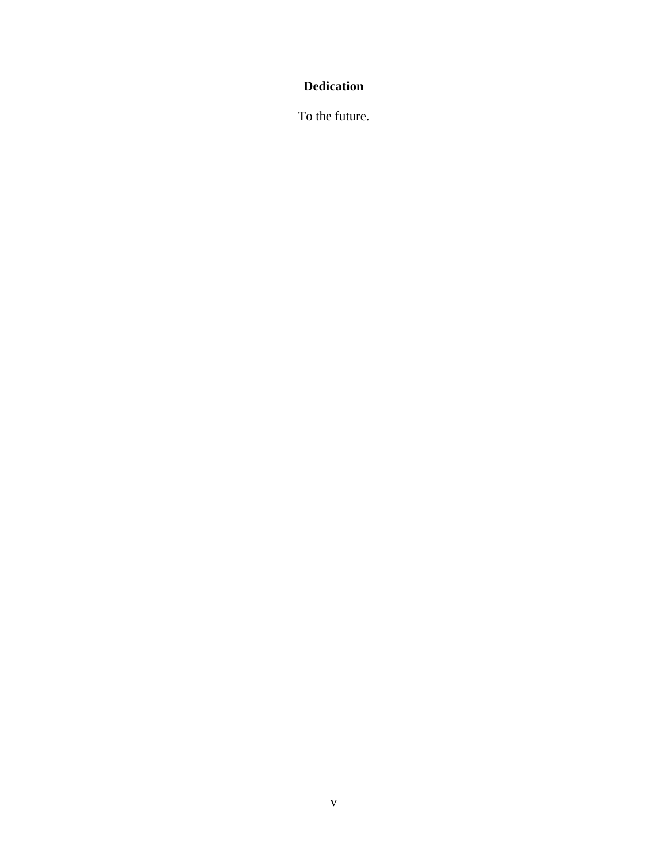# **Dedication**

To the future.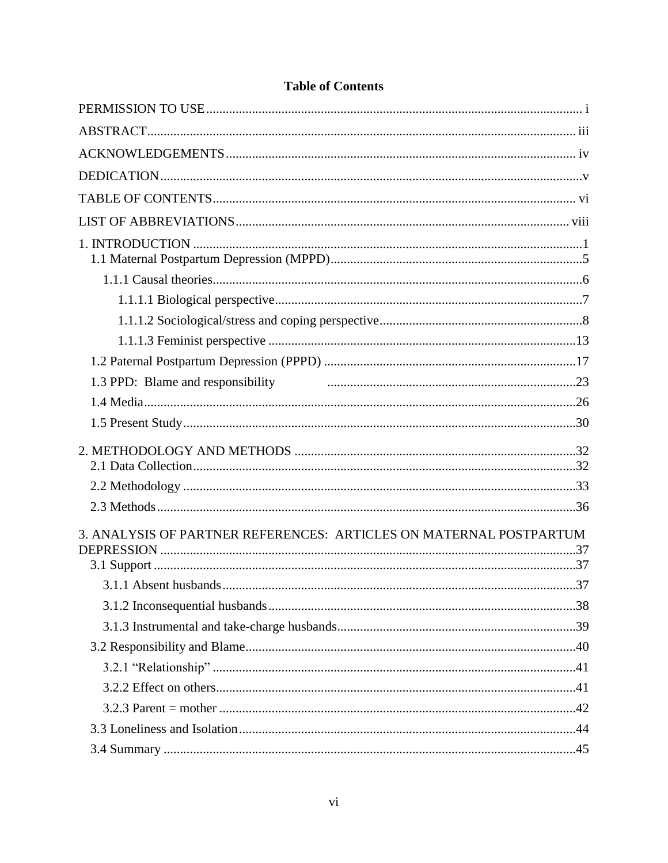| 1.3 PPD: Blame and responsibility manufactured and the settlem and responsibility |  |
|-----------------------------------------------------------------------------------|--|
|                                                                                   |  |
|                                                                                   |  |
|                                                                                   |  |
|                                                                                   |  |
| 3. ANALYSIS OF PARTNER REFERENCES: ARTICLES ON MATERNAL POSTPARTUM                |  |
|                                                                                   |  |
|                                                                                   |  |
|                                                                                   |  |
|                                                                                   |  |
|                                                                                   |  |
|                                                                                   |  |
|                                                                                   |  |
|                                                                                   |  |
|                                                                                   |  |

# **Table of Contents**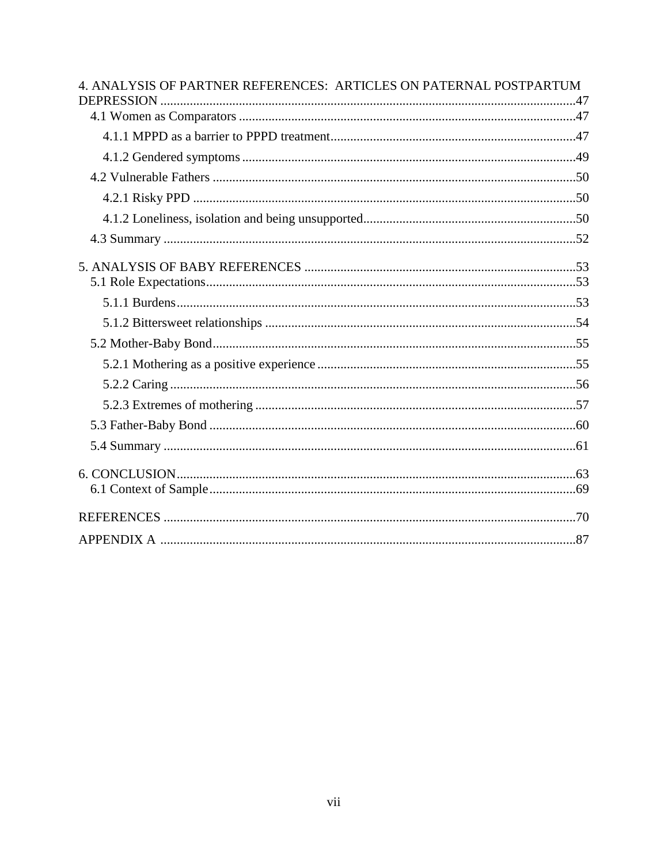| 4. ANALYSIS OF PARTNER REFERENCES: ARTICLES ON PATERNAL POSTPARTUM |
|--------------------------------------------------------------------|
|                                                                    |
|                                                                    |
|                                                                    |
|                                                                    |
|                                                                    |
|                                                                    |
|                                                                    |
|                                                                    |
|                                                                    |
|                                                                    |
|                                                                    |
|                                                                    |
|                                                                    |
|                                                                    |
|                                                                    |
|                                                                    |
|                                                                    |
|                                                                    |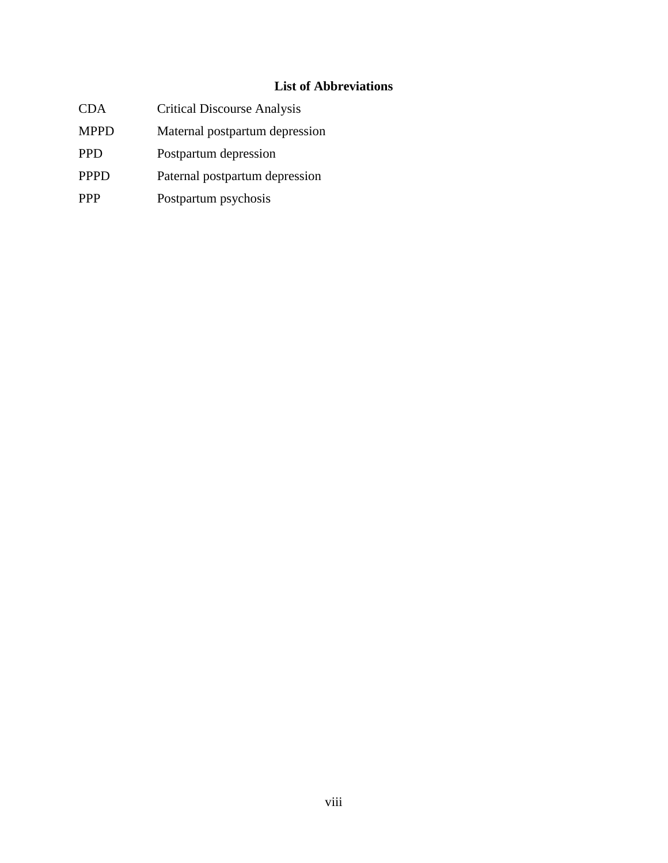# **List of Abbreviations**

- CDA Critical Discourse Analysis
- MPPD Maternal postpartum depression
- PPD Postpartum depression
- PPPD Paternal postpartum depression
- PPP Postpartum psychosis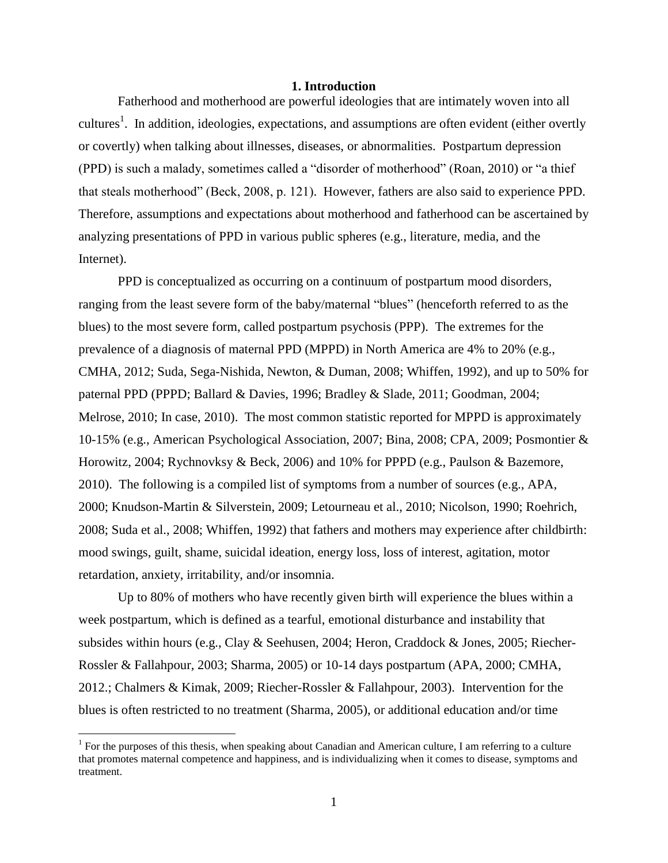#### **1. Introduction**

Fatherhood and motherhood are powerful ideologies that are intimately woven into all cultures<sup>1</sup>. In addition, ideologies, expectations, and assumptions are often evident (either overtly or covertly) when talking about illnesses, diseases, or abnormalities. Postpartum depression (PPD) is such a malady, sometimes called a "disorder of motherhood" (Roan, 2010) or "a thief that steals motherhood" (Beck, 2008, p. 121). However, fathers are also said to experience PPD. Therefore, assumptions and expectations about motherhood and fatherhood can be ascertained by analyzing presentations of PPD in various public spheres (e.g., literature, media, and the Internet).

PPD is conceptualized as occurring on a continuum of postpartum mood disorders, ranging from the least severe form of the baby/maternal "blues" (henceforth referred to as the blues) to the most severe form, called postpartum psychosis (PPP). The extremes for the prevalence of a diagnosis of maternal PPD (MPPD) in North America are 4% to 20% (e.g., CMHA, 2012; Suda, Sega-Nishida, Newton, & Duman, 2008; Whiffen, 1992), and up to 50% for paternal PPD (PPPD; Ballard & Davies, 1996; Bradley & Slade, 2011; Goodman, 2004; Melrose, 2010; In case, 2010). The most common statistic reported for MPPD is approximately 10-15% (e.g., American Psychological Association, 2007; Bina, 2008; CPA, 2009; Posmontier & Horowitz, 2004; Rychnovksy & Beck, 2006) and 10% for PPPD (e.g., Paulson & Bazemore, 2010). The following is a compiled list of symptoms from a number of sources (e.g., APA, 2000; Knudson-Martin & Silverstein, 2009; Letourneau et al., 2010; Nicolson, 1990; Roehrich, 2008; Suda et al., 2008; Whiffen, 1992) that fathers and mothers may experience after childbirth: mood swings, guilt, shame, suicidal ideation, energy loss, loss of interest, agitation, motor retardation, anxiety, irritability, and/or insomnia.

Up to 80% of mothers who have recently given birth will experience the blues within a week postpartum, which is defined as a tearful, emotional disturbance and instability that subsides within hours (e.g., Clay & Seehusen, 2004; Heron, Craddock & Jones, 2005; Riecher-Rossler & Fallahpour, 2003; Sharma, 2005) or 10-14 days postpartum (APA, 2000; CMHA, 2012.; Chalmers & Kimak, 2009; Riecher-Rossler & Fallahpour, 2003). Intervention for the blues is often restricted to no treatment (Sharma, 2005), or additional education and/or time

 $\overline{a}$ 

<sup>&</sup>lt;sup>1</sup> For the purposes of this thesis, when speaking about Canadian and American culture, I am referring to a culture that promotes maternal competence and happiness, and is individualizing when it comes to disease, symptoms and treatment.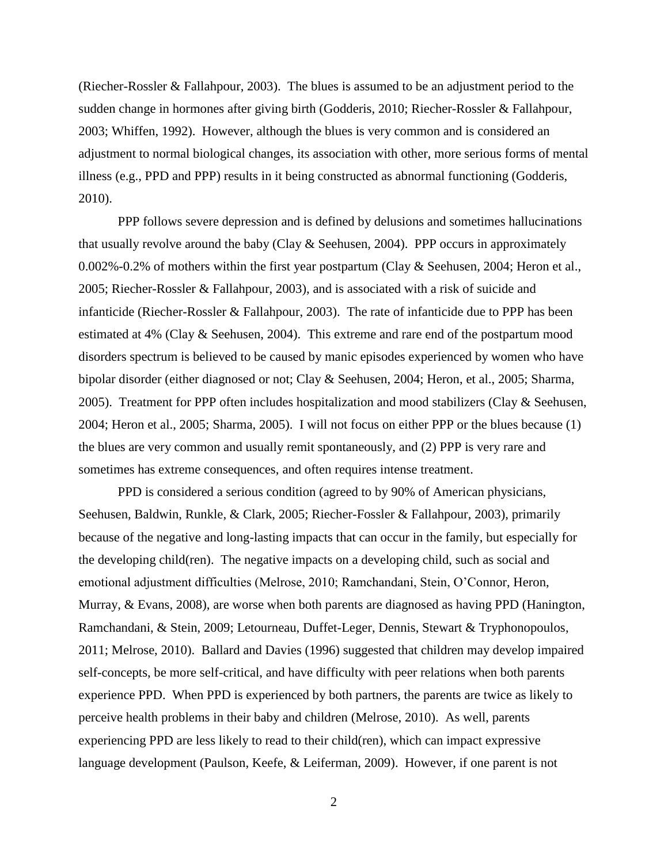(Riecher-Rossler & Fallahpour, 2003). The blues is assumed to be an adjustment period to the sudden change in hormones after giving birth (Godderis, 2010; Riecher-Rossler & Fallahpour, 2003; Whiffen, 1992). However, although the blues is very common and is considered an adjustment to normal biological changes, its association with other, more serious forms of mental illness (e.g., PPD and PPP) results in it being constructed as abnormal functioning (Godderis, 2010).

PPP follows severe depression and is defined by delusions and sometimes hallucinations that usually revolve around the baby (Clay & Seehusen, 2004). PPP occurs in approximately 0.002%-0.2% of mothers within the first year postpartum (Clay & Seehusen, 2004; Heron et al., 2005; Riecher-Rossler & Fallahpour, 2003), and is associated with a risk of suicide and infanticide (Riecher-Rossler & Fallahpour, 2003). The rate of infanticide due to PPP has been estimated at 4% (Clay & Seehusen, 2004). This extreme and rare end of the postpartum mood disorders spectrum is believed to be caused by manic episodes experienced by women who have bipolar disorder (either diagnosed or not; Clay & Seehusen, 2004; Heron, et al., 2005; Sharma, 2005). Treatment for PPP often includes hospitalization and mood stabilizers (Clay & Seehusen, 2004; Heron et al., 2005; Sharma, 2005). I will not focus on either PPP or the blues because (1) the blues are very common and usually remit spontaneously, and (2) PPP is very rare and sometimes has extreme consequences, and often requires intense treatment.

PPD is considered a serious condition (agreed to by 90% of American physicians, Seehusen, Baldwin, Runkle, & Clark, 2005; Riecher-Fossler & Fallahpour, 2003), primarily because of the negative and long-lasting impacts that can occur in the family, but especially for the developing child(ren). The negative impacts on a developing child, such as social and emotional adjustment difficulties (Melrose, 2010; Ramchandani, Stein, O'Connor, Heron, Murray, & Evans, 2008), are worse when both parents are diagnosed as having PPD (Hanington, Ramchandani, & Stein, 2009; Letourneau, Duffet-Leger, Dennis, Stewart & Tryphonopoulos, 2011; Melrose, 2010). Ballard and Davies (1996) suggested that children may develop impaired self-concepts, be more self-critical, and have difficulty with peer relations when both parents experience PPD. When PPD is experienced by both partners, the parents are twice as likely to perceive health problems in their baby and children (Melrose, 2010). As well, parents experiencing PPD are less likely to read to their child(ren), which can impact expressive language development (Paulson, Keefe, & Leiferman, 2009). However, if one parent is not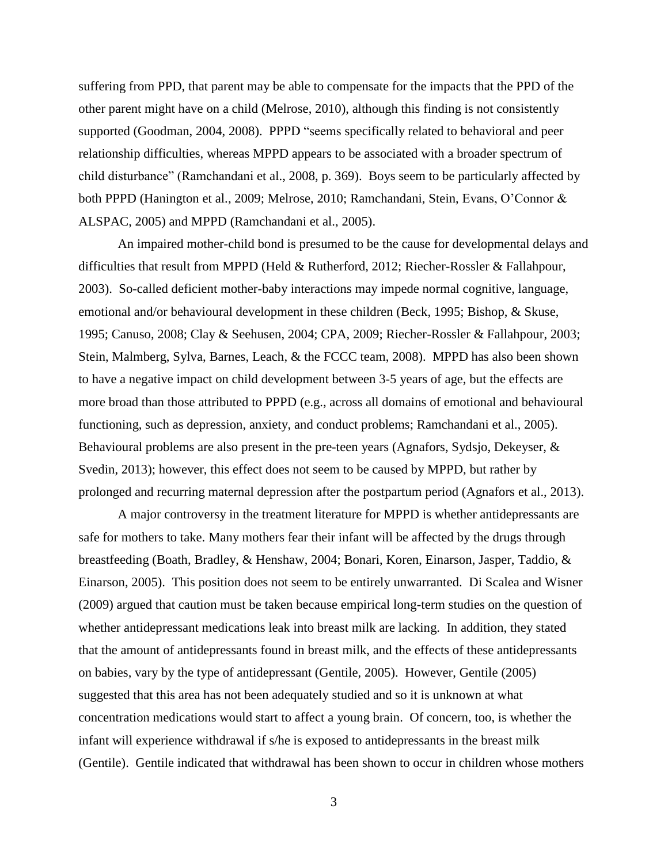suffering from PPD, that parent may be able to compensate for the impacts that the PPD of the other parent might have on a child (Melrose, 2010), although this finding is not consistently supported (Goodman, 2004, 2008). PPPD "seems specifically related to behavioral and peer relationship difficulties, whereas MPPD appears to be associated with a broader spectrum of child disturbance" (Ramchandani et al., 2008, p. 369). Boys seem to be particularly affected by both PPPD (Hanington et al., 2009; Melrose, 2010; Ramchandani, Stein, Evans, O'Connor & ALSPAC, 2005) and MPPD (Ramchandani et al., 2005).

An impaired mother-child bond is presumed to be the cause for developmental delays and difficulties that result from MPPD (Held & Rutherford, 2012; Riecher-Rossler & Fallahpour, 2003). So-called deficient mother-baby interactions may impede normal cognitive, language, emotional and/or behavioural development in these children (Beck, 1995; Bishop, & Skuse, 1995; Canuso, 2008; Clay & Seehusen, 2004; CPA, 2009; Riecher-Rossler & Fallahpour, 2003; Stein, Malmberg, Sylva, Barnes, Leach, & the FCCC team, 2008). MPPD has also been shown to have a negative impact on child development between 3-5 years of age, but the effects are more broad than those attributed to PPPD (e.g., across all domains of emotional and behavioural functioning, such as depression, anxiety, and conduct problems; Ramchandani et al., 2005). Behavioural problems are also present in the pre-teen years (Agnafors, Sydsjo, Dekeyser, & Svedin, 2013); however, this effect does not seem to be caused by MPPD, but rather by prolonged and recurring maternal depression after the postpartum period (Agnafors et al., 2013).

A major controversy in the treatment literature for MPPD is whether antidepressants are safe for mothers to take. Many mothers fear their infant will be affected by the drugs through breastfeeding (Boath, Bradley, & Henshaw, 2004; Bonari, Koren, Einarson, Jasper, Taddio, & Einarson, 2005). This position does not seem to be entirely unwarranted. Di Scalea and Wisner (2009) argued that caution must be taken because empirical long-term studies on the question of whether antidepressant medications leak into breast milk are lacking. In addition, they stated that the amount of antidepressants found in breast milk, and the effects of these antidepressants on babies, vary by the type of antidepressant (Gentile, 2005). However, Gentile (2005) suggested that this area has not been adequately studied and so it is unknown at what concentration medications would start to affect a young brain. Of concern, too, is whether the infant will experience withdrawal if s/he is exposed to antidepressants in the breast milk (Gentile). Gentile indicated that withdrawal has been shown to occur in children whose mothers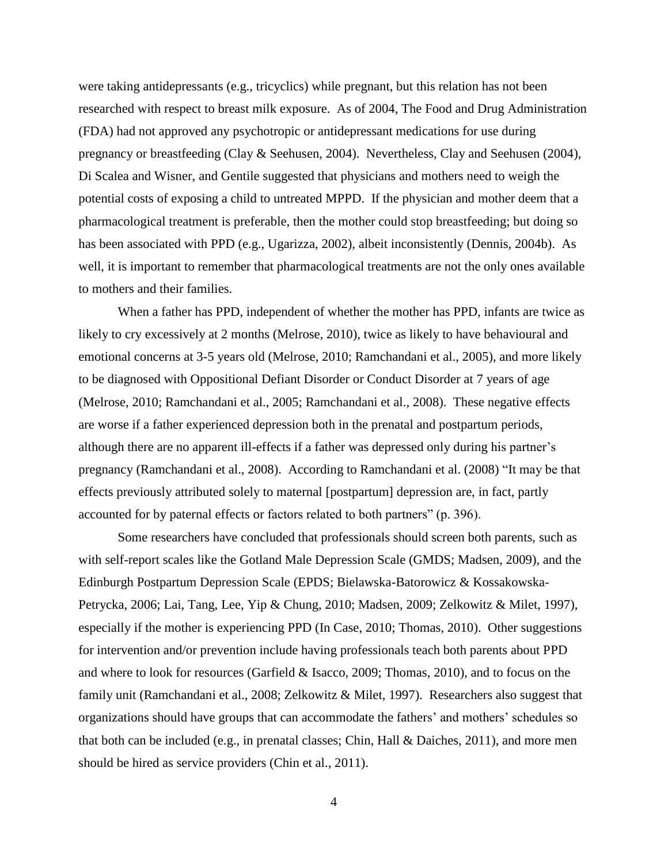were taking antidepressants (e.g., tricyclics) while pregnant, but this relation has not been researched with respect to breast milk exposure. As of 2004, The Food and Drug Administration (FDA) had not approved any psychotropic or antidepressant medications for use during pregnancy or breastfeeding (Clay & Seehusen, 2004). Nevertheless, Clay and Seehusen (2004), Di Scalea and Wisner, and Gentile suggested that physicians and mothers need to weigh the potential costs of exposing a child to untreated MPPD. If the physician and mother deem that a pharmacological treatment is preferable, then the mother could stop breastfeeding; but doing so has been associated with PPD (e.g., Ugarizza, 2002), albeit inconsistently (Dennis, 2004b). As well, it is important to remember that pharmacological treatments are not the only ones available to mothers and their families.

When a father has PPD, independent of whether the mother has PPD, infants are twice as likely to cry excessively at 2 months (Melrose, 2010), twice as likely to have behavioural and emotional concerns at 3-5 years old (Melrose, 2010; Ramchandani et al., 2005), and more likely to be diagnosed with Oppositional Defiant Disorder or Conduct Disorder at 7 years of age (Melrose, 2010; Ramchandani et al., 2005; Ramchandani et al., 2008). These negative effects are worse if a father experienced depression both in the prenatal and postpartum periods, although there are no apparent ill-effects if a father was depressed only during his partner's pregnancy (Ramchandani et al., 2008). According to Ramchandani et al. (2008) "It may be that effects previously attributed solely to maternal [postpartum] depression are, in fact, partly accounted for by paternal effects or factors related to both partners" (p. 396).

Some researchers have concluded that professionals should screen both parents, such as with self-report scales like the Gotland Male Depression Scale (GMDS; Madsen, 2009), and the Edinburgh Postpartum Depression Scale (EPDS; Bielawska-Batorowicz & Kossakowska-Petrycka, 2006; Lai, Tang, Lee, Yip & Chung, 2010; Madsen, 2009; Zelkowitz & Milet, 1997), especially if the mother is experiencing PPD (In Case, 2010; Thomas, 2010). Other suggestions for intervention and/or prevention include having professionals teach both parents about PPD and where to look for resources (Garfield & Isacco, 2009; Thomas, 2010), and to focus on the family unit (Ramchandani et al., 2008; Zelkowitz & Milet, 1997). Researchers also suggest that organizations should have groups that can accommodate the fathers' and mothers' schedules so that both can be included (e.g., in prenatal classes; Chin, Hall & Daiches, 2011), and more men should be hired as service providers (Chin et al., 2011).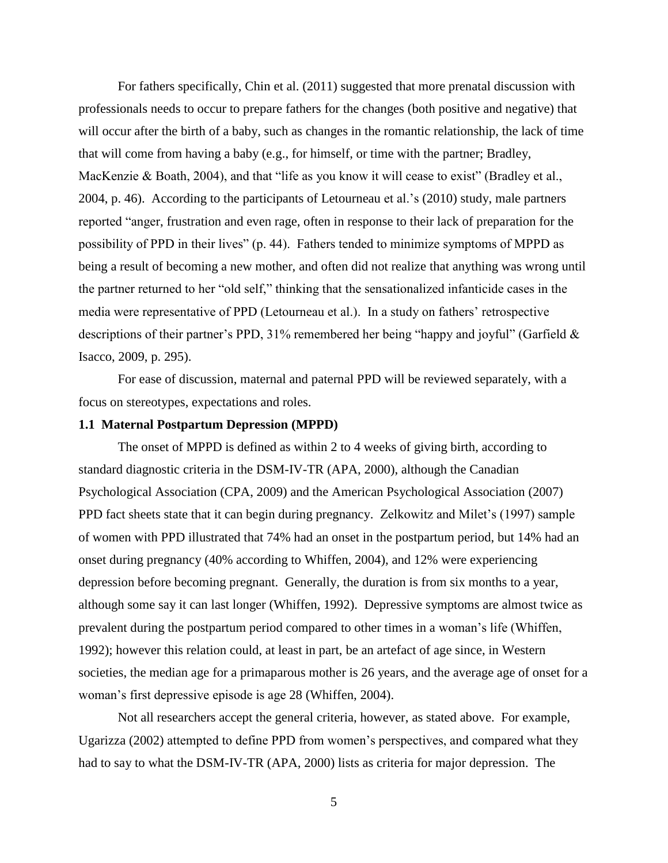For fathers specifically, Chin et al. (2011) suggested that more prenatal discussion with professionals needs to occur to prepare fathers for the changes (both positive and negative) that will occur after the birth of a baby, such as changes in the romantic relationship, the lack of time that will come from having a baby (e.g., for himself, or time with the partner; Bradley, MacKenzie & Boath, 2004), and that "life as you know it will cease to exist" (Bradley et al., 2004, p. 46). According to the participants of Letourneau et al.'s (2010) study, male partners reported "anger, frustration and even rage, often in response to their lack of preparation for the possibility of PPD in their lives" (p. 44). Fathers tended to minimize symptoms of MPPD as being a result of becoming a new mother, and often did not realize that anything was wrong until the partner returned to her "old self," thinking that the sensationalized infanticide cases in the media were representative of PPD (Letourneau et al.). In a study on fathers' retrospective descriptions of their partner's PPD, 31% remembered her being "happy and joyful" (Garfield & Isacco, 2009, p. 295).

For ease of discussion, maternal and paternal PPD will be reviewed separately, with a focus on stereotypes, expectations and roles.

### **1.1 Maternal Postpartum Depression (MPPD)**

The onset of MPPD is defined as within 2 to 4 weeks of giving birth, according to standard diagnostic criteria in the DSM-IV-TR (APA, 2000), although the Canadian Psychological Association (CPA, 2009) and the American Psychological Association (2007) PPD fact sheets state that it can begin during pregnancy. Zelkowitz and Milet's (1997) sample of women with PPD illustrated that 74% had an onset in the postpartum period, but 14% had an onset during pregnancy (40% according to Whiffen, 2004), and 12% were experiencing depression before becoming pregnant. Generally, the duration is from six months to a year, although some say it can last longer (Whiffen, 1992). Depressive symptoms are almost twice as prevalent during the postpartum period compared to other times in a woman's life (Whiffen, 1992); however this relation could, at least in part, be an artefact of age since, in Western societies, the median age for a primaparous mother is 26 years, and the average age of onset for a woman's first depressive episode is age 28 (Whiffen, 2004).

Not all researchers accept the general criteria, however, as stated above. For example, Ugarizza (2002) attempted to define PPD from women's perspectives, and compared what they had to say to what the DSM-IV-TR (APA, 2000) lists as criteria for major depression. The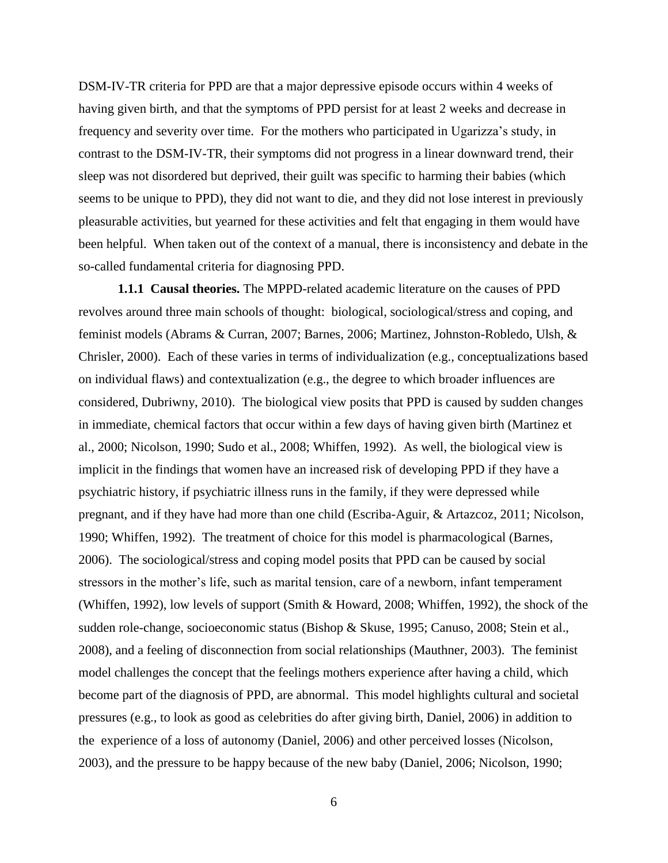DSM-IV-TR criteria for PPD are that a major depressive episode occurs within 4 weeks of having given birth, and that the symptoms of PPD persist for at least 2 weeks and decrease in frequency and severity over time. For the mothers who participated in Ugarizza's study, in contrast to the DSM-IV-TR, their symptoms did not progress in a linear downward trend, their sleep was not disordered but deprived, their guilt was specific to harming their babies (which seems to be unique to PPD), they did not want to die, and they did not lose interest in previously pleasurable activities, but yearned for these activities and felt that engaging in them would have been helpful. When taken out of the context of a manual, there is inconsistency and debate in the so-called fundamental criteria for diagnosing PPD.

**1.1.1 Causal theories.** The MPPD-related academic literature on the causes of PPD revolves around three main schools of thought: biological, sociological/stress and coping, and feminist models (Abrams & Curran, 2007; Barnes, 2006; Martinez, Johnston-Robledo, Ulsh, & Chrisler, 2000). Each of these varies in terms of individualization (e.g., conceptualizations based on individual flaws) and contextualization (e.g., the degree to which broader influences are considered, Dubriwny, 2010). The biological view posits that PPD is caused by sudden changes in immediate, chemical factors that occur within a few days of having given birth (Martinez et al., 2000; Nicolson, 1990; Sudo et al., 2008; Whiffen, 1992). As well, the biological view is implicit in the findings that women have an increased risk of developing PPD if they have a psychiatric history, if psychiatric illness runs in the family, if they were depressed while pregnant, and if they have had more than one child (Escriba-Aguir, & Artazcoz, 2011; Nicolson, 1990; Whiffen, 1992). The treatment of choice for this model is pharmacological (Barnes, 2006). The sociological/stress and coping model posits that PPD can be caused by social stressors in the mother's life, such as marital tension, care of a newborn, infant temperament (Whiffen, 1992), low levels of support (Smith & Howard, 2008; Whiffen, 1992), the shock of the sudden role-change, socioeconomic status (Bishop & Skuse, 1995; Canuso, 2008; Stein et al., 2008), and a feeling of disconnection from social relationships (Mauthner, 2003). The feminist model challenges the concept that the feelings mothers experience after having a child, which become part of the diagnosis of PPD, are abnormal. This model highlights cultural and societal pressures (e.g., to look as good as celebrities do after giving birth, Daniel, 2006) in addition to the experience of a loss of autonomy (Daniel, 2006) and other perceived losses (Nicolson, 2003), and the pressure to be happy because of the new baby (Daniel, 2006; Nicolson, 1990;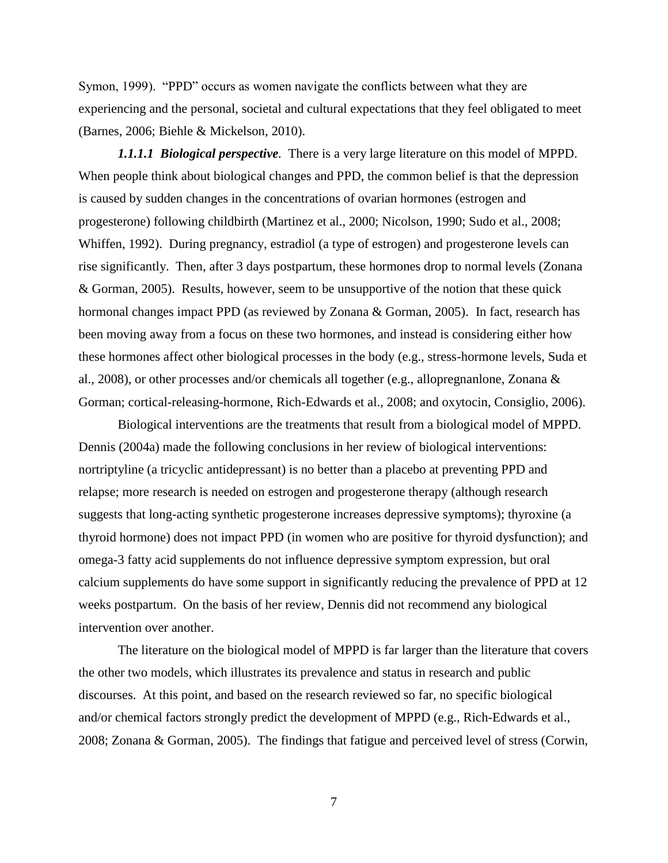Symon, 1999). "PPD" occurs as women navigate the conflicts between what they are experiencing and the personal, societal and cultural expectations that they feel obligated to meet (Barnes, 2006; Biehle & Mickelson, 2010).

*1.1.1.1 Biological perspective.* There is a very large literature on this model of MPPD. When people think about biological changes and PPD, the common belief is that the depression is caused by sudden changes in the concentrations of ovarian hormones (estrogen and progesterone) following childbirth (Martinez et al., 2000; Nicolson, 1990; Sudo et al., 2008; Whiffen, 1992). During pregnancy, estradiol (a type of estrogen) and progesterone levels can rise significantly. Then, after 3 days postpartum, these hormones drop to normal levels (Zonana & Gorman, 2005). Results, however, seem to be unsupportive of the notion that these quick hormonal changes impact PPD (as reviewed by Zonana & Gorman, 2005). In fact, research has been moving away from a focus on these two hormones, and instead is considering either how these hormones affect other biological processes in the body (e.g., stress-hormone levels, Suda et al., 2008), or other processes and/or chemicals all together (e.g., allopregnanlone, Zonana & Gorman; cortical-releasing-hormone, Rich-Edwards et al., 2008; and oxytocin, Consiglio, 2006).

Biological interventions are the treatments that result from a biological model of MPPD. Dennis (2004a) made the following conclusions in her review of biological interventions: nortriptyline (a tricyclic antidepressant) is no better than a placebo at preventing PPD and relapse; more research is needed on estrogen and progesterone therapy (although research suggests that long-acting synthetic progesterone increases depressive symptoms); thyroxine (a thyroid hormone) does not impact PPD (in women who are positive for thyroid dysfunction); and omega-3 fatty acid supplements do not influence depressive symptom expression, but oral calcium supplements do have some support in significantly reducing the prevalence of PPD at 12 weeks postpartum. On the basis of her review, Dennis did not recommend any biological intervention over another.

The literature on the biological model of MPPD is far larger than the literature that covers the other two models, which illustrates its prevalence and status in research and public discourses. At this point, and based on the research reviewed so far, no specific biological and/or chemical factors strongly predict the development of MPPD (e.g., Rich-Edwards et al., 2008; Zonana & Gorman, 2005). The findings that fatigue and perceived level of stress (Corwin,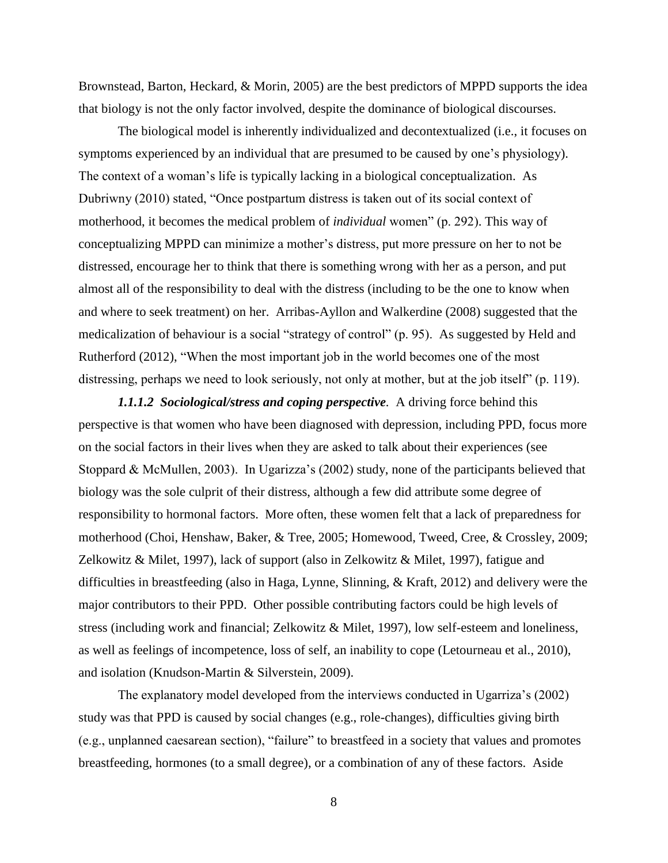Brownstead, Barton, Heckard, & Morin, 2005) are the best predictors of MPPD supports the idea that biology is not the only factor involved, despite the dominance of biological discourses.

The biological model is inherently individualized and decontextualized (i.e., it focuses on symptoms experienced by an individual that are presumed to be caused by one's physiology). The context of a woman's life is typically lacking in a biological conceptualization. As Dubriwny (2010) stated, "Once postpartum distress is taken out of its social context of motherhood, it becomes the medical problem of *individual* women" (p. 292). This way of conceptualizing MPPD can minimize a mother's distress, put more pressure on her to not be distressed, encourage her to think that there is something wrong with her as a person, and put almost all of the responsibility to deal with the distress (including to be the one to know when and where to seek treatment) on her. Arribas-Ayllon and Walkerdine (2008) suggested that the medicalization of behaviour is a social "strategy of control" (p. 95). As suggested by Held and Rutherford (2012), "When the most important job in the world becomes one of the most distressing, perhaps we need to look seriously, not only at mother, but at the job itself" (p. 119).

*1.1.1.2 Sociological/stress and coping perspective.* A driving force behind this perspective is that women who have been diagnosed with depression, including PPD, focus more on the social factors in their lives when they are asked to talk about their experiences (see Stoppard & McMullen, 2003). In Ugarizza's (2002) study, none of the participants believed that biology was the sole culprit of their distress, although a few did attribute some degree of responsibility to hormonal factors. More often, these women felt that a lack of preparedness for motherhood (Choi, Henshaw, Baker, & Tree, 2005; Homewood, Tweed, Cree, & Crossley, 2009; Zelkowitz & Milet, 1997), lack of support (also in Zelkowitz & Milet, 1997), fatigue and difficulties in breastfeeding (also in Haga, Lynne, Slinning, & Kraft, 2012) and delivery were the major contributors to their PPD. Other possible contributing factors could be high levels of stress (including work and financial; Zelkowitz & Milet, 1997), low self-esteem and loneliness, as well as feelings of incompetence, loss of self, an inability to cope (Letourneau et al., 2010), and isolation (Knudson-Martin & Silverstein, 2009).

The explanatory model developed from the interviews conducted in Ugarriza's (2002) study was that PPD is caused by social changes (e.g., role-changes), difficulties giving birth (e.g., unplanned caesarean section), "failure" to breastfeed in a society that values and promotes breastfeeding, hormones (to a small degree), or a combination of any of these factors. Aside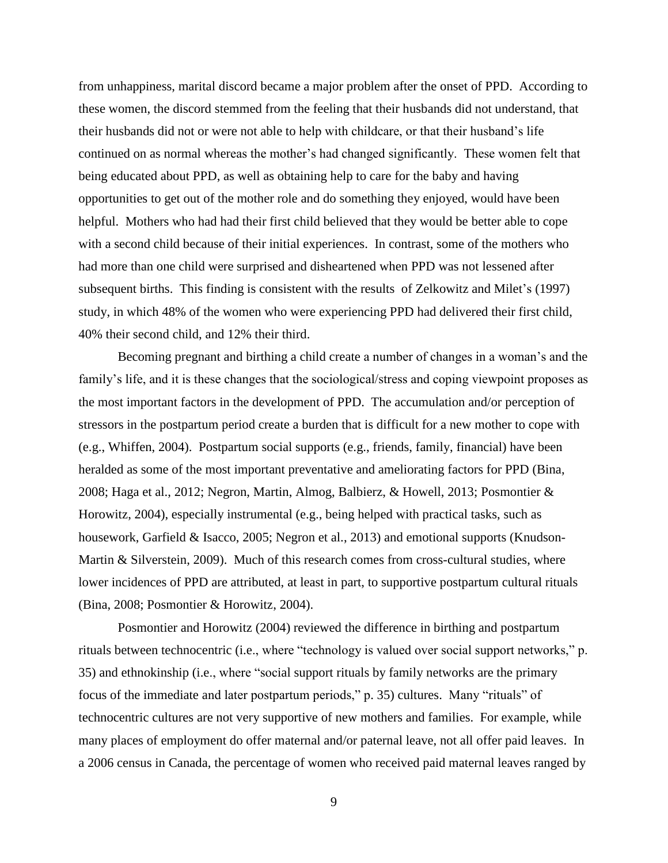from unhappiness, marital discord became a major problem after the onset of PPD. According to these women, the discord stemmed from the feeling that their husbands did not understand, that their husbands did not or were not able to help with childcare, or that their husband's life continued on as normal whereas the mother's had changed significantly. These women felt that being educated about PPD, as well as obtaining help to care for the baby and having opportunities to get out of the mother role and do something they enjoyed, would have been helpful. Mothers who had had their first child believed that they would be better able to cope with a second child because of their initial experiences. In contrast, some of the mothers who had more than one child were surprised and disheartened when PPD was not lessened after subsequent births. This finding is consistent with the results of Zelkowitz and Milet's (1997) study, in which 48% of the women who were experiencing PPD had delivered their first child, 40% their second child, and 12% their third.

Becoming pregnant and birthing a child create a number of changes in a woman's and the family's life, and it is these changes that the sociological/stress and coping viewpoint proposes as the most important factors in the development of PPD. The accumulation and/or perception of stressors in the postpartum period create a burden that is difficult for a new mother to cope with (e.g., Whiffen, 2004). Postpartum social supports (e.g., friends, family, financial) have been heralded as some of the most important preventative and ameliorating factors for PPD (Bina, 2008; Haga et al., 2012; Negron, Martin, Almog, Balbierz, & Howell, 2013; Posmontier & Horowitz, 2004), especially instrumental (e.g., being helped with practical tasks, such as housework, Garfield & Isacco, 2005; Negron et al., 2013) and emotional supports (Knudson-Martin & Silverstein, 2009). Much of this research comes from cross-cultural studies, where lower incidences of PPD are attributed, at least in part, to supportive postpartum cultural rituals (Bina, 2008; Posmontier & Horowitz, 2004).

Posmontier and Horowitz (2004) reviewed the difference in birthing and postpartum rituals between technocentric (i.e., where "technology is valued over social support networks," p. 35) and ethnokinship (i.e., where "social support rituals by family networks are the primary focus of the immediate and later postpartum periods," p. 35) cultures. Many "rituals" of technocentric cultures are not very supportive of new mothers and families. For example, while many places of employment do offer maternal and/or paternal leave, not all offer paid leaves. In a 2006 census in Canada, the percentage of women who received paid maternal leaves ranged by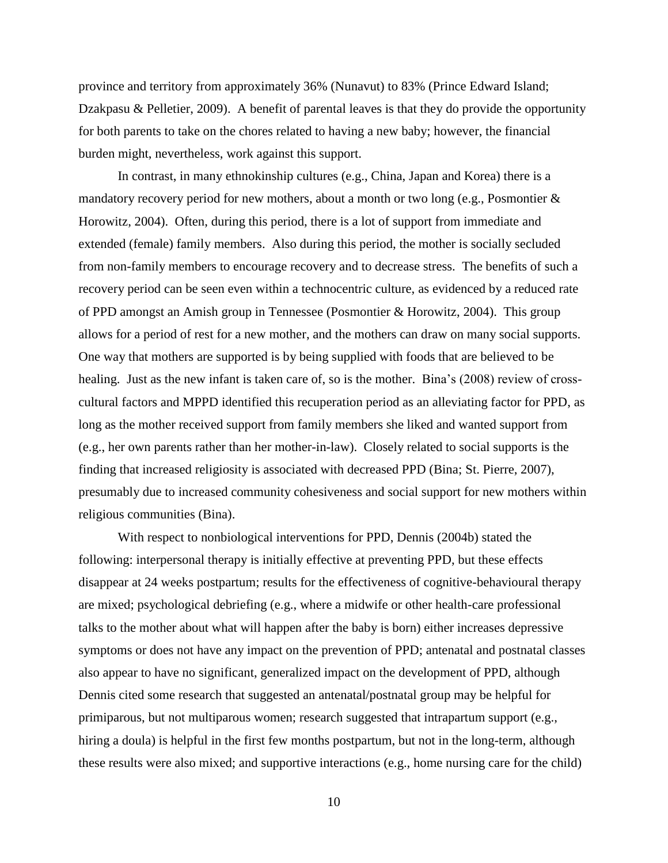province and territory from approximately 36% (Nunavut) to 83% (Prince Edward Island; Dzakpasu & Pelletier, 2009). A benefit of parental leaves is that they do provide the opportunity for both parents to take on the chores related to having a new baby; however, the financial burden might, nevertheless, work against this support.

In contrast, in many ethnokinship cultures (e.g., China, Japan and Korea) there is a mandatory recovery period for new mothers, about a month or two long (e.g., Posmontier  $\&$ Horowitz, 2004). Often, during this period, there is a lot of support from immediate and extended (female) family members. Also during this period, the mother is socially secluded from non-family members to encourage recovery and to decrease stress. The benefits of such a recovery period can be seen even within a technocentric culture, as evidenced by a reduced rate of PPD amongst an Amish group in Tennessee (Posmontier & Horowitz, 2004). This group allows for a period of rest for a new mother, and the mothers can draw on many social supports. One way that mothers are supported is by being supplied with foods that are believed to be healing. Just as the new infant is taken care of, so is the mother. Bina's (2008) review of crosscultural factors and MPPD identified this recuperation period as an alleviating factor for PPD, as long as the mother received support from family members she liked and wanted support from (e.g., her own parents rather than her mother-in-law). Closely related to social supports is the finding that increased religiosity is associated with decreased PPD (Bina; St. Pierre, 2007), presumably due to increased community cohesiveness and social support for new mothers within religious communities (Bina).

With respect to nonbiological interventions for PPD, Dennis (2004b) stated the following: interpersonal therapy is initially effective at preventing PPD, but these effects disappear at 24 weeks postpartum; results for the effectiveness of cognitive-behavioural therapy are mixed; psychological debriefing (e.g., where a midwife or other health-care professional talks to the mother about what will happen after the baby is born) either increases depressive symptoms or does not have any impact on the prevention of PPD; antenatal and postnatal classes also appear to have no significant, generalized impact on the development of PPD, although Dennis cited some research that suggested an antenatal/postnatal group may be helpful for primiparous, but not multiparous women; research suggested that intrapartum support (e.g., hiring a doula) is helpful in the first few months postpartum, but not in the long-term, although these results were also mixed; and supportive interactions (e.g., home nursing care for the child)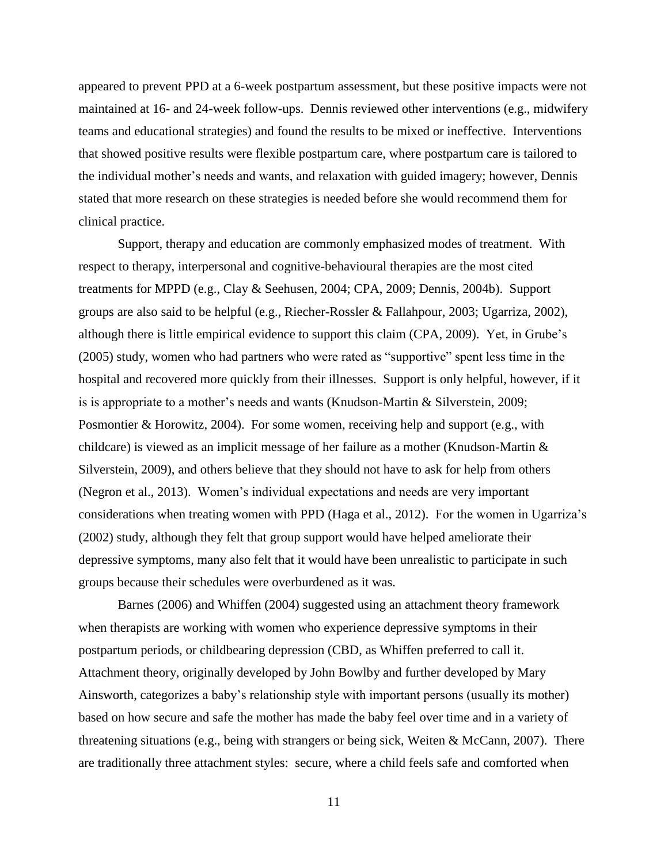appeared to prevent PPD at a 6-week postpartum assessment, but these positive impacts were not maintained at 16- and 24-week follow-ups. Dennis reviewed other interventions (e.g., midwifery teams and educational strategies) and found the results to be mixed or ineffective. Interventions that showed positive results were flexible postpartum care, where postpartum care is tailored to the individual mother's needs and wants, and relaxation with guided imagery; however, Dennis stated that more research on these strategies is needed before she would recommend them for clinical practice.

Support, therapy and education are commonly emphasized modes of treatment. With respect to therapy, interpersonal and cognitive-behavioural therapies are the most cited treatments for MPPD (e.g., Clay & Seehusen, 2004; CPA, 2009; Dennis, 2004b). Support groups are also said to be helpful (e.g., Riecher-Rossler & Fallahpour, 2003; Ugarriza, 2002), although there is little empirical evidence to support this claim (CPA, 2009). Yet, in Grube's (2005) study, women who had partners who were rated as "supportive" spent less time in the hospital and recovered more quickly from their illnesses. Support is only helpful, however, if it is is appropriate to a mother's needs and wants (Knudson-Martin & Silverstein, 2009; Posmontier & Horowitz, 2004). For some women, receiving help and support (e.g., with childcare) is viewed as an implicit message of her failure as a mother (Knudson-Martin & Silverstein, 2009), and others believe that they should not have to ask for help from others (Negron et al., 2013). Women's individual expectations and needs are very important considerations when treating women with PPD (Haga et al., 2012). For the women in Ugarriza's (2002) study, although they felt that group support would have helped ameliorate their depressive symptoms, many also felt that it would have been unrealistic to participate in such groups because their schedules were overburdened as it was.

Barnes (2006) and Whiffen (2004) suggested using an attachment theory framework when therapists are working with women who experience depressive symptoms in their postpartum periods, or childbearing depression (CBD, as Whiffen preferred to call it. Attachment theory, originally developed by John Bowlby and further developed by Mary Ainsworth, categorizes a baby's relationship style with important persons (usually its mother) based on how secure and safe the mother has made the baby feel over time and in a variety of threatening situations (e.g., being with strangers or being sick, Weiten & McCann, 2007). There are traditionally three attachment styles: secure, where a child feels safe and comforted when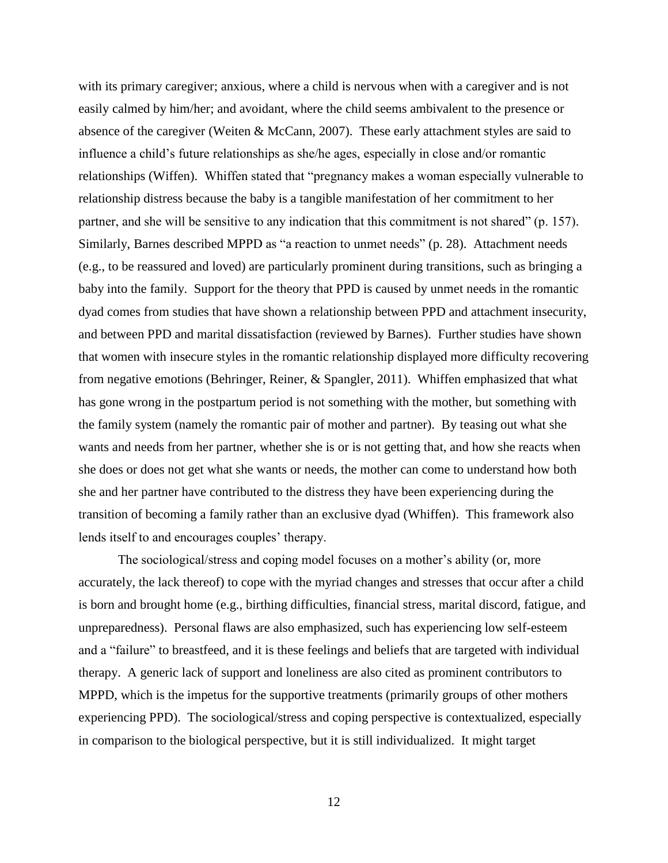with its primary caregiver; anxious, where a child is nervous when with a caregiver and is not easily calmed by him/her; and avoidant, where the child seems ambivalent to the presence or absence of the caregiver (Weiten & McCann, 2007). These early attachment styles are said to influence a child's future relationships as she/he ages, especially in close and/or romantic relationships (Wiffen). Whiffen stated that "pregnancy makes a woman especially vulnerable to relationship distress because the baby is a tangible manifestation of her commitment to her partner, and she will be sensitive to any indication that this commitment is not shared" (p. 157). Similarly, Barnes described MPPD as "a reaction to unmet needs" (p. 28). Attachment needs (e.g., to be reassured and loved) are particularly prominent during transitions, such as bringing a baby into the family. Support for the theory that PPD is caused by unmet needs in the romantic dyad comes from studies that have shown a relationship between PPD and attachment insecurity, and between PPD and marital dissatisfaction (reviewed by Barnes). Further studies have shown that women with insecure styles in the romantic relationship displayed more difficulty recovering from negative emotions (Behringer, Reiner, & Spangler, 2011). Whiffen emphasized that what has gone wrong in the postpartum period is not something with the mother, but something with the family system (namely the romantic pair of mother and partner). By teasing out what she wants and needs from her partner, whether she is or is not getting that, and how she reacts when she does or does not get what she wants or needs, the mother can come to understand how both she and her partner have contributed to the distress they have been experiencing during the transition of becoming a family rather than an exclusive dyad (Whiffen). This framework also lends itself to and encourages couples' therapy.

The sociological/stress and coping model focuses on a mother's ability (or, more accurately, the lack thereof) to cope with the myriad changes and stresses that occur after a child is born and brought home (e.g., birthing difficulties, financial stress, marital discord, fatigue, and unpreparedness). Personal flaws are also emphasized, such has experiencing low self-esteem and a "failure" to breastfeed, and it is these feelings and beliefs that are targeted with individual therapy. A generic lack of support and loneliness are also cited as prominent contributors to MPPD, which is the impetus for the supportive treatments (primarily groups of other mothers experiencing PPD). The sociological/stress and coping perspective is contextualized, especially in comparison to the biological perspective, but it is still individualized. It might target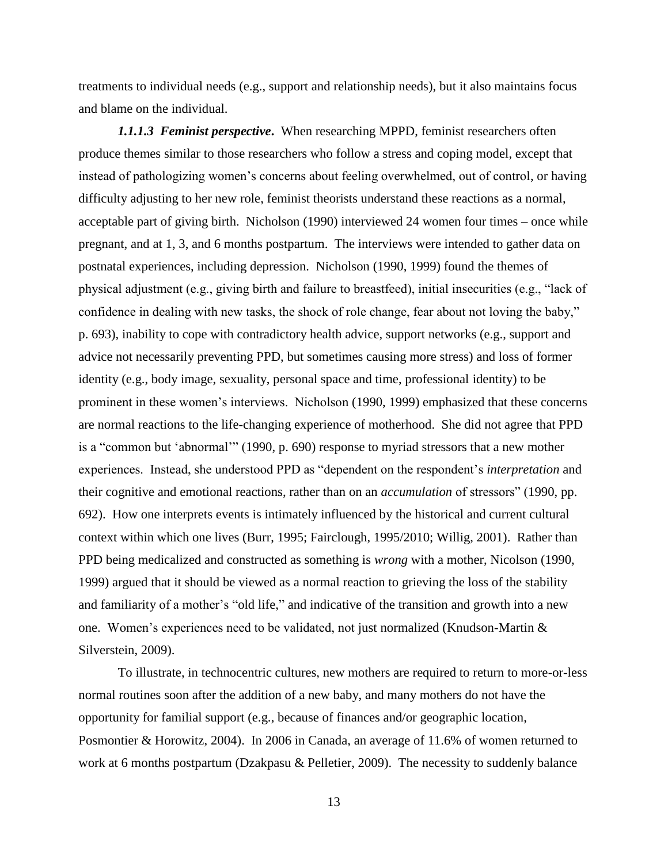treatments to individual needs (e.g., support and relationship needs), but it also maintains focus and blame on the individual.

*1.1.1.3 Feminist perspective***.** When researching MPPD, feminist researchers often produce themes similar to those researchers who follow a stress and coping model, except that instead of pathologizing women's concerns about feeling overwhelmed, out of control, or having difficulty adjusting to her new role, feminist theorists understand these reactions as a normal, acceptable part of giving birth. Nicholson (1990) interviewed 24 women four times – once while pregnant, and at 1, 3, and 6 months postpartum. The interviews were intended to gather data on postnatal experiences, including depression. Nicholson (1990, 1999) found the themes of physical adjustment (e.g., giving birth and failure to breastfeed), initial insecurities (e.g., "lack of confidence in dealing with new tasks, the shock of role change, fear about not loving the baby," p. 693), inability to cope with contradictory health advice, support networks (e.g., support and advice not necessarily preventing PPD, but sometimes causing more stress) and loss of former identity (e.g., body image, sexuality, personal space and time, professional identity) to be prominent in these women's interviews. Nicholson (1990, 1999) emphasized that these concerns are normal reactions to the life-changing experience of motherhood. She did not agree that PPD is a "common but 'abnormal'" (1990, p. 690) response to myriad stressors that a new mother experiences. Instead, she understood PPD as "dependent on the respondent's *interpretation* and their cognitive and emotional reactions, rather than on an *accumulation* of stressors" (1990, pp. 692). How one interprets events is intimately influenced by the historical and current cultural context within which one lives (Burr, 1995; Fairclough, 1995/2010; Willig, 2001). Rather than PPD being medicalized and constructed as something is *wrong* with a mother, Nicolson (1990, 1999) argued that it should be viewed as a normal reaction to grieving the loss of the stability and familiarity of a mother's "old life," and indicative of the transition and growth into a new one. Women's experiences need to be validated, not just normalized (Knudson-Martin & Silverstein, 2009).

To illustrate, in technocentric cultures, new mothers are required to return to more-or-less normal routines soon after the addition of a new baby, and many mothers do not have the opportunity for familial support (e.g., because of finances and/or geographic location, Posmontier & Horowitz, 2004). In 2006 in Canada, an average of 11.6% of women returned to work at 6 months postpartum (Dzakpasu & Pelletier, 2009). The necessity to suddenly balance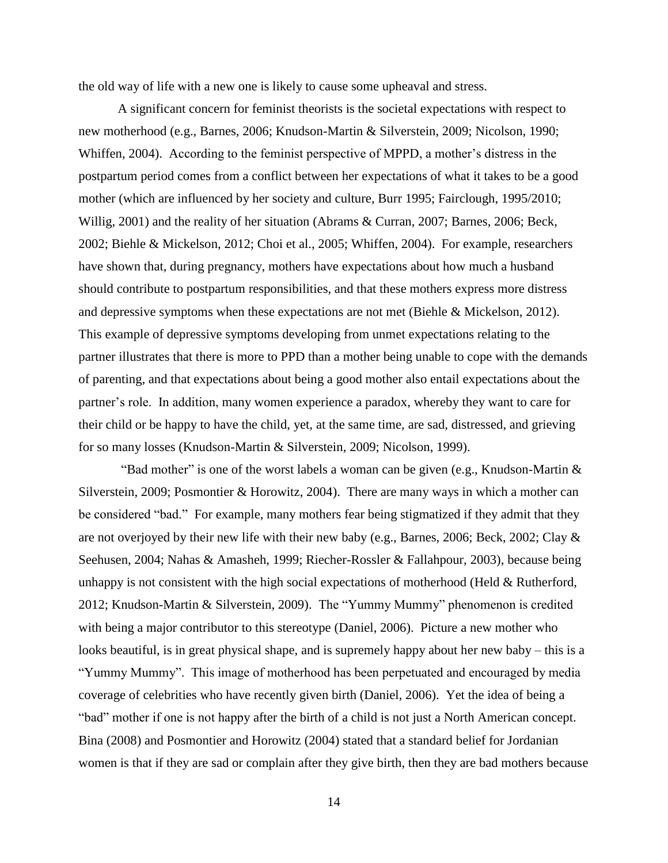the old way of life with a new one is likely to cause some upheaval and stress.

A significant concern for feminist theorists is the societal expectations with respect to new motherhood (e.g., Barnes, 2006; Knudson-Martin & Silverstein, 2009; Nicolson, 1990; Whiffen, 2004). According to the feminist perspective of MPPD, a mother's distress in the postpartum period comes from a conflict between her expectations of what it takes to be a good mother (which are influenced by her society and culture, Burr 1995; Fairclough, 1995/2010; Willig, 2001) and the reality of her situation (Abrams & Curran, 2007; Barnes, 2006; Beck, 2002; Biehle & Mickelson, 2012; Choi et al., 2005; Whiffen, 2004). For example, researchers have shown that, during pregnancy, mothers have expectations about how much a husband should contribute to postpartum responsibilities, and that these mothers express more distress and depressive symptoms when these expectations are not met (Biehle & Mickelson, 2012). This example of depressive symptoms developing from unmet expectations relating to the partner illustrates that there is more to PPD than a mother being unable to cope with the demands of parenting, and that expectations about being a good mother also entail expectations about the partner's role. In addition, many women experience a paradox, whereby they want to care for their child or be happy to have the child, yet, at the same time, are sad, distressed, and grieving for so many losses (Knudson-Martin & Silverstein, 2009; Nicolson, 1999).

"Bad mother" is one of the worst labels a woman can be given (e.g., Knudson-Martin  $\&$ Silverstein, 2009; Posmontier & Horowitz, 2004). There are many ways in which a mother can be considered "bad." For example, many mothers fear being stigmatized if they admit that they are not overjoyed by their new life with their new baby (e.g., Barnes, 2006; Beck, 2002; Clay  $\&$ Seehusen, 2004; Nahas & Amasheh, 1999; Riecher-Rossler & Fallahpour, 2003), because being unhappy is not consistent with the high social expectations of motherhood (Held  $& Rutherford,$ 2012; Knudson-Martin & Silverstein, 2009). The "Yummy Mummy" phenomenon is credited with being a major contributor to this stereotype (Daniel, 2006). Picture a new mother who looks beautiful, is in great physical shape, and is supremely happy about her new baby – this is a "Yummy Mummy". This image of motherhood has been perpetuated and encouraged by media coverage of celebrities who have recently given birth (Daniel, 2006). Yet the idea of being a "bad" mother if one is not happy after the birth of a child is not just a North American concept. Bina (2008) and Posmontier and Horowitz (2004) stated that a standard belief for Jordanian women is that if they are sad or complain after they give birth, then they are bad mothers because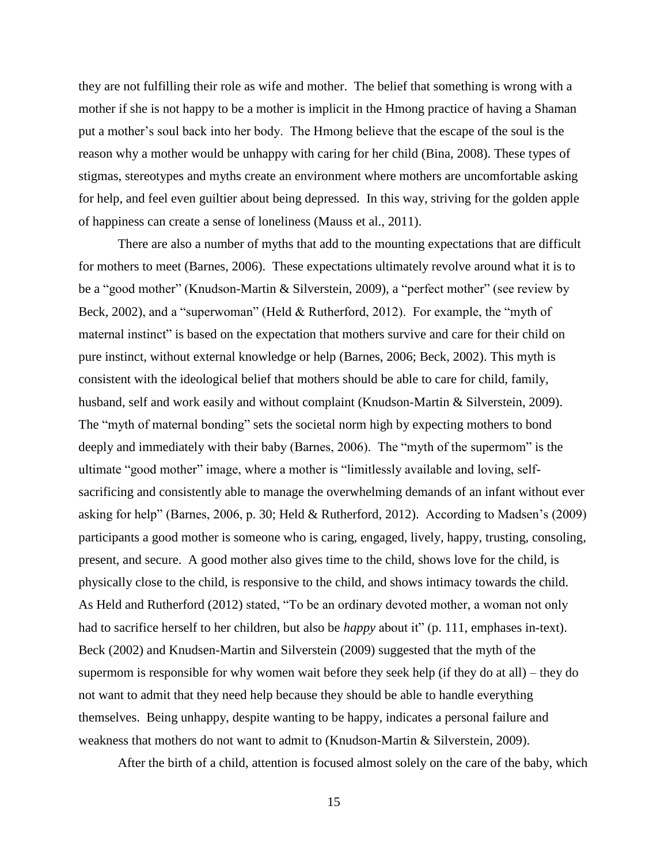they are not fulfilling their role as wife and mother. The belief that something is wrong with a mother if she is not happy to be a mother is implicit in the Hmong practice of having a Shaman put a mother's soul back into her body. The Hmong believe that the escape of the soul is the reason why a mother would be unhappy with caring for her child (Bina, 2008). These types of stigmas, stereotypes and myths create an environment where mothers are uncomfortable asking for help, and feel even guiltier about being depressed. In this way, striving for the golden apple of happiness can create a sense of loneliness (Mauss et al., 2011).

There are also a number of myths that add to the mounting expectations that are difficult for mothers to meet (Barnes, 2006). These expectations ultimately revolve around what it is to be a "good mother" (Knudson-Martin & Silverstein, 2009), a "perfect mother" (see review by Beck, 2002), and a "superwoman" (Held & Rutherford, 2012). For example, the "myth of maternal instinct" is based on the expectation that mothers survive and care for their child on pure instinct, without external knowledge or help (Barnes, 2006; Beck, 2002). This myth is consistent with the ideological belief that mothers should be able to care for child, family, husband, self and work easily and without complaint (Knudson-Martin & Silverstein, 2009). The "myth of maternal bonding" sets the societal norm high by expecting mothers to bond deeply and immediately with their baby (Barnes, 2006). The "myth of the supermom" is the ultimate "good mother" image, where a mother is "limitlessly available and loving, selfsacrificing and consistently able to manage the overwhelming demands of an infant without ever asking for help" (Barnes, 2006, p. 30; Held & Rutherford, 2012). According to Madsen's (2009) participants a good mother is someone who is caring, engaged, lively, happy, trusting, consoling, present, and secure. A good mother also gives time to the child, shows love for the child, is physically close to the child, is responsive to the child, and shows intimacy towards the child. As Held and Rutherford (2012) stated, "To be an ordinary devoted mother, a woman not only had to sacrifice herself to her children, but also be *happy* about it" (p. 111, emphases in-text). Beck (2002) and Knudsen-Martin and Silverstein (2009) suggested that the myth of the supermom is responsible for why women wait before they seek help (if they do at all) – they do not want to admit that they need help because they should be able to handle everything themselves. Being unhappy, despite wanting to be happy, indicates a personal failure and weakness that mothers do not want to admit to (Knudson-Martin & Silverstein, 2009).

After the birth of a child, attention is focused almost solely on the care of the baby, which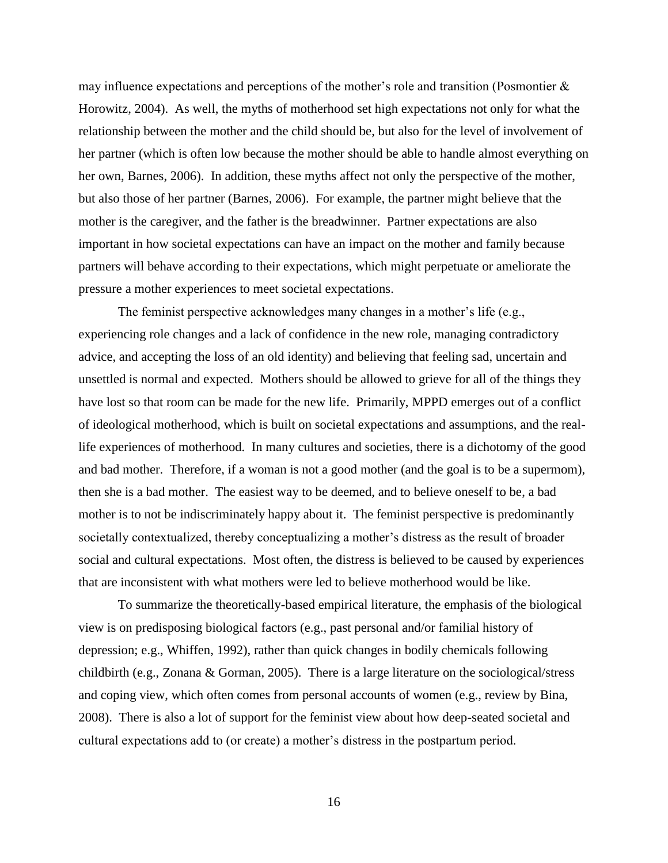may influence expectations and perceptions of the mother's role and transition (Posmontier  $\&$ Horowitz, 2004). As well, the myths of motherhood set high expectations not only for what the relationship between the mother and the child should be, but also for the level of involvement of her partner (which is often low because the mother should be able to handle almost everything on her own, Barnes, 2006). In addition, these myths affect not only the perspective of the mother, but also those of her partner (Barnes, 2006). For example, the partner might believe that the mother is the caregiver, and the father is the breadwinner. Partner expectations are also important in how societal expectations can have an impact on the mother and family because partners will behave according to their expectations, which might perpetuate or ameliorate the pressure a mother experiences to meet societal expectations.

The feminist perspective acknowledges many changes in a mother's life (e.g., experiencing role changes and a lack of confidence in the new role, managing contradictory advice, and accepting the loss of an old identity) and believing that feeling sad, uncertain and unsettled is normal and expected. Mothers should be allowed to grieve for all of the things they have lost so that room can be made for the new life. Primarily, MPPD emerges out of a conflict of ideological motherhood, which is built on societal expectations and assumptions, and the reallife experiences of motherhood. In many cultures and societies, there is a dichotomy of the good and bad mother. Therefore, if a woman is not a good mother (and the goal is to be a supermom), then she is a bad mother. The easiest way to be deemed, and to believe oneself to be, a bad mother is to not be indiscriminately happy about it. The feminist perspective is predominantly societally contextualized, thereby conceptualizing a mother's distress as the result of broader social and cultural expectations. Most often, the distress is believed to be caused by experiences that are inconsistent with what mothers were led to believe motherhood would be like.

To summarize the theoretically-based empirical literature, the emphasis of the biological view is on predisposing biological factors (e.g., past personal and/or familial history of depression; e.g., Whiffen, 1992), rather than quick changes in bodily chemicals following childbirth (e.g., Zonana & Gorman, 2005). There is a large literature on the sociological/stress and coping view, which often comes from personal accounts of women (e.g., review by Bina, 2008). There is also a lot of support for the feminist view about how deep-seated societal and cultural expectations add to (or create) a mother's distress in the postpartum period.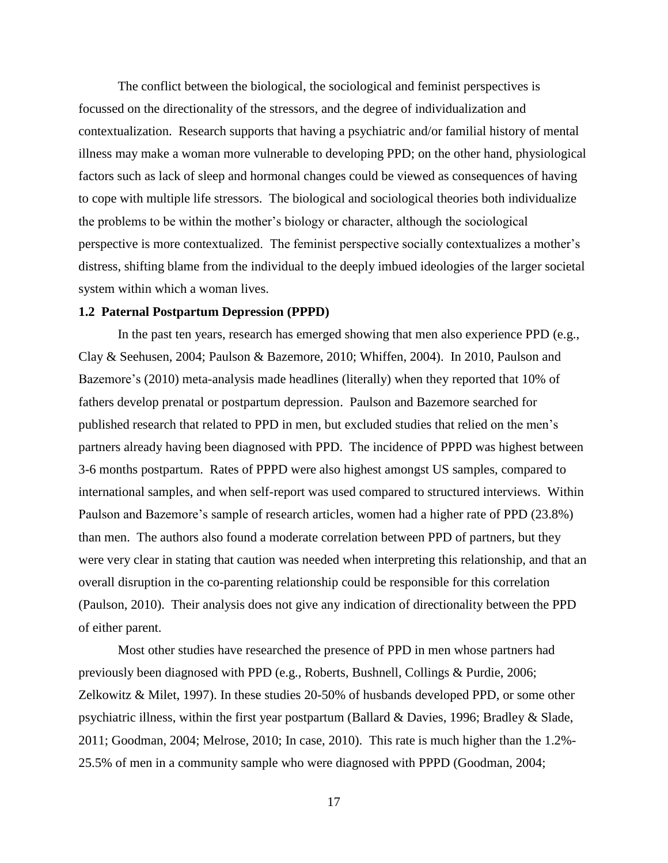The conflict between the biological, the sociological and feminist perspectives is focussed on the directionality of the stressors, and the degree of individualization and contextualization. Research supports that having a psychiatric and/or familial history of mental illness may make a woman more vulnerable to developing PPD; on the other hand, physiological factors such as lack of sleep and hormonal changes could be viewed as consequences of having to cope with multiple life stressors. The biological and sociological theories both individualize the problems to be within the mother's biology or character, although the sociological perspective is more contextualized. The feminist perspective socially contextualizes a mother's distress, shifting blame from the individual to the deeply imbued ideologies of the larger societal system within which a woman lives.

#### **1.2 Paternal Postpartum Depression (PPPD)**

In the past ten years, research has emerged showing that men also experience PPD (e.g., Clay & Seehusen, 2004; Paulson & Bazemore, 2010; Whiffen, 2004). In 2010, Paulson and Bazemore's (2010) meta-analysis made headlines (literally) when they reported that 10% of fathers develop prenatal or postpartum depression. Paulson and Bazemore searched for published research that related to PPD in men, but excluded studies that relied on the men's partners already having been diagnosed with PPD. The incidence of PPPD was highest between 3-6 months postpartum. Rates of PPPD were also highest amongst US samples, compared to international samples, and when self-report was used compared to structured interviews. Within Paulson and Bazemore's sample of research articles, women had a higher rate of PPD (23.8%) than men. The authors also found a moderate correlation between PPD of partners, but they were very clear in stating that caution was needed when interpreting this relationship, and that an overall disruption in the co-parenting relationship could be responsible for this correlation (Paulson, 2010). Their analysis does not give any indication of directionality between the PPD of either parent.

Most other studies have researched the presence of PPD in men whose partners had previously been diagnosed with PPD (e.g., Roberts, Bushnell, Collings & Purdie, 2006; Zelkowitz & Milet, 1997). In these studies 20-50% of husbands developed PPD, or some other psychiatric illness, within the first year postpartum (Ballard & Davies, 1996; Bradley & Slade, 2011; Goodman, 2004; Melrose, 2010; In case, 2010). This rate is much higher than the 1.2%- 25.5% of men in a community sample who were diagnosed with PPPD (Goodman, 2004;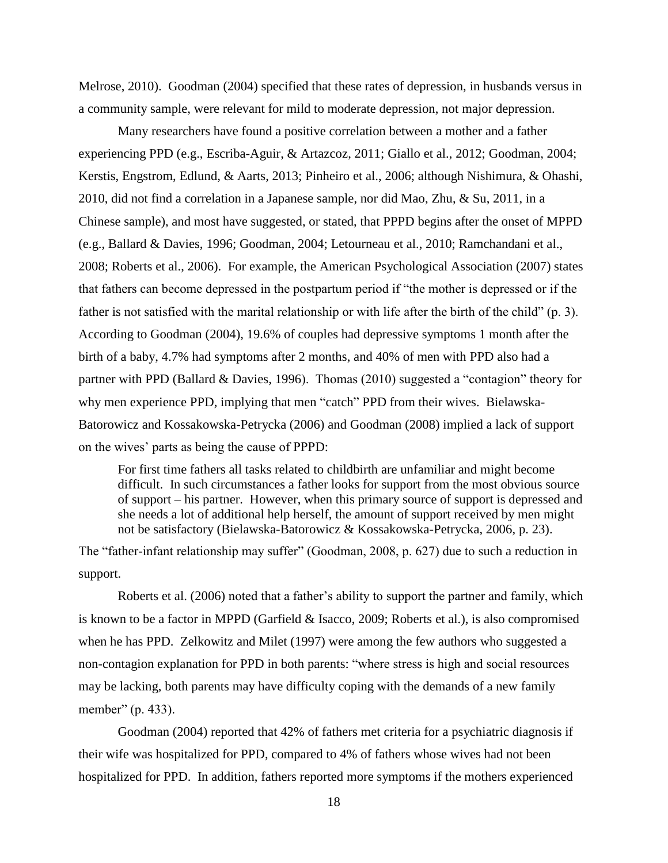Melrose, 2010). Goodman (2004) specified that these rates of depression, in husbands versus in a community sample, were relevant for mild to moderate depression, not major depression.

Many researchers have found a positive correlation between a mother and a father experiencing PPD (e.g., Escriba-Aguir, & Artazcoz, 2011; Giallo et al., 2012; Goodman, 2004; Kerstis, Engstrom, Edlund, & Aarts, 2013; Pinheiro et al., 2006; although Nishimura, & Ohashi, 2010, did not find a correlation in a Japanese sample, nor did Mao, Zhu, & Su, 2011, in a Chinese sample), and most have suggested, or stated, that PPPD begins after the onset of MPPD (e.g., Ballard & Davies, 1996; Goodman, 2004; Letourneau et al., 2010; Ramchandani et al., 2008; Roberts et al., 2006). For example, the American Psychological Association (2007) states that fathers can become depressed in the postpartum period if "the mother is depressed or if the father is not satisfied with the marital relationship or with life after the birth of the child" (p. 3). According to Goodman (2004), 19.6% of couples had depressive symptoms 1 month after the birth of a baby, 4.7% had symptoms after 2 months, and 40% of men with PPD also had a partner with PPD (Ballard & Davies, 1996). Thomas (2010) suggested a "contagion" theory for why men experience PPD, implying that men "catch" PPD from their wives. Bielawska-Batorowicz and Kossakowska-Petrycka (2006) and Goodman (2008) implied a lack of support on the wives' parts as being the cause of PPPD:

For first time fathers all tasks related to childbirth are unfamiliar and might become difficult. In such circumstances a father looks for support from the most obvious source of support – his partner. However, when this primary source of support is depressed and she needs a lot of additional help herself, the amount of support received by men might not be satisfactory (Bielawska-Batorowicz & Kossakowska-Petrycka, 2006, p. 23).

The "father-infant relationship may suffer" (Goodman, 2008, p. 627) due to such a reduction in support.

Roberts et al. (2006) noted that a father's ability to support the partner and family, which is known to be a factor in MPPD (Garfield & Isacco, 2009; Roberts et al.), is also compromised when he has PPD. Zelkowitz and Milet (1997) were among the few authors who suggested a non-contagion explanation for PPD in both parents: "where stress is high and social resources may be lacking, both parents may have difficulty coping with the demands of a new family member" (p. 433).

Goodman (2004) reported that 42% of fathers met criteria for a psychiatric diagnosis if their wife was hospitalized for PPD, compared to 4% of fathers whose wives had not been hospitalized for PPD. In addition, fathers reported more symptoms if the mothers experienced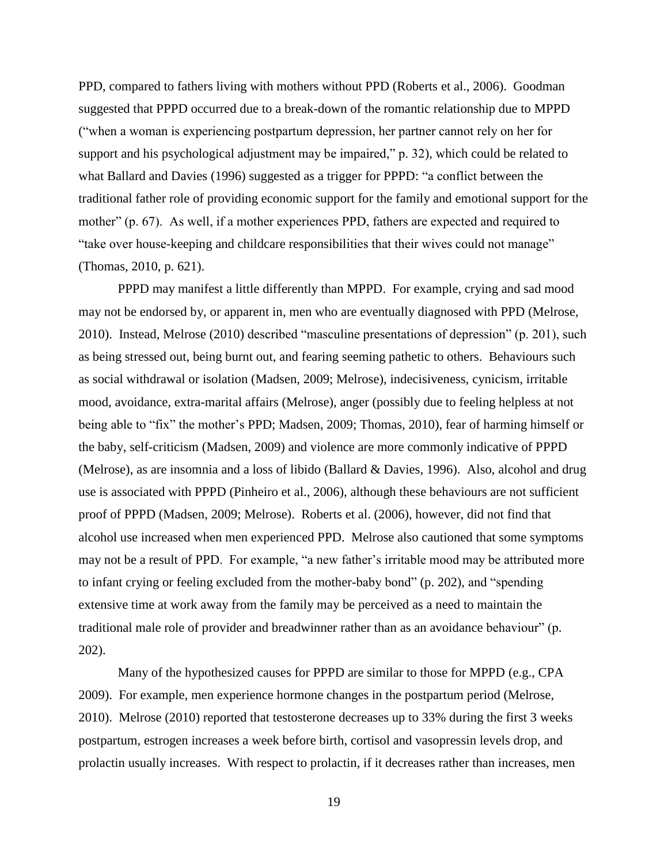PPD, compared to fathers living with mothers without PPD (Roberts et al., 2006). Goodman suggested that PPPD occurred due to a break-down of the romantic relationship due to MPPD ("when a woman is experiencing postpartum depression, her partner cannot rely on her for support and his psychological adjustment may be impaired," p. 32), which could be related to what Ballard and Davies (1996) suggested as a trigger for PPPD: "a conflict between the traditional father role of providing economic support for the family and emotional support for the mother" (p. 67). As well, if a mother experiences PPD, fathers are expected and required to "take over house-keeping and childcare responsibilities that their wives could not manage" (Thomas, 2010, p. 621).

PPPD may manifest a little differently than MPPD. For example, crying and sad mood may not be endorsed by, or apparent in, men who are eventually diagnosed with PPD (Melrose, 2010). Instead, Melrose (2010) described "masculine presentations of depression" (p. 201), such as being stressed out, being burnt out, and fearing seeming pathetic to others. Behaviours such as social withdrawal or isolation (Madsen, 2009; Melrose), indecisiveness, cynicism, irritable mood, avoidance, extra-marital affairs (Melrose), anger (possibly due to feeling helpless at not being able to "fix" the mother's PPD; Madsen, 2009; Thomas, 2010), fear of harming himself or the baby, self-criticism (Madsen, 2009) and violence are more commonly indicative of PPPD (Melrose), as are insomnia and a loss of libido (Ballard & Davies, 1996). Also, alcohol and drug use is associated with PPPD (Pinheiro et al., 2006), although these behaviours are not sufficient proof of PPPD (Madsen, 2009; Melrose). Roberts et al. (2006), however, did not find that alcohol use increased when men experienced PPD. Melrose also cautioned that some symptoms may not be a result of PPD. For example, "a new father's irritable mood may be attributed more to infant crying or feeling excluded from the mother-baby bond" (p. 202), and "spending extensive time at work away from the family may be perceived as a need to maintain the traditional male role of provider and breadwinner rather than as an avoidance behaviour" (p. 202).

Many of the hypothesized causes for PPPD are similar to those for MPPD (e.g., CPA 2009). For example, men experience hormone changes in the postpartum period (Melrose, 2010). Melrose (2010) reported that testosterone decreases up to 33% during the first 3 weeks postpartum, estrogen increases a week before birth, cortisol and vasopressin levels drop, and prolactin usually increases. With respect to prolactin, if it decreases rather than increases, men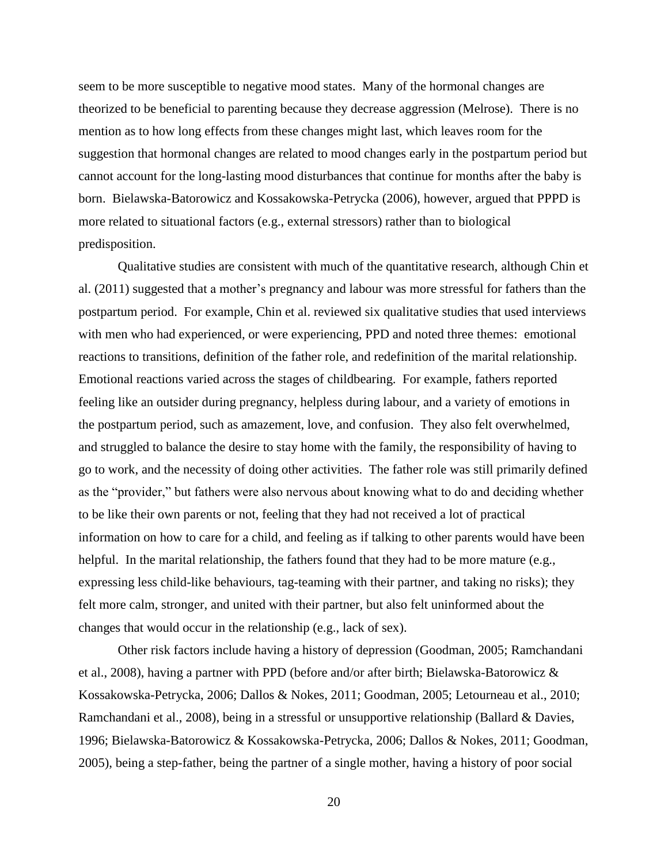seem to be more susceptible to negative mood states. Many of the hormonal changes are theorized to be beneficial to parenting because they decrease aggression (Melrose). There is no mention as to how long effects from these changes might last, which leaves room for the suggestion that hormonal changes are related to mood changes early in the postpartum period but cannot account for the long-lasting mood disturbances that continue for months after the baby is born. Bielawska-Batorowicz and Kossakowska-Petrycka (2006), however, argued that PPPD is more related to situational factors (e.g., external stressors) rather than to biological predisposition.

Qualitative studies are consistent with much of the quantitative research, although Chin et al. (2011) suggested that a mother's pregnancy and labour was more stressful for fathers than the postpartum period. For example, Chin et al. reviewed six qualitative studies that used interviews with men who had experienced, or were experiencing, PPD and noted three themes: emotional reactions to transitions, definition of the father role, and redefinition of the marital relationship. Emotional reactions varied across the stages of childbearing. For example, fathers reported feeling like an outsider during pregnancy, helpless during labour, and a variety of emotions in the postpartum period, such as amazement, love, and confusion. They also felt overwhelmed, and struggled to balance the desire to stay home with the family, the responsibility of having to go to work, and the necessity of doing other activities. The father role was still primarily defined as the "provider," but fathers were also nervous about knowing what to do and deciding whether to be like their own parents or not, feeling that they had not received a lot of practical information on how to care for a child, and feeling as if talking to other parents would have been helpful. In the marital relationship, the fathers found that they had to be more mature (e.g., expressing less child-like behaviours, tag-teaming with their partner, and taking no risks); they felt more calm, stronger, and united with their partner, but also felt uninformed about the changes that would occur in the relationship (e.g., lack of sex).

Other risk factors include having a history of depression (Goodman, 2005; Ramchandani et al., 2008), having a partner with PPD (before and/or after birth; Bielawska-Batorowicz & Kossakowska-Petrycka, 2006; Dallos & Nokes, 2011; Goodman, 2005; Letourneau et al., 2010; Ramchandani et al., 2008), being in a stressful or unsupportive relationship (Ballard & Davies, 1996; Bielawska-Batorowicz & Kossakowska-Petrycka, 2006; Dallos & Nokes, 2011; Goodman, 2005), being a step-father, being the partner of a single mother, having a history of poor social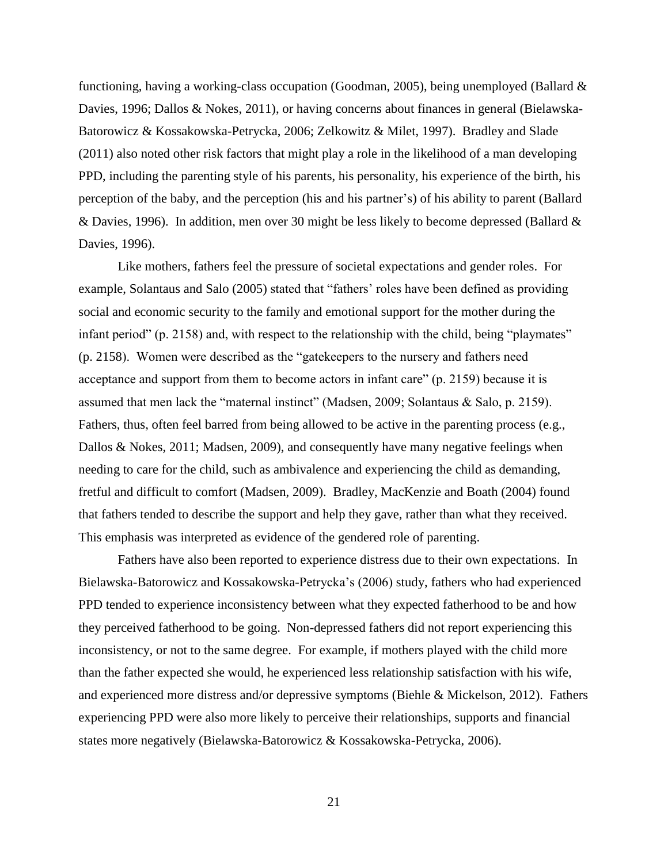functioning, having a working-class occupation (Goodman, 2005), being unemployed (Ballard & Davies, 1996; Dallos & Nokes, 2011), or having concerns about finances in general (Bielawska-Batorowicz & Kossakowska-Petrycka, 2006; Zelkowitz & Milet, 1997). Bradley and Slade (2011) also noted other risk factors that might play a role in the likelihood of a man developing PPD, including the parenting style of his parents, his personality, his experience of the birth, his perception of the baby, and the perception (his and his partner's) of his ability to parent (Ballard & Davies, 1996). In addition, men over 30 might be less likely to become depressed (Ballard & Davies, 1996).

Like mothers, fathers feel the pressure of societal expectations and gender roles. For example, Solantaus and Salo (2005) stated that "fathers' roles have been defined as providing social and economic security to the family and emotional support for the mother during the infant period" (p. 2158) and, with respect to the relationship with the child, being "playmates" (p. 2158). Women were described as the "gatekeepers to the nursery and fathers need acceptance and support from them to become actors in infant care" (p. 2159) because it is assumed that men lack the "maternal instinct" (Madsen, 2009; Solantaus & Salo, p. 2159). Fathers, thus, often feel barred from being allowed to be active in the parenting process (e.g., Dallos & Nokes, 2011; Madsen, 2009), and consequently have many negative feelings when needing to care for the child, such as ambivalence and experiencing the child as demanding, fretful and difficult to comfort (Madsen, 2009). Bradley, MacKenzie and Boath (2004) found that fathers tended to describe the support and help they gave, rather than what they received. This emphasis was interpreted as evidence of the gendered role of parenting.

Fathers have also been reported to experience distress due to their own expectations. In Bielawska-Batorowicz and Kossakowska-Petrycka's (2006) study, fathers who had experienced PPD tended to experience inconsistency between what they expected fatherhood to be and how they perceived fatherhood to be going. Non-depressed fathers did not report experiencing this inconsistency, or not to the same degree. For example, if mothers played with the child more than the father expected she would, he experienced less relationship satisfaction with his wife, and experienced more distress and/or depressive symptoms (Biehle & Mickelson, 2012). Fathers experiencing PPD were also more likely to perceive their relationships, supports and financial states more negatively (Bielawska-Batorowicz & Kossakowska-Petrycka, 2006).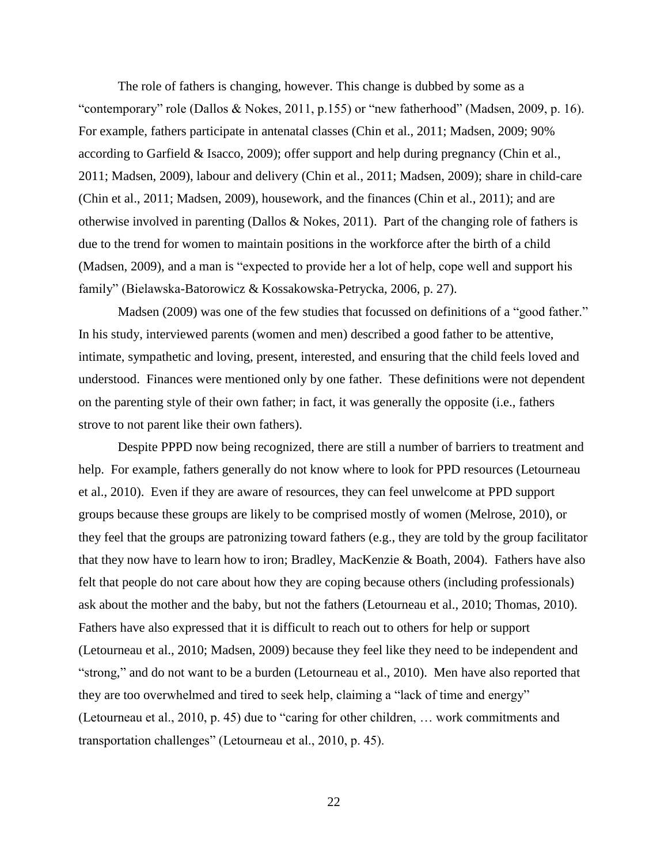The role of fathers is changing, however. This change is dubbed by some as a "contemporary" role (Dallos & Nokes, 2011, p.155) or "new fatherhood" (Madsen, 2009, p. 16). For example, fathers participate in antenatal classes (Chin et al., 2011; Madsen, 2009; 90% according to Garfield & Isacco, 2009); offer support and help during pregnancy (Chin et al., 2011; Madsen, 2009), labour and delivery (Chin et al., 2011; Madsen, 2009); share in child-care (Chin et al., 2011; Madsen, 2009), housework, and the finances (Chin et al., 2011); and are otherwise involved in parenting (Dallos & Nokes, 2011). Part of the changing role of fathers is due to the trend for women to maintain positions in the workforce after the birth of a child (Madsen, 2009), and a man is "expected to provide her a lot of help, cope well and support his family" (Bielawska-Batorowicz & Kossakowska-Petrycka, 2006, p. 27).

Madsen (2009) was one of the few studies that focussed on definitions of a "good father." In his study, interviewed parents (women and men) described a good father to be attentive, intimate, sympathetic and loving, present, interested, and ensuring that the child feels loved and understood. Finances were mentioned only by one father. These definitions were not dependent on the parenting style of their own father; in fact, it was generally the opposite (i.e., fathers strove to not parent like their own fathers).

Despite PPPD now being recognized, there are still a number of barriers to treatment and help. For example, fathers generally do not know where to look for PPD resources (Letourneau et al., 2010). Even if they are aware of resources, they can feel unwelcome at PPD support groups because these groups are likely to be comprised mostly of women (Melrose, 2010), or they feel that the groups are patronizing toward fathers (e.g., they are told by the group facilitator that they now have to learn how to iron; Bradley, MacKenzie & Boath, 2004). Fathers have also felt that people do not care about how they are coping because others (including professionals) ask about the mother and the baby, but not the fathers (Letourneau et al., 2010; Thomas, 2010). Fathers have also expressed that it is difficult to reach out to others for help or support (Letourneau et al., 2010; Madsen, 2009) because they feel like they need to be independent and "strong," and do not want to be a burden (Letourneau et al., 2010). Men have also reported that they are too overwhelmed and tired to seek help, claiming a "lack of time and energy" (Letourneau et al., 2010, p. 45) due to "caring for other children, … work commitments and transportation challenges" (Letourneau et al., 2010, p. 45).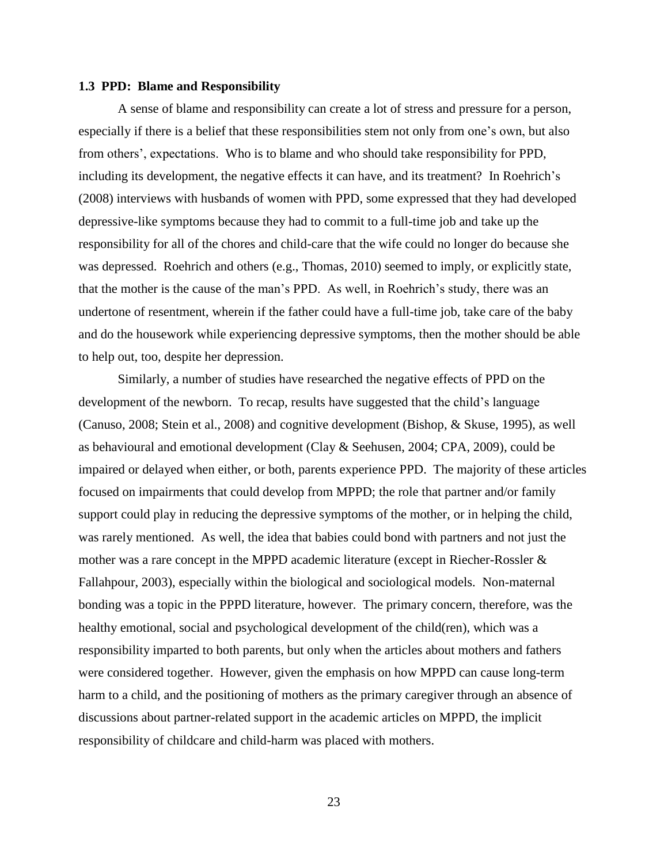#### **1.3 PPD: Blame and Responsibility**

A sense of blame and responsibility can create a lot of stress and pressure for a person, especially if there is a belief that these responsibilities stem not only from one's own, but also from others', expectations. Who is to blame and who should take responsibility for PPD, including its development, the negative effects it can have, and its treatment? In Roehrich's (2008) interviews with husbands of women with PPD, some expressed that they had developed depressive-like symptoms because they had to commit to a full-time job and take up the responsibility for all of the chores and child-care that the wife could no longer do because she was depressed. Roehrich and others (e.g., Thomas, 2010) seemed to imply, or explicitly state, that the mother is the cause of the man's PPD. As well, in Roehrich's study, there was an undertone of resentment, wherein if the father could have a full-time job, take care of the baby and do the housework while experiencing depressive symptoms, then the mother should be able to help out, too, despite her depression.

Similarly, a number of studies have researched the negative effects of PPD on the development of the newborn. To recap, results have suggested that the child's language (Canuso, 2008; Stein et al., 2008) and cognitive development (Bishop, & Skuse, 1995), as well as behavioural and emotional development (Clay & Seehusen, 2004; CPA, 2009), could be impaired or delayed when either, or both, parents experience PPD. The majority of these articles focused on impairments that could develop from MPPD; the role that partner and/or family support could play in reducing the depressive symptoms of the mother, or in helping the child, was rarely mentioned. As well, the idea that babies could bond with partners and not just the mother was a rare concept in the MPPD academic literature (except in Riecher-Rossler & Fallahpour, 2003), especially within the biological and sociological models. Non-maternal bonding was a topic in the PPPD literature, however. The primary concern, therefore, was the healthy emotional, social and psychological development of the child(ren), which was a responsibility imparted to both parents, but only when the articles about mothers and fathers were considered together. However, given the emphasis on how MPPD can cause long-term harm to a child, and the positioning of mothers as the primary caregiver through an absence of discussions about partner-related support in the academic articles on MPPD, the implicit responsibility of childcare and child-harm was placed with mothers.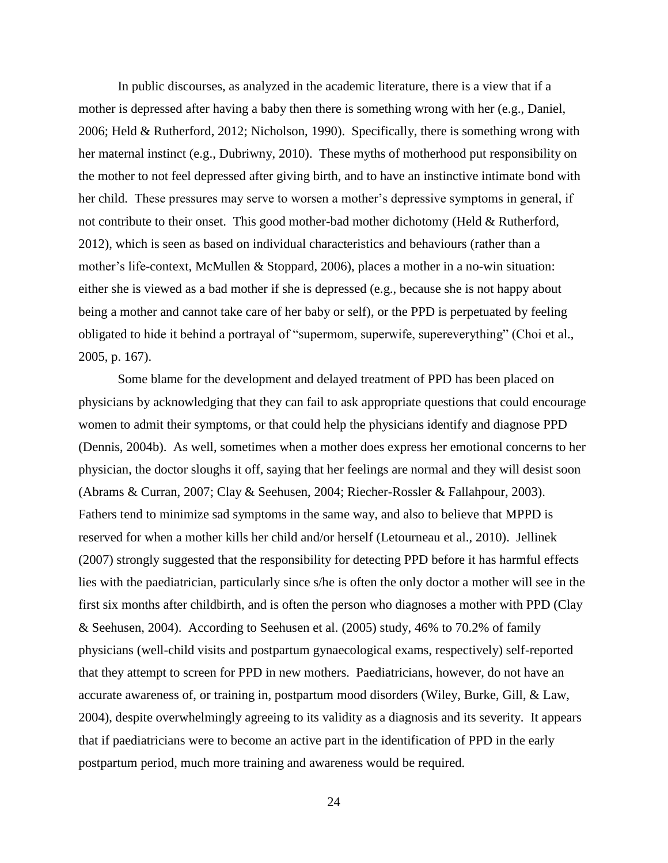In public discourses, as analyzed in the academic literature, there is a view that if a mother is depressed after having a baby then there is something wrong with her (e.g., Daniel, 2006; Held & Rutherford, 2012; Nicholson, 1990). Specifically, there is something wrong with her maternal instinct (e.g., Dubriwny, 2010). These myths of motherhood put responsibility on the mother to not feel depressed after giving birth, and to have an instinctive intimate bond with her child. These pressures may serve to worsen a mother's depressive symptoms in general, if not contribute to their onset. This good mother-bad mother dichotomy (Held & Rutherford, 2012), which is seen as based on individual characteristics and behaviours (rather than a mother's life-context, McMullen & Stoppard, 2006), places a mother in a no-win situation: either she is viewed as a bad mother if she is depressed (e.g., because she is not happy about being a mother and cannot take care of her baby or self), or the PPD is perpetuated by feeling obligated to hide it behind a portrayal of "supermom, superwife, supereverything" (Choi et al., 2005, p. 167).

Some blame for the development and delayed treatment of PPD has been placed on physicians by acknowledging that they can fail to ask appropriate questions that could encourage women to admit their symptoms, or that could help the physicians identify and diagnose PPD (Dennis, 2004b). As well, sometimes when a mother does express her emotional concerns to her physician, the doctor sloughs it off, saying that her feelings are normal and they will desist soon (Abrams & Curran, 2007; Clay & Seehusen, 2004; Riecher-Rossler & Fallahpour, 2003). Fathers tend to minimize sad symptoms in the same way, and also to believe that MPPD is reserved for when a mother kills her child and/or herself (Letourneau et al., 2010). Jellinek (2007) strongly suggested that the responsibility for detecting PPD before it has harmful effects lies with the paediatrician, particularly since s/he is often the only doctor a mother will see in the first six months after childbirth, and is often the person who diagnoses a mother with PPD (Clay & Seehusen, 2004). According to Seehusen et al. (2005) study, 46% to 70.2% of family physicians (well-child visits and postpartum gynaecological exams, respectively) self-reported that they attempt to screen for PPD in new mothers. Paediatricians, however, do not have an accurate awareness of, or training in, postpartum mood disorders (Wiley, Burke, Gill, & Law, 2004), despite overwhelmingly agreeing to its validity as a diagnosis and its severity. It appears that if paediatricians were to become an active part in the identification of PPD in the early postpartum period, much more training and awareness would be required.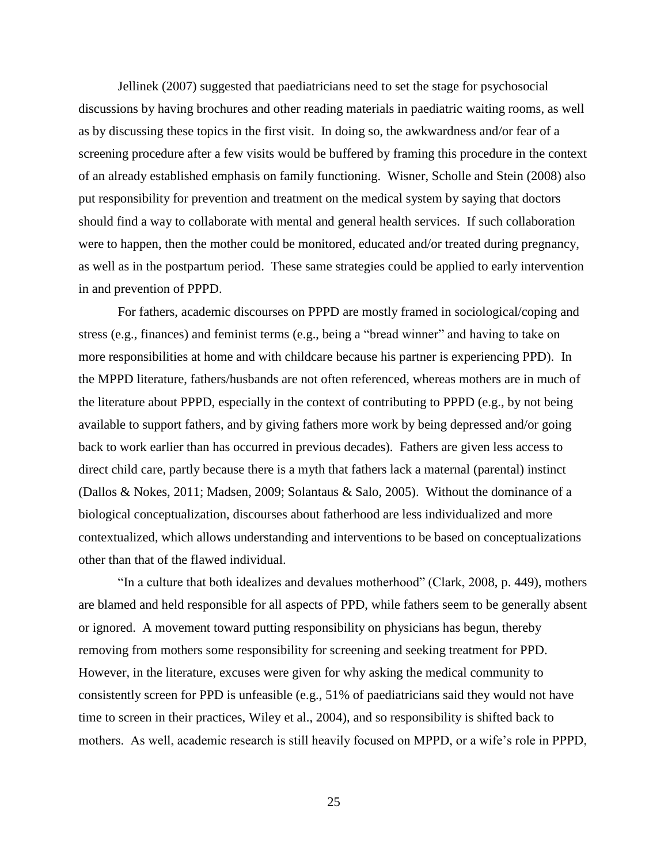Jellinek (2007) suggested that paediatricians need to set the stage for psychosocial discussions by having brochures and other reading materials in paediatric waiting rooms, as well as by discussing these topics in the first visit. In doing so, the awkwardness and/or fear of a screening procedure after a few visits would be buffered by framing this procedure in the context of an already established emphasis on family functioning. Wisner, Scholle and Stein (2008) also put responsibility for prevention and treatment on the medical system by saying that doctors should find a way to collaborate with mental and general health services. If such collaboration were to happen, then the mother could be monitored, educated and/or treated during pregnancy, as well as in the postpartum period. These same strategies could be applied to early intervention in and prevention of PPPD.

For fathers, academic discourses on PPPD are mostly framed in sociological/coping and stress (e.g., finances) and feminist terms (e.g., being a "bread winner" and having to take on more responsibilities at home and with childcare because his partner is experiencing PPD). In the MPPD literature, fathers/husbands are not often referenced, whereas mothers are in much of the literature about PPPD, especially in the context of contributing to PPPD (e.g., by not being available to support fathers, and by giving fathers more work by being depressed and/or going back to work earlier than has occurred in previous decades). Fathers are given less access to direct child care, partly because there is a myth that fathers lack a maternal (parental) instinct (Dallos & Nokes, 2011; Madsen, 2009; Solantaus & Salo, 2005). Without the dominance of a biological conceptualization, discourses about fatherhood are less individualized and more contextualized, which allows understanding and interventions to be based on conceptualizations other than that of the flawed individual.

"In a culture that both idealizes and devalues motherhood" (Clark, 2008, p. 449), mothers are blamed and held responsible for all aspects of PPD, while fathers seem to be generally absent or ignored. A movement toward putting responsibility on physicians has begun, thereby removing from mothers some responsibility for screening and seeking treatment for PPD. However, in the literature, excuses were given for why asking the medical community to consistently screen for PPD is unfeasible (e.g., 51% of paediatricians said they would not have time to screen in their practices, Wiley et al., 2004), and so responsibility is shifted back to mothers. As well, academic research is still heavily focused on MPPD, or a wife's role in PPPD,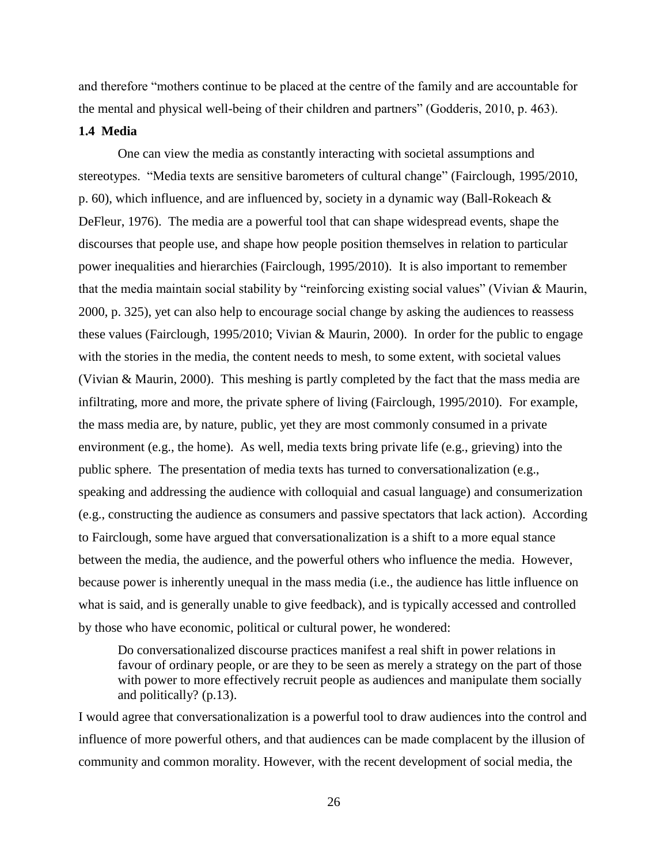and therefore "mothers continue to be placed at the centre of the family and are accountable for the mental and physical well-being of their children and partners" (Godderis, 2010, p. 463).

### **1.4 Media**

One can view the media as constantly interacting with societal assumptions and stereotypes. "Media texts are sensitive barometers of cultural change" (Fairclough, 1995/2010, p. 60), which influence, and are influenced by, society in a dynamic way (Ball-Rokeach & DeFleur, 1976). The media are a powerful tool that can shape widespread events, shape the discourses that people use, and shape how people position themselves in relation to particular power inequalities and hierarchies (Fairclough, 1995/2010). It is also important to remember that the media maintain social stability by "reinforcing existing social values" (Vivian & Maurin, 2000, p. 325), yet can also help to encourage social change by asking the audiences to reassess these values (Fairclough, 1995/2010; Vivian & Maurin, 2000). In order for the public to engage with the stories in the media, the content needs to mesh, to some extent, with societal values (Vivian & Maurin, 2000). This meshing is partly completed by the fact that the mass media are infiltrating, more and more, the private sphere of living (Fairclough, 1995/2010). For example, the mass media are, by nature, public, yet they are most commonly consumed in a private environment (e.g., the home). As well, media texts bring private life (e.g., grieving) into the public sphere. The presentation of media texts has turned to conversationalization (e.g., speaking and addressing the audience with colloquial and casual language) and consumerization (e.g., constructing the audience as consumers and passive spectators that lack action). According to Fairclough, some have argued that conversationalization is a shift to a more equal stance between the media, the audience, and the powerful others who influence the media. However, because power is inherently unequal in the mass media (i.e., the audience has little influence on what is said, and is generally unable to give feedback), and is typically accessed and controlled by those who have economic, political or cultural power, he wondered:

Do conversationalized discourse practices manifest a real shift in power relations in favour of ordinary people, or are they to be seen as merely a strategy on the part of those with power to more effectively recruit people as audiences and manipulate them socially and politically? (p.13).

I would agree that conversationalization is a powerful tool to draw audiences into the control and influence of more powerful others, and that audiences can be made complacent by the illusion of community and common morality. However, with the recent development of social media, the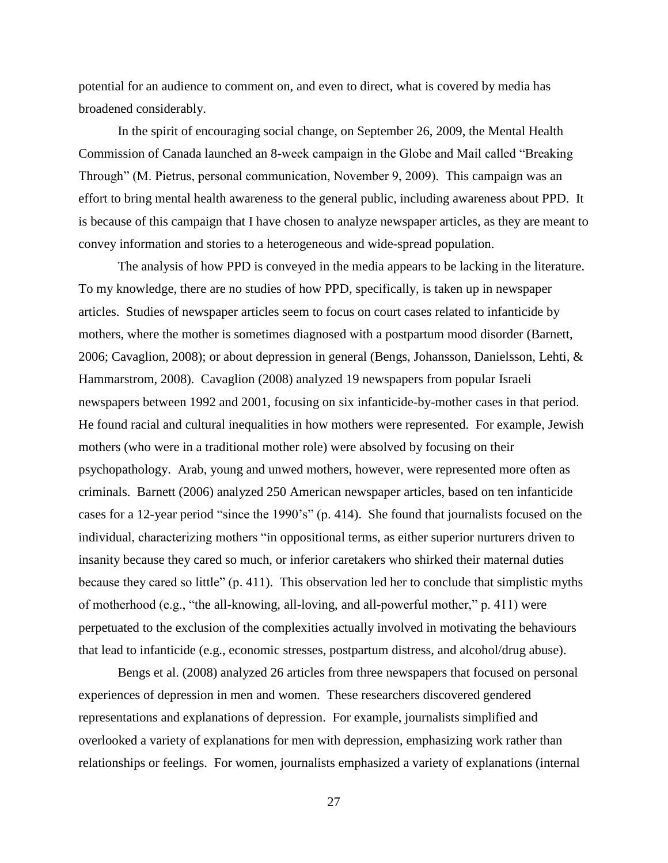potential for an audience to comment on, and even to direct, what is covered by media has broadened considerably.

In the spirit of encouraging social change, on September 26, 2009, the Mental Health Commission of Canada launched an 8-week campaign in the Globe and Mail called "Breaking Through" (M. Pietrus, personal communication, November 9, 2009). This campaign was an effort to bring mental health awareness to the general public, including awareness about PPD. It is because of this campaign that I have chosen to analyze newspaper articles, as they are meant to convey information and stories to a heterogeneous and wide-spread population.

The analysis of how PPD is conveyed in the media appears to be lacking in the literature. To my knowledge, there are no studies of how PPD, specifically, is taken up in newspaper articles. Studies of newspaper articles seem to focus on court cases related to infanticide by mothers, where the mother is sometimes diagnosed with a postpartum mood disorder (Barnett, 2006; Cavaglion, 2008); or about depression in general (Bengs, Johansson, Danielsson, Lehti, & Hammarstrom, 2008). Cavaglion (2008) analyzed 19 newspapers from popular Israeli newspapers between 1992 and 2001, focusing on six infanticide-by-mother cases in that period. He found racial and cultural inequalities in how mothers were represented. For example, Jewish mothers (who were in a traditional mother role) were absolved by focusing on their psychopathology. Arab, young and unwed mothers, however, were represented more often as criminals. Barnett (2006) analyzed 250 American newspaper articles, based on ten infanticide cases for a 12-year period "since the 1990's" (p. 414). She found that journalists focused on the individual, characterizing mothers "in oppositional terms, as either superior nurturers driven to insanity because they cared so much, or inferior caretakers who shirked their maternal duties because they cared so little" (p. 411). This observation led her to conclude that simplistic myths of motherhood (e.g., "the all-knowing, all-loving, and all-powerful mother," p. 411) were perpetuated to the exclusion of the complexities actually involved in motivating the behaviours that lead to infanticide (e.g., economic stresses, postpartum distress, and alcohol/drug abuse).

Bengs et al. (2008) analyzed 26 articles from three newspapers that focused on personal experiences of depression in men and women. These researchers discovered gendered representations and explanations of depression. For example, journalists simplified and overlooked a variety of explanations for men with depression, emphasizing work rather than relationships or feelings. For women, journalists emphasized a variety of explanations (internal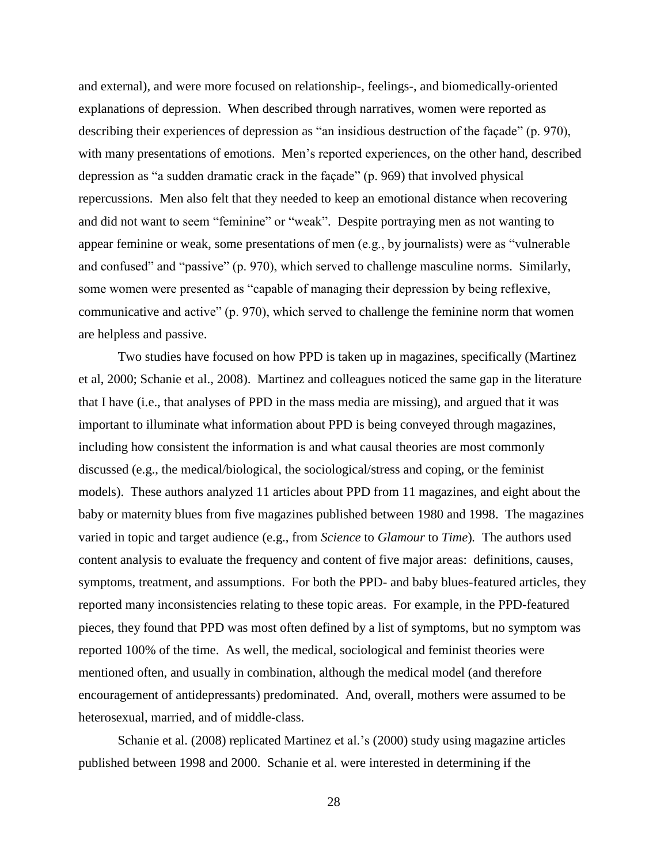and external), and were more focused on relationship-, feelings-, and biomedically-oriented explanations of depression. When described through narratives, women were reported as describing their experiences of depression as "an insidious destruction of the façade" (p. 970), with many presentations of emotions. Men's reported experiences, on the other hand, described depression as "a sudden dramatic crack in the façade" (p. 969) that involved physical repercussions. Men also felt that they needed to keep an emotional distance when recovering and did not want to seem "feminine" or "weak". Despite portraying men as not wanting to appear feminine or weak, some presentations of men (e.g., by journalists) were as "vulnerable and confused" and "passive" (p. 970), which served to challenge masculine norms. Similarly, some women were presented as "capable of managing their depression by being reflexive, communicative and active" (p. 970), which served to challenge the feminine norm that women are helpless and passive.

Two studies have focused on how PPD is taken up in magazines, specifically (Martinez et al, 2000; Schanie et al., 2008). Martinez and colleagues noticed the same gap in the literature that I have (i.e., that analyses of PPD in the mass media are missing), and argued that it was important to illuminate what information about PPD is being conveyed through magazines, including how consistent the information is and what causal theories are most commonly discussed (e.g., the medical/biological, the sociological/stress and coping, or the feminist models). These authors analyzed 11 articles about PPD from 11 magazines, and eight about the baby or maternity blues from five magazines published between 1980 and 1998. The magazines varied in topic and target audience (e.g., from *Science* to *Glamour* to *Time*)*.* The authors used content analysis to evaluate the frequency and content of five major areas: definitions, causes, symptoms, treatment, and assumptions. For both the PPD- and baby blues-featured articles, they reported many inconsistencies relating to these topic areas. For example, in the PPD-featured pieces, they found that PPD was most often defined by a list of symptoms, but no symptom was reported 100% of the time. As well, the medical, sociological and feminist theories were mentioned often, and usually in combination, although the medical model (and therefore encouragement of antidepressants) predominated. And, overall, mothers were assumed to be heterosexual, married, and of middle-class.

Schanie et al. (2008) replicated Martinez et al.'s (2000) study using magazine articles published between 1998 and 2000. Schanie et al. were interested in determining if the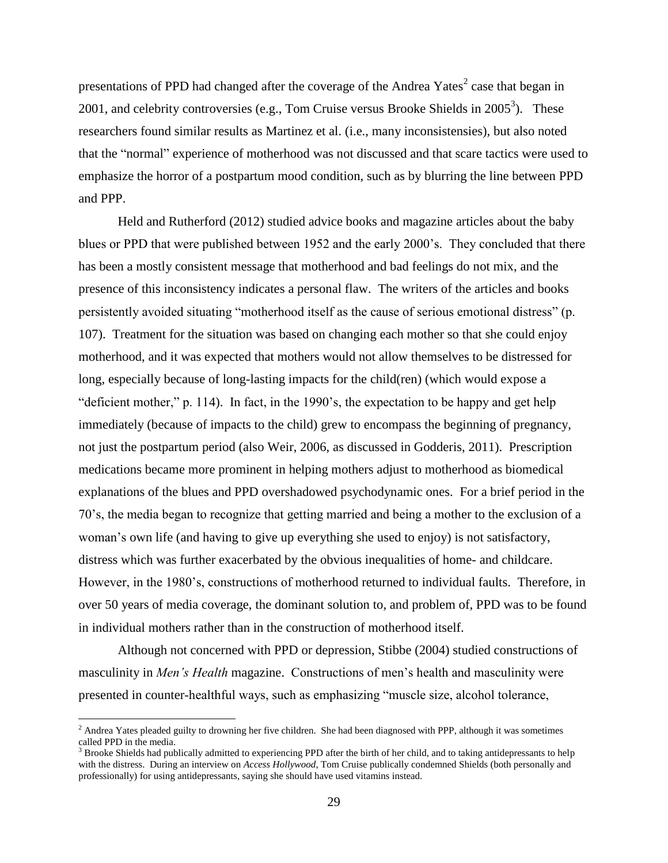presentations of PPD had changed after the coverage of the Andrea Yates<sup>2</sup> case that began in 2001, and celebrity controversies (e.g., Tom Cruise versus Brooke Shields in  $2005^3$ ). These researchers found similar results as Martinez et al. (i.e., many inconsistensies), but also noted that the "normal" experience of motherhood was not discussed and that scare tactics were used to emphasize the horror of a postpartum mood condition, such as by blurring the line between PPD and PPP.

Held and Rutherford (2012) studied advice books and magazine articles about the baby blues or PPD that were published between 1952 and the early 2000's. They concluded that there has been a mostly consistent message that motherhood and bad feelings do not mix, and the presence of this inconsistency indicates a personal flaw. The writers of the articles and books persistently avoided situating "motherhood itself as the cause of serious emotional distress" (p. 107). Treatment for the situation was based on changing each mother so that she could enjoy motherhood, and it was expected that mothers would not allow themselves to be distressed for long, especially because of long-lasting impacts for the child(ren) (which would expose a "deficient mother," p. 114). In fact, in the 1990's, the expectation to be happy and get help immediately (because of impacts to the child) grew to encompass the beginning of pregnancy, not just the postpartum period (also Weir, 2006, as discussed in Godderis, 2011). Prescription medications became more prominent in helping mothers adjust to motherhood as biomedical explanations of the blues and PPD overshadowed psychodynamic ones. For a brief period in the 70's, the media began to recognize that getting married and being a mother to the exclusion of a woman's own life (and having to give up everything she used to enjoy) is not satisfactory, distress which was further exacerbated by the obvious inequalities of home- and childcare. However, in the 1980's, constructions of motherhood returned to individual faults. Therefore, in over 50 years of media coverage, the dominant solution to, and problem of, PPD was to be found in individual mothers rather than in the construction of motherhood itself.

Although not concerned with PPD or depression, Stibbe (2004) studied constructions of masculinity in *Men's Health* magazine. Constructions of men's health and masculinity were presented in counter-healthful ways, such as emphasizing "muscle size, alcohol tolerance,

 $\overline{a}$ 

 $<sup>2</sup>$  Andrea Yates pleaded guilty to drowning her five children. She had been diagnosed with PPP, although it was sometimes</sup> called PPD in the media.

<sup>3</sup> Brooke Shields had publically admitted to experiencing PPD after the birth of her child, and to taking antidepressants to help with the distress. During an interview on *Access Hollywood*, Tom Cruise publically condemned Shields (both personally and professionally) for using antidepressants, saying she should have used vitamins instead.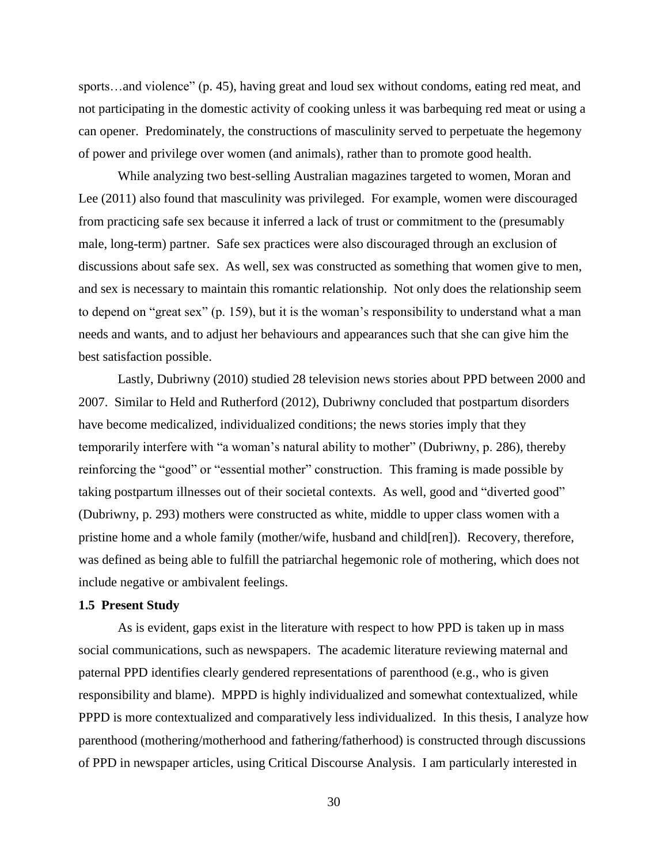sports…and violence" (p. 45), having great and loud sex without condoms, eating red meat, and not participating in the domestic activity of cooking unless it was barbequing red meat or using a can opener. Predominately, the constructions of masculinity served to perpetuate the hegemony of power and privilege over women (and animals), rather than to promote good health.

While analyzing two best-selling Australian magazines targeted to women, Moran and Lee (2011) also found that masculinity was privileged. For example, women were discouraged from practicing safe sex because it inferred a lack of trust or commitment to the (presumably male, long-term) partner. Safe sex practices were also discouraged through an exclusion of discussions about safe sex. As well, sex was constructed as something that women give to men, and sex is necessary to maintain this romantic relationship. Not only does the relationship seem to depend on "great sex" (p. 159), but it is the woman's responsibility to understand what a man needs and wants, and to adjust her behaviours and appearances such that she can give him the best satisfaction possible.

Lastly, Dubriwny (2010) studied 28 television news stories about PPD between 2000 and 2007. Similar to Held and Rutherford (2012), Dubriwny concluded that postpartum disorders have become medicalized, individualized conditions; the news stories imply that they temporarily interfere with "a woman's natural ability to mother" (Dubriwny, p. 286), thereby reinforcing the "good" or "essential mother" construction. This framing is made possible by taking postpartum illnesses out of their societal contexts. As well, good and "diverted good" (Dubriwny, p. 293) mothers were constructed as white, middle to upper class women with a pristine home and a whole family (mother/wife, husband and child[ren]). Recovery, therefore, was defined as being able to fulfill the patriarchal hegemonic role of mothering, which does not include negative or ambivalent feelings.

# **1.5 Present Study**

As is evident, gaps exist in the literature with respect to how PPD is taken up in mass social communications, such as newspapers. The academic literature reviewing maternal and paternal PPD identifies clearly gendered representations of parenthood (e.g., who is given responsibility and blame). MPPD is highly individualized and somewhat contextualized, while PPPD is more contextualized and comparatively less individualized. In this thesis, I analyze how parenthood (mothering/motherhood and fathering/fatherhood) is constructed through discussions of PPD in newspaper articles, using Critical Discourse Analysis. I am particularly interested in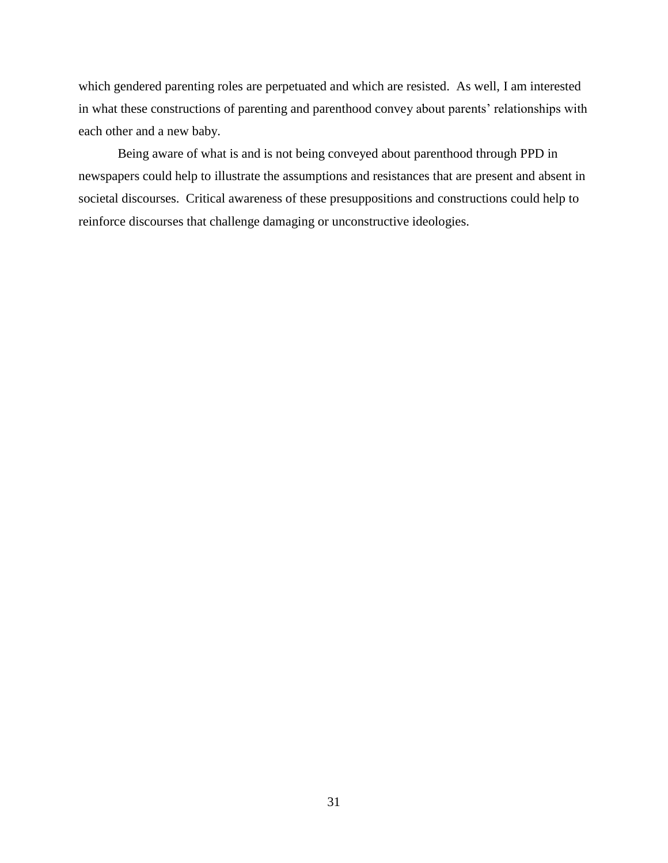which gendered parenting roles are perpetuated and which are resisted. As well, I am interested in what these constructions of parenting and parenthood convey about parents' relationships with each other and a new baby.

Being aware of what is and is not being conveyed about parenthood through PPD in newspapers could help to illustrate the assumptions and resistances that are present and absent in societal discourses. Critical awareness of these presuppositions and constructions could help to reinforce discourses that challenge damaging or unconstructive ideologies.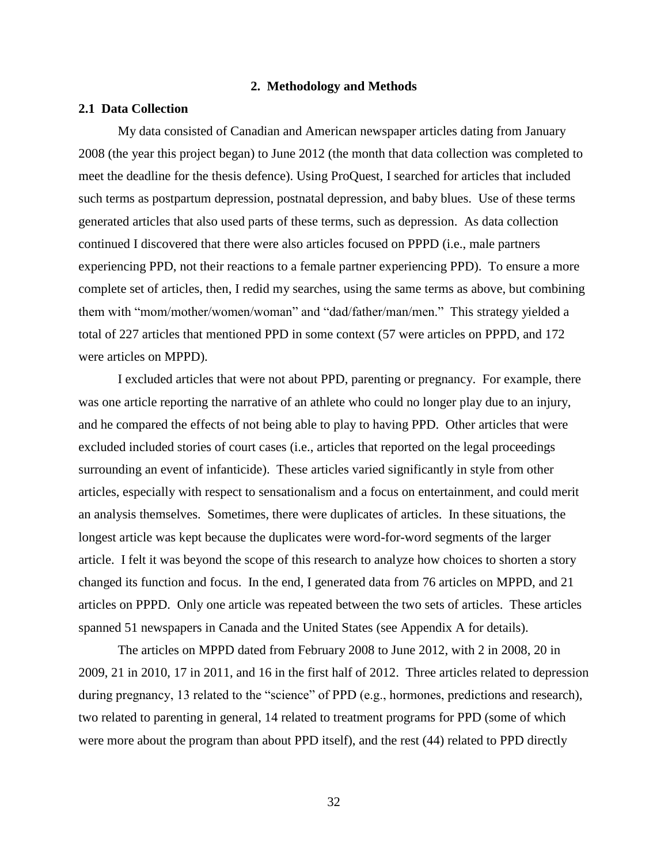### **2. Methodology and Methods**

## **2.1 Data Collection**

My data consisted of Canadian and American newspaper articles dating from January 2008 (the year this project began) to June 2012 (the month that data collection was completed to meet the deadline for the thesis defence). Using ProQuest, I searched for articles that included such terms as postpartum depression, postnatal depression, and baby blues. Use of these terms generated articles that also used parts of these terms, such as depression. As data collection continued I discovered that there were also articles focused on PPPD (i.e., male partners experiencing PPD, not their reactions to a female partner experiencing PPD). To ensure a more complete set of articles, then, I redid my searches, using the same terms as above, but combining them with "mom/mother/women/woman" and "dad/father/man/men." This strategy yielded a total of 227 articles that mentioned PPD in some context (57 were articles on PPPD, and 172 were articles on MPPD).

I excluded articles that were not about PPD, parenting or pregnancy. For example, there was one article reporting the narrative of an athlete who could no longer play due to an injury, and he compared the effects of not being able to play to having PPD. Other articles that were excluded included stories of court cases (i.e., articles that reported on the legal proceedings surrounding an event of infanticide). These articles varied significantly in style from other articles, especially with respect to sensationalism and a focus on entertainment, and could merit an analysis themselves. Sometimes, there were duplicates of articles. In these situations, the longest article was kept because the duplicates were word-for-word segments of the larger article. I felt it was beyond the scope of this research to analyze how choices to shorten a story changed its function and focus. In the end, I generated data from 76 articles on MPPD, and 21 articles on PPPD. Only one article was repeated between the two sets of articles. These articles spanned 51 newspapers in Canada and the United States (see Appendix A for details).

The articles on MPPD dated from February 2008 to June 2012, with 2 in 2008, 20 in 2009, 21 in 2010, 17 in 2011, and 16 in the first half of 2012. Three articles related to depression during pregnancy, 13 related to the "science" of PPD (e.g., hormones, predictions and research), two related to parenting in general, 14 related to treatment programs for PPD (some of which were more about the program than about PPD itself), and the rest (44) related to PPD directly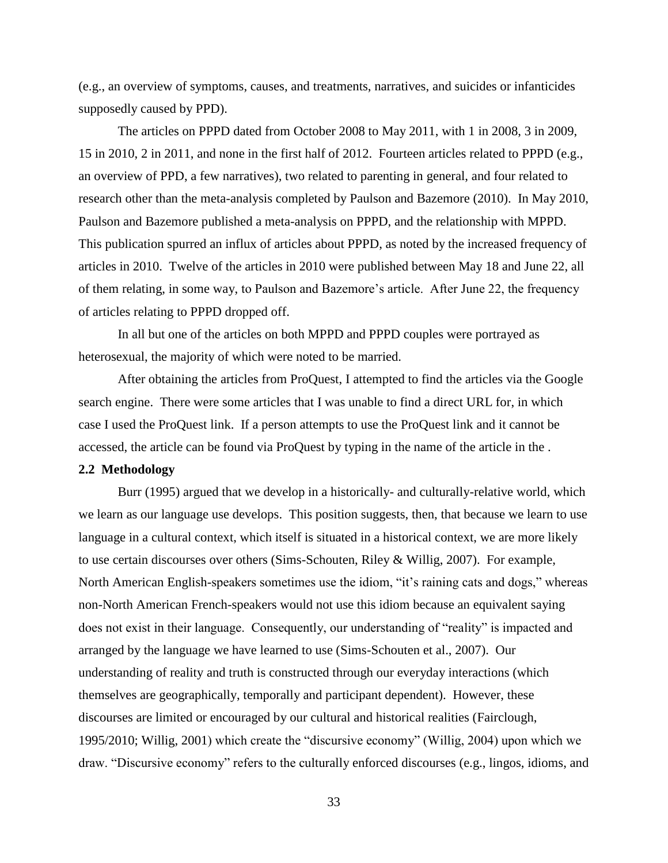(e.g., an overview of symptoms, causes, and treatments, narratives, and suicides or infanticides supposedly caused by PPD).

The articles on PPPD dated from October 2008 to May 2011, with 1 in 2008, 3 in 2009, 15 in 2010, 2 in 2011, and none in the first half of 2012. Fourteen articles related to PPPD (e.g., an overview of PPD, a few narratives), two related to parenting in general, and four related to research other than the meta-analysis completed by Paulson and Bazemore (2010). In May 2010, Paulson and Bazemore published a meta-analysis on PPPD, and the relationship with MPPD. This publication spurred an influx of articles about PPPD, as noted by the increased frequency of articles in 2010. Twelve of the articles in 2010 were published between May 18 and June 22, all of them relating, in some way, to Paulson and Bazemore's article. After June 22, the frequency of articles relating to PPPD dropped off.

In all but one of the articles on both MPPD and PPPD couples were portrayed as heterosexual, the majority of which were noted to be married.

After obtaining the articles from ProQuest, I attempted to find the articles via the Google search engine. There were some articles that I was unable to find a direct URL for, in which case I used the ProQuest link. If a person attempts to use the ProQuest link and it cannot be accessed, the article can be found via ProQuest by typing in the name of the article in the .

## **2.2 Methodology**

Burr (1995) argued that we develop in a historically- and culturally-relative world, which we learn as our language use develops. This position suggests, then, that because we learn to use language in a cultural context, which itself is situated in a historical context, we are more likely to use certain discourses over others (Sims-Schouten, Riley & Willig, 2007). For example, North American English-speakers sometimes use the idiom, "it's raining cats and dogs," whereas non-North American French-speakers would not use this idiom because an equivalent saying does not exist in their language. Consequently, our understanding of "reality" is impacted and arranged by the language we have learned to use (Sims-Schouten et al., 2007). Our understanding of reality and truth is constructed through our everyday interactions (which themselves are geographically, temporally and participant dependent). However, these discourses are limited or encouraged by our cultural and historical realities (Fairclough, 1995/2010; Willig, 2001) which create the "discursive economy" (Willig, 2004) upon which we draw. "Discursive economy" refers to the culturally enforced discourses (e.g., lingos, idioms, and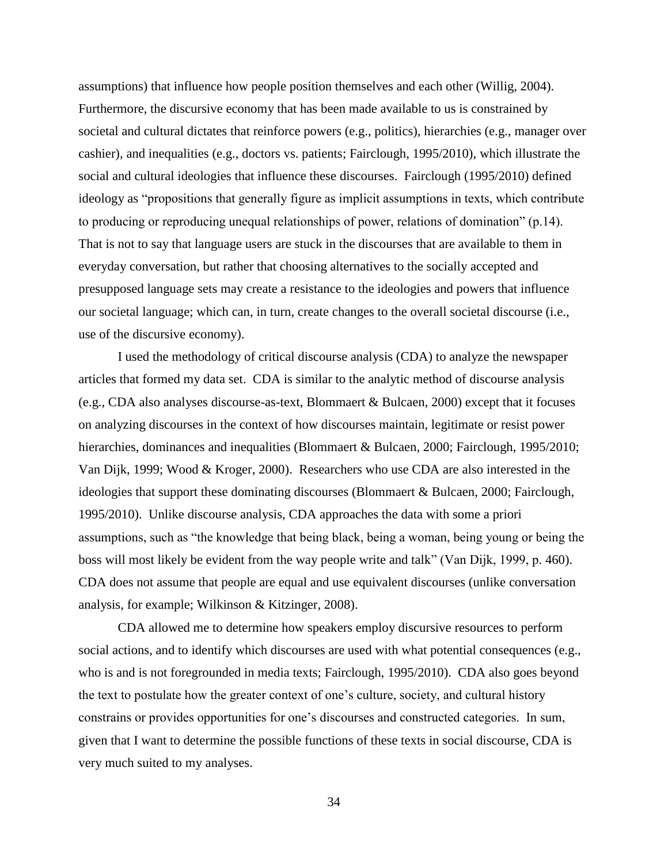assumptions) that influence how people position themselves and each other (Willig, 2004). Furthermore, the discursive economy that has been made available to us is constrained by societal and cultural dictates that reinforce powers (e.g., politics), hierarchies (e.g., manager over cashier), and inequalities (e.g., doctors vs. patients; Fairclough, 1995/2010), which illustrate the social and cultural ideologies that influence these discourses. Fairclough (1995/2010) defined ideology as "propositions that generally figure as implicit assumptions in texts, which contribute to producing or reproducing unequal relationships of power, relations of domination" (p.14). That is not to say that language users are stuck in the discourses that are available to them in everyday conversation, but rather that choosing alternatives to the socially accepted and presupposed language sets may create a resistance to the ideologies and powers that influence our societal language; which can, in turn, create changes to the overall societal discourse (i.e., use of the discursive economy).

I used the methodology of critical discourse analysis (CDA) to analyze the newspaper articles that formed my data set. CDA is similar to the analytic method of discourse analysis (e.g., CDA also analyses discourse-as-text, Blommaert & Bulcaen, 2000) except that it focuses on analyzing discourses in the context of how discourses maintain, legitimate or resist power hierarchies, dominances and inequalities (Blommaert & Bulcaen, 2000; Fairclough, 1995/2010; Van Dijk, 1999; Wood & Kroger, 2000). Researchers who use CDA are also interested in the ideologies that support these dominating discourses (Blommaert & Bulcaen, 2000; Fairclough, 1995/2010). Unlike discourse analysis, CDA approaches the data with some a priori assumptions, such as "the knowledge that being black, being a woman, being young or being the boss will most likely be evident from the way people write and talk" (Van Dijk, 1999, p. 460). CDA does not assume that people are equal and use equivalent discourses (unlike conversation analysis, for example; Wilkinson & Kitzinger, 2008).

CDA allowed me to determine how speakers employ discursive resources to perform social actions, and to identify which discourses are used with what potential consequences (e.g., who is and is not foregrounded in media texts; Fairclough, 1995/2010). CDA also goes beyond the text to postulate how the greater context of one's culture, society, and cultural history constrains or provides opportunities for one's discourses and constructed categories. In sum, given that I want to determine the possible functions of these texts in social discourse, CDA is very much suited to my analyses.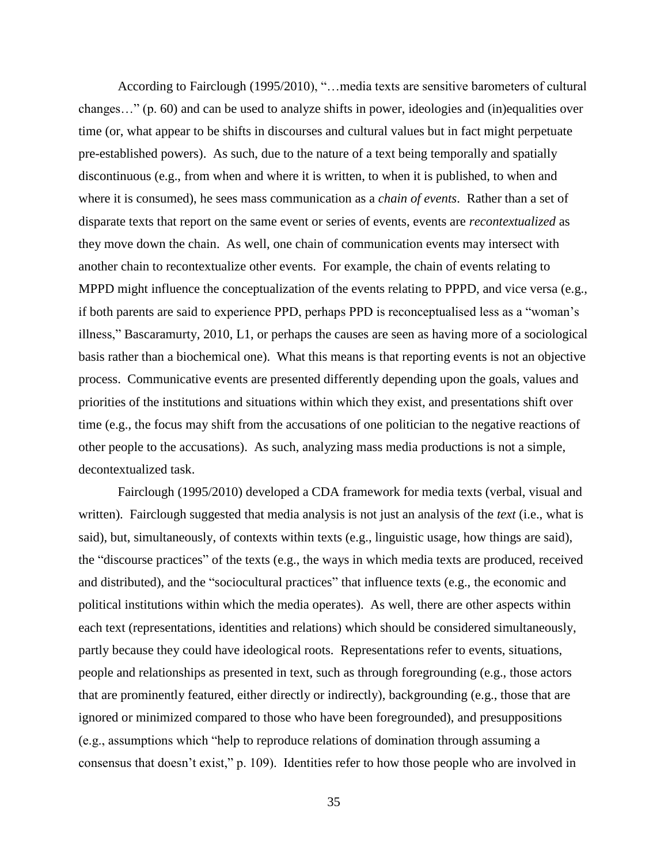According to Fairclough (1995/2010), "…media texts are sensitive barometers of cultural changes…" (p. 60) and can be used to analyze shifts in power, ideologies and (in)equalities over time (or, what appear to be shifts in discourses and cultural values but in fact might perpetuate pre-established powers). As such, due to the nature of a text being temporally and spatially discontinuous (e.g., from when and where it is written, to when it is published, to when and where it is consumed), he sees mass communication as a *chain of events*. Rather than a set of disparate texts that report on the same event or series of events, events are *recontextualized* as they move down the chain. As well, one chain of communication events may intersect with another chain to recontextualize other events. For example, the chain of events relating to MPPD might influence the conceptualization of the events relating to PPPD, and vice versa (e.g., if both parents are said to experience PPD, perhaps PPD is reconceptualised less as a "woman's illness," Bascaramurty, 2010, L1, or perhaps the causes are seen as having more of a sociological basis rather than a biochemical one). What this means is that reporting events is not an objective process. Communicative events are presented differently depending upon the goals, values and priorities of the institutions and situations within which they exist, and presentations shift over time (e.g., the focus may shift from the accusations of one politician to the negative reactions of other people to the accusations). As such, analyzing mass media productions is not a simple, decontextualized task.

Fairclough (1995/2010) developed a CDA framework for media texts (verbal, visual and written). Fairclough suggested that media analysis is not just an analysis of the *text* (i.e., what is said), but, simultaneously, of contexts within texts (e.g., linguistic usage, how things are said), the "discourse practices" of the texts (e.g., the ways in which media texts are produced, received and distributed), and the "sociocultural practices" that influence texts (e.g., the economic and political institutions within which the media operates). As well, there are other aspects within each text (representations, identities and relations) which should be considered simultaneously, partly because they could have ideological roots. Representations refer to events, situations, people and relationships as presented in text, such as through foregrounding (e.g., those actors that are prominently featured, either directly or indirectly), backgrounding (e.g., those that are ignored or minimized compared to those who have been foregrounded), and presuppositions (e.g., assumptions which "help to reproduce relations of domination through assuming a consensus that doesn't exist," p. 109). Identities refer to how those people who are involved in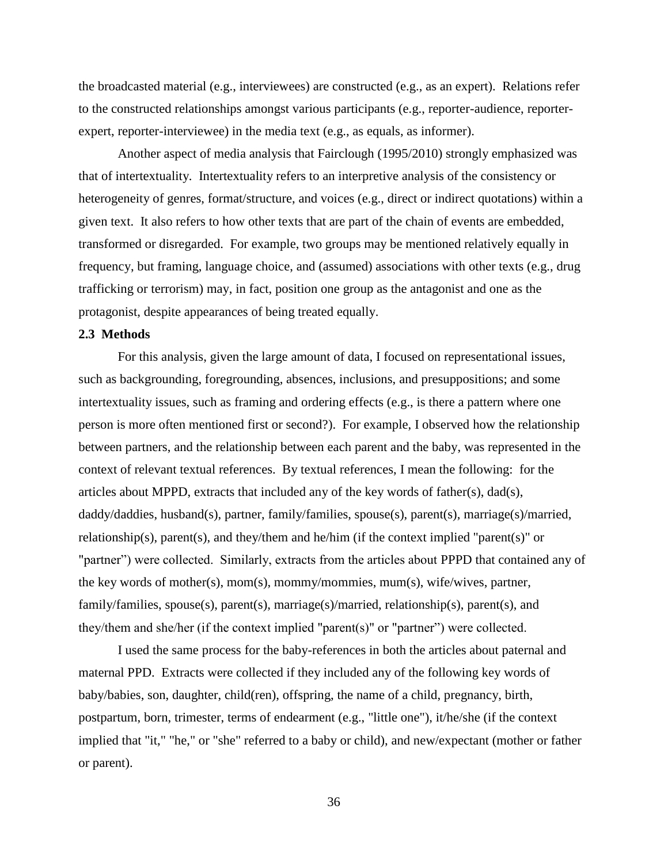the broadcasted material (e.g., interviewees) are constructed (e.g., as an expert). Relations refer to the constructed relationships amongst various participants (e.g., reporter-audience, reporterexpert, reporter-interviewee) in the media text (e.g., as equals, as informer).

Another aspect of media analysis that Fairclough (1995/2010) strongly emphasized was that of intertextuality. Intertextuality refers to an interpretive analysis of the consistency or heterogeneity of genres, format/structure, and voices (e.g., direct or indirect quotations) within a given text. It also refers to how other texts that are part of the chain of events are embedded, transformed or disregarded. For example, two groups may be mentioned relatively equally in frequency, but framing, language choice, and (assumed) associations with other texts (e.g., drug trafficking or terrorism) may, in fact, position one group as the antagonist and one as the protagonist, despite appearances of being treated equally.

#### **2.3 Methods**

For this analysis, given the large amount of data, I focused on representational issues, such as backgrounding, foregrounding, absences, inclusions, and presuppositions; and some intertextuality issues, such as framing and ordering effects (e.g., is there a pattern where one person is more often mentioned first or second?). For example, I observed how the relationship between partners, and the relationship between each parent and the baby, was represented in the context of relevant textual references. By textual references, I mean the following: for the articles about MPPD, extracts that included any of the key words of father(s), dad(s), daddy/daddies, husband(s), partner, family/families, spouse(s), parent(s), marriage(s)/married, relationship(s), parent(s), and they/them and he/him (if the context implied "parent(s)" or "partner") were collected. Similarly, extracts from the articles about PPPD that contained any of the key words of mother(s), mom(s), mommy/mommies, mum(s), wife/wives, partner, family/families, spouse(s), parent(s), marriage(s)/married, relationship(s), parent(s), and they/them and she/her (if the context implied "parent(s)" or "partner") were collected.

I used the same process for the baby-references in both the articles about paternal and maternal PPD. Extracts were collected if they included any of the following key words of baby/babies, son, daughter, child(ren), offspring, the name of a child, pregnancy, birth, postpartum, born, trimester, terms of endearment (e.g., "little one"), it/he/she (if the context implied that "it," "he," or "she" referred to a baby or child), and new/expectant (mother or father or parent).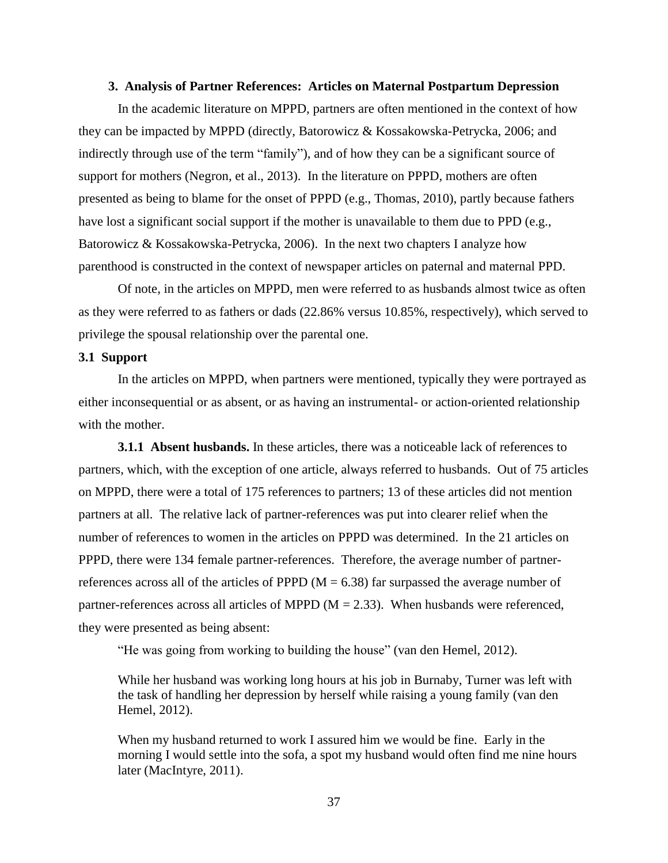### **3. Analysis of Partner References: Articles on Maternal Postpartum Depression**

In the academic literature on MPPD, partners are often mentioned in the context of how they can be impacted by MPPD (directly, Batorowicz & Kossakowska-Petrycka, 2006; and indirectly through use of the term "family"), and of how they can be a significant source of support for mothers (Negron, et al., 2013). In the literature on PPPD, mothers are often presented as being to blame for the onset of PPPD (e.g., Thomas, 2010), partly because fathers have lost a significant social support if the mother is unavailable to them due to PPD (e.g., Batorowicz & Kossakowska-Petrycka, 2006). In the next two chapters I analyze how parenthood is constructed in the context of newspaper articles on paternal and maternal PPD.

Of note, in the articles on MPPD, men were referred to as husbands almost twice as often as they were referred to as fathers or dads (22.86% versus 10.85%, respectively), which served to privilege the spousal relationship over the parental one.

## **3.1 Support**

In the articles on MPPD, when partners were mentioned, typically they were portrayed as either inconsequential or as absent, or as having an instrumental- or action-oriented relationship with the mother.

**3.1.1 Absent husbands.** In these articles, there was a noticeable lack of references to partners, which, with the exception of one article, always referred to husbands. Out of 75 articles on MPPD, there were a total of 175 references to partners; 13 of these articles did not mention partners at all. The relative lack of partner-references was put into clearer relief when the number of references to women in the articles on PPPD was determined. In the 21 articles on PPPD, there were 134 female partner-references. Therefore, the average number of partnerreferences across all of the articles of PPPD  $(M = 6.38)$  far surpassed the average number of partner-references across all articles of MPPD ( $M = 2.33$ ). When husbands were referenced, they were presented as being absent:

"He was going from working to building the house" (van den Hemel, 2012).

While her husband was working long hours at his job in Burnaby, Turner was left with the task of handling her depression by herself while raising a young family (van den Hemel, 2012).

When my husband returned to work I assured him we would be fine. Early in the morning I would settle into the sofa, a spot my husband would often find me nine hours later (MacIntyre, 2011).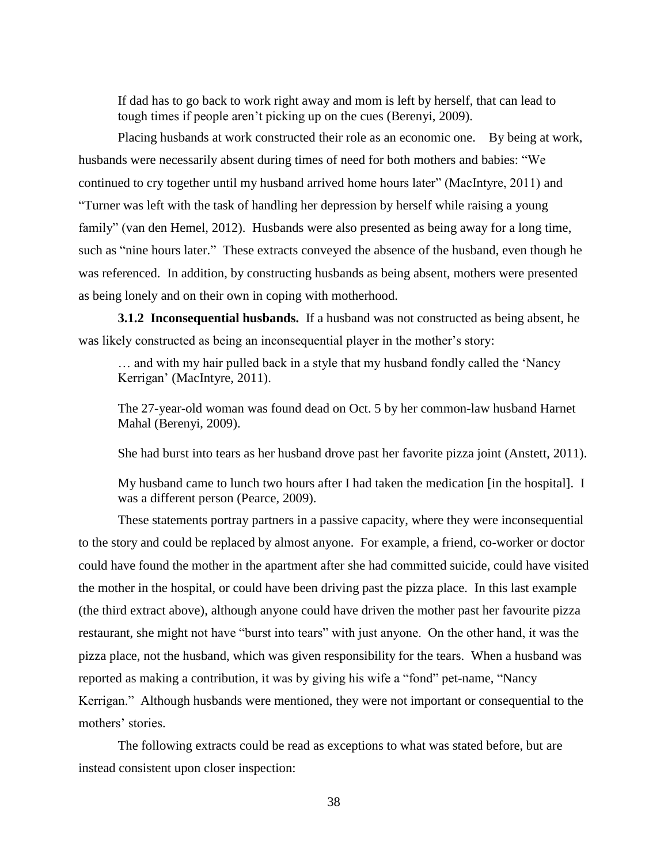If dad has to go back to work right away and mom is left by herself, that can lead to tough times if people aren't picking up on the cues (Berenyi, 2009).

Placing husbands at work constructed their role as an economic one. By being at work, husbands were necessarily absent during times of need for both mothers and babies: "We continued to cry together until my husband arrived home hours later" (MacIntyre, 2011) and "Turner was left with the task of handling her depression by herself while raising a young family" (van den Hemel, 2012). Husbands were also presented as being away for a long time, such as "nine hours later." These extracts conveyed the absence of the husband, even though he was referenced. In addition, by constructing husbands as being absent, mothers were presented as being lonely and on their own in coping with motherhood.

**3.1.2 Inconsequential husbands.** If a husband was not constructed as being absent, he was likely constructed as being an inconsequential player in the mother's story:

… and with my hair pulled back in a style that my husband fondly called the 'Nancy Kerrigan' (MacIntyre, 2011).

The 27-year-old woman was found dead on Oct. 5 by her common-law husband Harnet Mahal (Berenyi, 2009).

She had burst into tears as her husband drove past her favorite pizza joint (Anstett, 2011).

My husband came to lunch two hours after I had taken the medication [in the hospital]. I was a different person (Pearce, 2009).

These statements portray partners in a passive capacity, where they were inconsequential to the story and could be replaced by almost anyone. For example, a friend, co-worker or doctor could have found the mother in the apartment after she had committed suicide, could have visited the mother in the hospital, or could have been driving past the pizza place. In this last example (the third extract above), although anyone could have driven the mother past her favourite pizza restaurant, she might not have "burst into tears" with just anyone. On the other hand, it was the pizza place, not the husband, which was given responsibility for the tears. When a husband was reported as making a contribution, it was by giving his wife a "fond" pet-name, "Nancy Kerrigan." Although husbands were mentioned, they were not important or consequential to the mothers' stories.

The following extracts could be read as exceptions to what was stated before, but are instead consistent upon closer inspection: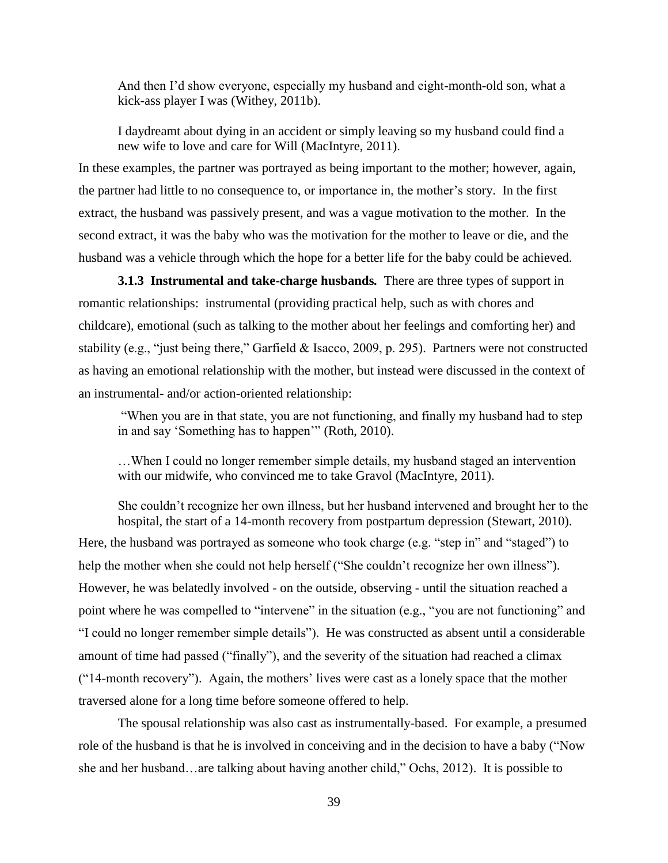And then I'd show everyone, especially my husband and eight-month-old son, what a kick-ass player I was (Withey, 2011b).

I daydreamt about dying in an accident or simply leaving so my husband could find a new wife to love and care for Will (MacIntyre, 2011).

In these examples, the partner was portrayed as being important to the mother; however, again, the partner had little to no consequence to, or importance in, the mother's story. In the first extract, the husband was passively present, and was a vague motivation to the mother. In the second extract, it was the baby who was the motivation for the mother to leave or die, and the husband was a vehicle through which the hope for a better life for the baby could be achieved.

**3.1.3 Instrumental and take-charge husbands***.* There are three types of support in romantic relationships: instrumental (providing practical help, such as with chores and childcare), emotional (such as talking to the mother about her feelings and comforting her) and stability (e.g., "just being there," Garfield & Isacco, 2009, p. 295). Partners were not constructed as having an emotional relationship with the mother, but instead were discussed in the context of an instrumental- and/or action-oriented relationship:

"When you are in that state, you are not functioning, and finally my husband had to step in and say 'Something has to happen'" (Roth, 2010).

…When I could no longer remember simple details, my husband staged an intervention with our midwife, who convinced me to take Gravol (MacIntyre, 2011).

She couldn't recognize her own illness, but her husband intervened and brought her to the hospital, the start of a 14-month recovery from postpartum depression (Stewart, 2010). Here, the husband was portrayed as someone who took charge (e.g. "step in" and "staged") to help the mother when she could not help herself ("She couldn't recognize her own illness"). However, he was belatedly involved - on the outside, observing - until the situation reached a point where he was compelled to "intervene" in the situation (e.g., "you are not functioning" and "I could no longer remember simple details"). He was constructed as absent until a considerable amount of time had passed ("finally"), and the severity of the situation had reached a climax ("14-month recovery"). Again, the mothers' lives were cast as a lonely space that the mother traversed alone for a long time before someone offered to help.

The spousal relationship was also cast as instrumentally-based. For example, a presumed role of the husband is that he is involved in conceiving and in the decision to have a baby ("Now she and her husband…are talking about having another child," Ochs, 2012). It is possible to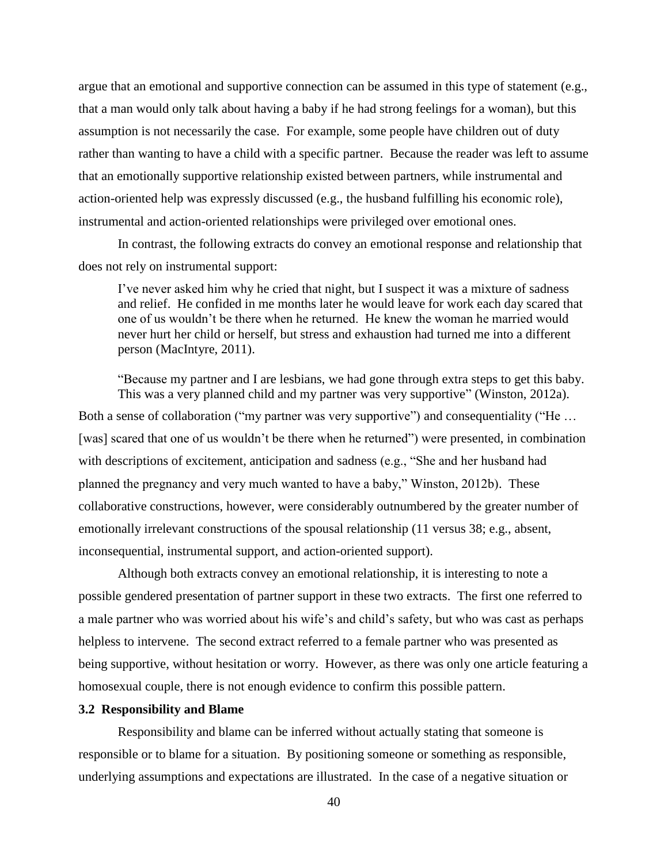argue that an emotional and supportive connection can be assumed in this type of statement (e.g., that a man would only talk about having a baby if he had strong feelings for a woman), but this assumption is not necessarily the case. For example, some people have children out of duty rather than wanting to have a child with a specific partner. Because the reader was left to assume that an emotionally supportive relationship existed between partners, while instrumental and action-oriented help was expressly discussed (e.g., the husband fulfilling his economic role), instrumental and action-oriented relationships were privileged over emotional ones.

In contrast, the following extracts do convey an emotional response and relationship that does not rely on instrumental support:

I've never asked him why he cried that night, but I suspect it was a mixture of sadness and relief. He confided in me months later he would leave for work each day scared that one of us wouldn't be there when he returned. He knew the woman he married would never hurt her child or herself, but stress and exhaustion had turned me into a different person (MacIntyre, 2011).

"Because my partner and I are lesbians, we had gone through extra steps to get this baby. This was a very planned child and my partner was very supportive" (Winston, 2012a). Both a sense of collaboration ("my partner was very supportive") and consequentiality ("He ... [was] scared that one of us wouldn't be there when he returned") were presented, in combination with descriptions of excitement, anticipation and sadness (e.g., "She and her husband had planned the pregnancy and very much wanted to have a baby," Winston, 2012b). These collaborative constructions, however, were considerably outnumbered by the greater number of emotionally irrelevant constructions of the spousal relationship (11 versus 38; e.g., absent, inconsequential, instrumental support, and action-oriented support).

Although both extracts convey an emotional relationship, it is interesting to note a possible gendered presentation of partner support in these two extracts. The first one referred to a male partner who was worried about his wife's and child's safety, but who was cast as perhaps helpless to intervene. The second extract referred to a female partner who was presented as being supportive, without hesitation or worry. However, as there was only one article featuring a homosexual couple, there is not enough evidence to confirm this possible pattern.

## **3.2 Responsibility and Blame**

Responsibility and blame can be inferred without actually stating that someone is responsible or to blame for a situation. By positioning someone or something as responsible, underlying assumptions and expectations are illustrated. In the case of a negative situation or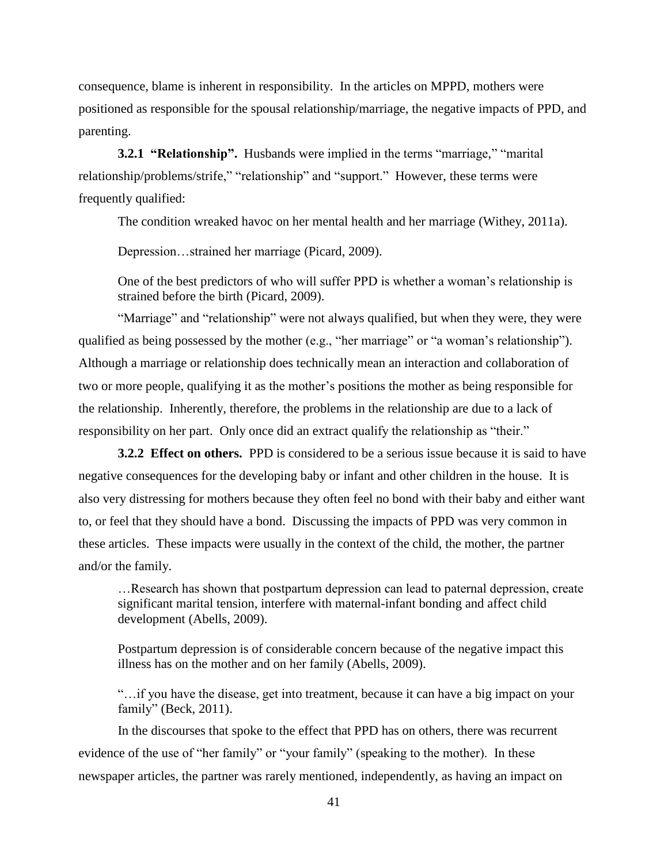consequence, blame is inherent in responsibility. In the articles on MPPD, mothers were positioned as responsible for the spousal relationship/marriage, the negative impacts of PPD, and parenting.

**3.2.1 "Relationship".** Husbands were implied in the terms "marriage," "marital relationship/problems/strife," "relationship" and "support." However, these terms were frequently qualified:

The condition wreaked havoc on her mental health and her marriage (Withey, 2011a).

Depression…strained her marriage (Picard, 2009).

One of the best predictors of who will suffer PPD is whether a woman's relationship is strained before the birth (Picard, 2009).

"Marriage" and "relationship" were not always qualified, but when they were, they were qualified as being possessed by the mother (e.g., "her marriage" or "a woman's relationship"). Although a marriage or relationship does technically mean an interaction and collaboration of two or more people, qualifying it as the mother's positions the mother as being responsible for the relationship. Inherently, therefore, the problems in the relationship are due to a lack of responsibility on her part. Only once did an extract qualify the relationship as "their."

**3.2.2 Effect on others.**PPD is considered to be a serious issue because it is said to have negative consequences for the developing baby or infant and other children in the house. It is also very distressing for mothers because they often feel no bond with their baby and either want to, or feel that they should have a bond. Discussing the impacts of PPD was very common in these articles. These impacts were usually in the context of the child, the mother, the partner and/or the family.

…Research has shown that postpartum depression can lead to paternal depression, create significant marital tension, interfere with maternal-infant bonding and affect child development (Abells, 2009).

Postpartum depression is of considerable concern because of the negative impact this illness has on the mother and on her family (Abells, 2009).

"…if you have the disease, get into treatment, because it can have a big impact on your family" (Beck, 2011).

In the discourses that spoke to the effect that PPD has on others, there was recurrent evidence of the use of "her family" or "your family" (speaking to the mother). In these newspaper articles, the partner was rarely mentioned, independently, as having an impact on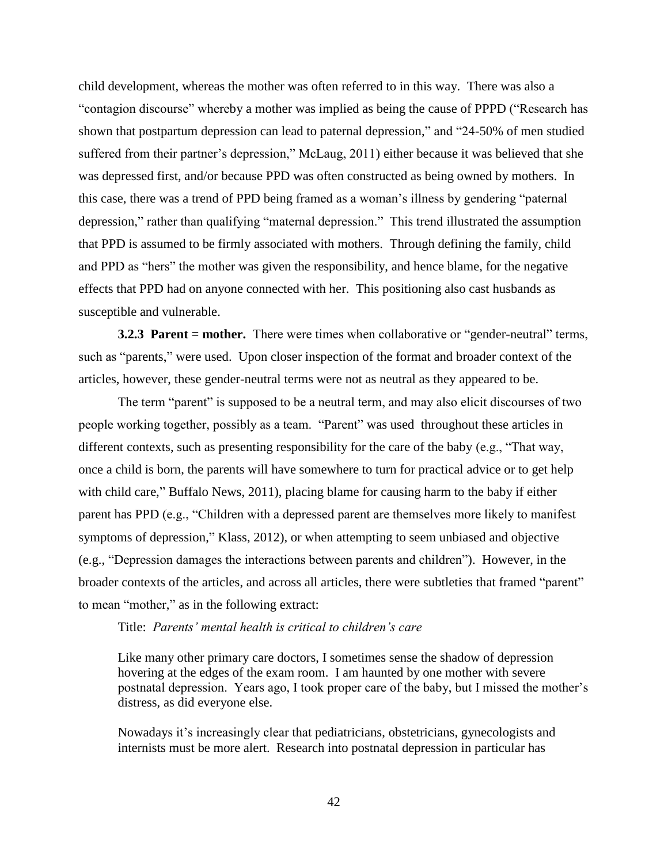child development, whereas the mother was often referred to in this way.There was also a "contagion discourse" whereby a mother was implied as being the cause of PPPD ("Research has shown that postpartum depression can lead to paternal depression," and "24-50% of men studied suffered from their partner's depression," McLaug, 2011) either because it was believed that she was depressed first, and/or because PPD was often constructed as being owned by mothers. In this case, there was a trend of PPD being framed as a woman's illness by gendering "paternal depression," rather than qualifying "maternal depression." This trend illustrated the assumption that PPD is assumed to be firmly associated with mothers. Through defining the family, child and PPD as "hers" the mother was given the responsibility, and hence blame, for the negative effects that PPD had on anyone connected with her. This positioning also cast husbands as susceptible and vulnerable.

**3.2.3 Parent = mother.** There were times when collaborative or "gender-neutral" terms, such as "parents," were used. Upon closer inspection of the format and broader context of the articles, however, these gender-neutral terms were not as neutral as they appeared to be.

The term "parent" is supposed to be a neutral term, and may also elicit discourses of two people working together, possibly as a team. "Parent" was used throughout these articles in different contexts, such as presenting responsibility for the care of the baby (e.g., "That way, once a child is born, the parents will have somewhere to turn for practical advice or to get help with child care," Buffalo News, 2011), placing blame for causing harm to the baby if either parent has PPD (e.g., "Children with a depressed parent are themselves more likely to manifest symptoms of depression," Klass, 2012), or when attempting to seem unbiased and objective (e.g., "Depression damages the interactions between parents and children"). However, in the broader contexts of the articles, and across all articles, there were subtleties that framed "parent" to mean "mother," as in the following extract:

## Title: *Parents' mental health is critical to children's care*

Like many other primary care doctors, I sometimes sense the shadow of depression hovering at the edges of the exam room. I am haunted by one mother with severe postnatal depression. Years ago, I took proper care of the baby, but I missed the mother's distress, as did everyone else.

Nowadays it's increasingly clear that pediatricians, obstetricians, gynecologists and internists must be more alert. Research into postnatal depression in particular has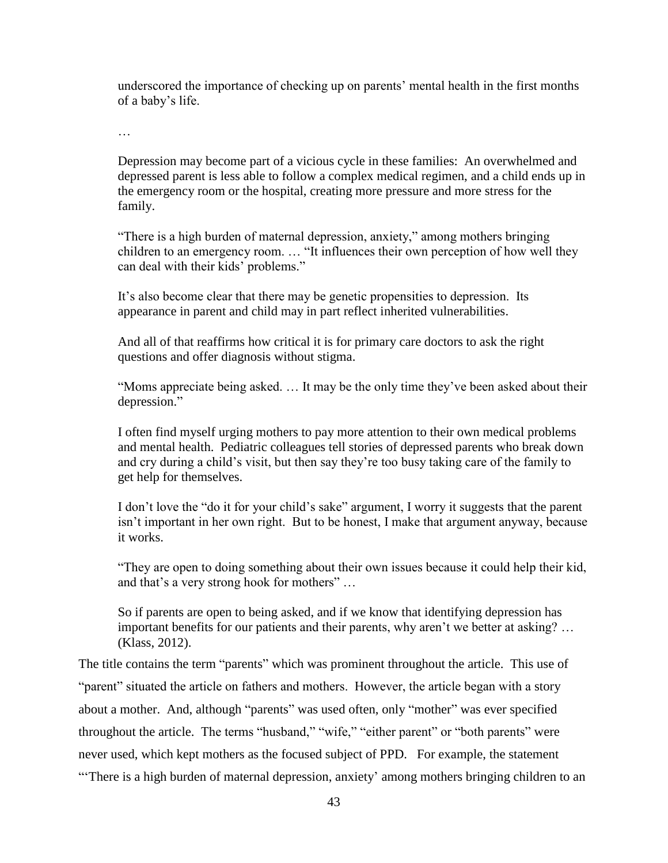underscored the importance of checking up on parents' mental health in the first months of a baby's life.

…

Depression may become part of a vicious cycle in these families: An overwhelmed and depressed parent is less able to follow a complex medical regimen, and a child ends up in the emergency room or the hospital, creating more pressure and more stress for the family.

"There is a high burden of maternal depression, anxiety," among mothers bringing children to an emergency room. … "It influences their own perception of how well they can deal with their kids' problems."

It's also become clear that there may be genetic propensities to depression. Its appearance in parent and child may in part reflect inherited vulnerabilities.

And all of that reaffirms how critical it is for primary care doctors to ask the right questions and offer diagnosis without stigma.

"Moms appreciate being asked. … It may be the only time they've been asked about their depression."

I often find myself urging mothers to pay more attention to their own medical problems and mental health. Pediatric colleagues tell stories of depressed parents who break down and cry during a child's visit, but then say they're too busy taking care of the family to get help for themselves.

I don't love the "do it for your child's sake" argument, I worry it suggests that the parent isn't important in her own right. But to be honest, I make that argument anyway, because it works.

"They are open to doing something about their own issues because it could help their kid, and that's a very strong hook for mothers" …

So if parents are open to being asked, and if we know that identifying depression has important benefits for our patients and their parents, why aren't we better at asking? … (Klass, 2012).

The title contains the term "parents" which was prominent throughout the article. This use of "parent" situated the article on fathers and mothers. However, the article began with a story about a mother. And, although "parents" was used often, only "mother" was ever specified throughout the article. The terms "husband," "wife," "either parent" or "both parents" were never used, which kept mothers as the focused subject of PPD. For example, the statement "There is a high burden of maternal depression, anxiety' among mothers bringing children to an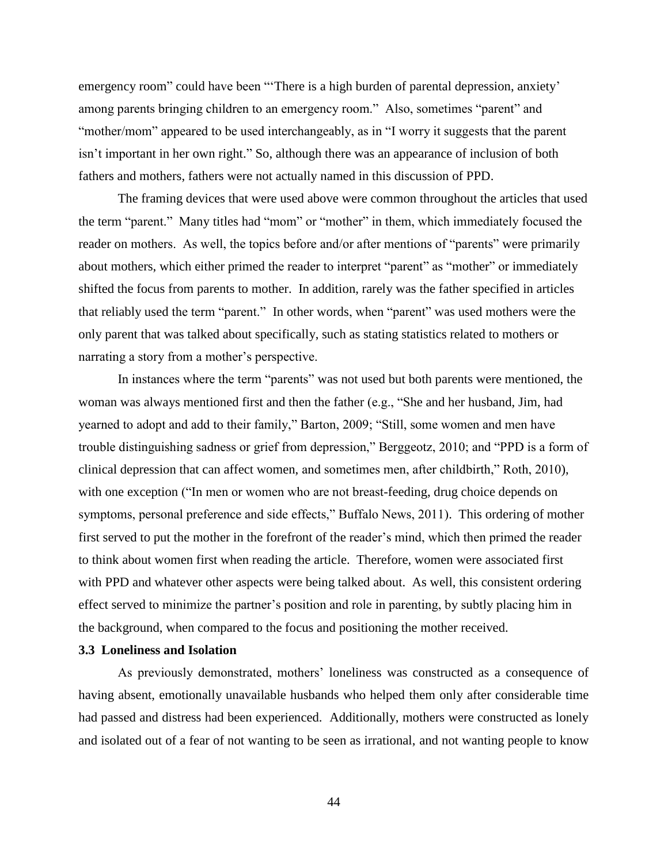emergency room" could have been "'There is a high burden of parental depression, anxiety' among parents bringing children to an emergency room." Also, sometimes "parent" and "mother/mom" appeared to be used interchangeably, as in "I worry it suggests that the parent isn't important in her own right." So, although there was an appearance of inclusion of both fathers and mothers, fathers were not actually named in this discussion of PPD.

The framing devices that were used above were common throughout the articles that used the term "parent." Many titles had "mom" or "mother" in them, which immediately focused the reader on mothers. As well, the topics before and/or after mentions of "parents" were primarily about mothers, which either primed the reader to interpret "parent" as "mother" or immediately shifted the focus from parents to mother. In addition, rarely was the father specified in articles that reliably used the term "parent." In other words, when "parent" was used mothers were the only parent that was talked about specifically, such as stating statistics related to mothers or narrating a story from a mother's perspective.

In instances where the term "parents" was not used but both parents were mentioned, the woman was always mentioned first and then the father (e.g., "She and her husband, Jim, had yearned to adopt and add to their family," Barton, 2009; "Still, some women and men have trouble distinguishing sadness or grief from depression," Berggeotz, 2010; and "PPD is a form of clinical depression that can affect women, and sometimes men, after childbirth," Roth, 2010), with one exception ("In men or women who are not breast-feeding, drug choice depends on symptoms, personal preference and side effects," Buffalo News, 2011). This ordering of mother first served to put the mother in the forefront of the reader's mind, which then primed the reader to think about women first when reading the article. Therefore, women were associated first with PPD and whatever other aspects were being talked about. As well, this consistent ordering effect served to minimize the partner's position and role in parenting, by subtly placing him in the background, when compared to the focus and positioning the mother received.

## **3.3 Loneliness and Isolation**

As previously demonstrated, mothers' loneliness was constructed as a consequence of having absent, emotionally unavailable husbands who helped them only after considerable time had passed and distress had been experienced. Additionally, mothers were constructed as lonely and isolated out of a fear of not wanting to be seen as irrational, and not wanting people to know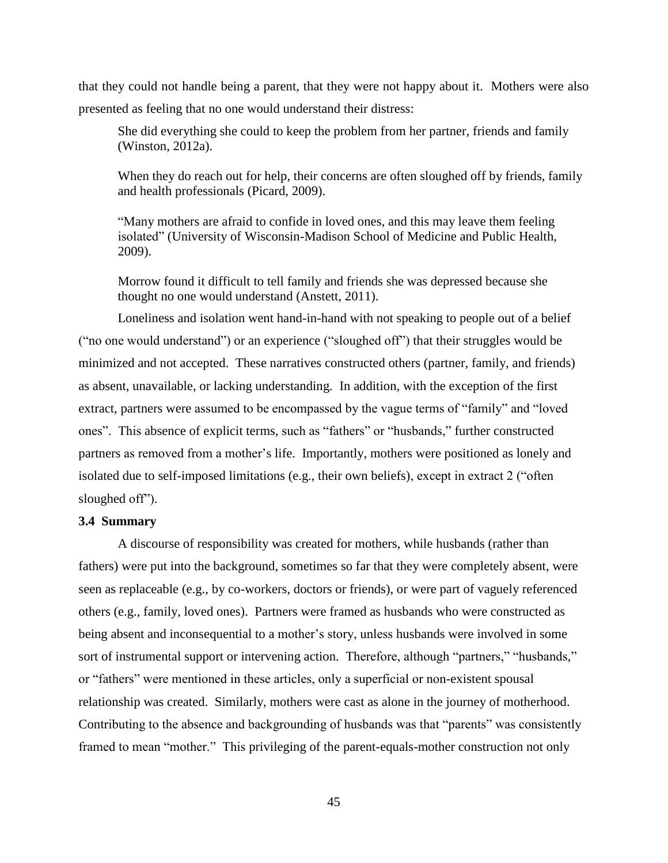that they could not handle being a parent, that they were not happy about it. Mothers were also presented as feeling that no one would understand their distress:

She did everything she could to keep the problem from her partner, friends and family (Winston, 2012a).

When they do reach out for help, their concerns are often sloughed off by friends, family and health professionals (Picard, 2009).

"Many mothers are afraid to confide in loved ones, and this may leave them feeling isolated" (University of Wisconsin-Madison School of Medicine and Public Health, 2009).

Morrow found it difficult to tell family and friends she was depressed because she thought no one would understand (Anstett, 2011).

Loneliness and isolation went hand-in-hand with not speaking to people out of a belief ("no one would understand") or an experience ("sloughed off") that their struggles would be minimized and not accepted. These narratives constructed others (partner, family, and friends) as absent, unavailable, or lacking understanding. In addition, with the exception of the first extract, partners were assumed to be encompassed by the vague terms of "family" and "loved ones". This absence of explicit terms, such as "fathers" or "husbands," further constructed partners as removed from a mother's life. Importantly, mothers were positioned as lonely and isolated due to self-imposed limitations (e.g., their own beliefs), except in extract 2 ("often sloughed off").

## **3.4 Summary**

A discourse of responsibility was created for mothers, while husbands (rather than fathers) were put into the background, sometimes so far that they were completely absent, were seen as replaceable (e.g., by co-workers, doctors or friends), or were part of vaguely referenced others (e.g., family, loved ones). Partners were framed as husbands who were constructed as being absent and inconsequential to a mother's story, unless husbands were involved in some sort of instrumental support or intervening action. Therefore, although "partners," "husbands," or "fathers" were mentioned in these articles, only a superficial or non-existent spousal relationship was created. Similarly, mothers were cast as alone in the journey of motherhood. Contributing to the absence and backgrounding of husbands was that "parents" was consistently framed to mean "mother." This privileging of the parent-equals-mother construction not only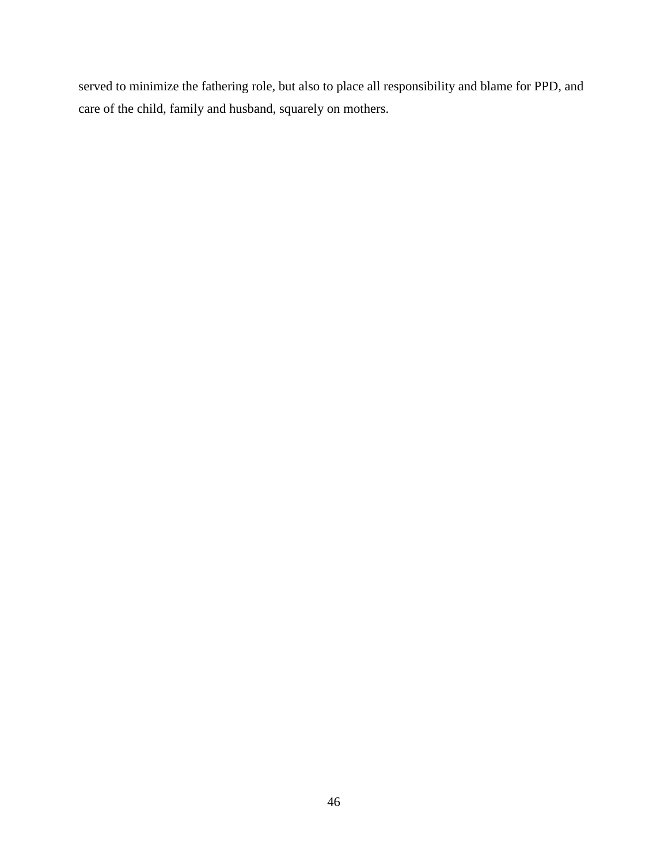served to minimize the fathering role, but also to place all responsibility and blame for PPD, and care of the child, family and husband, squarely on mothers.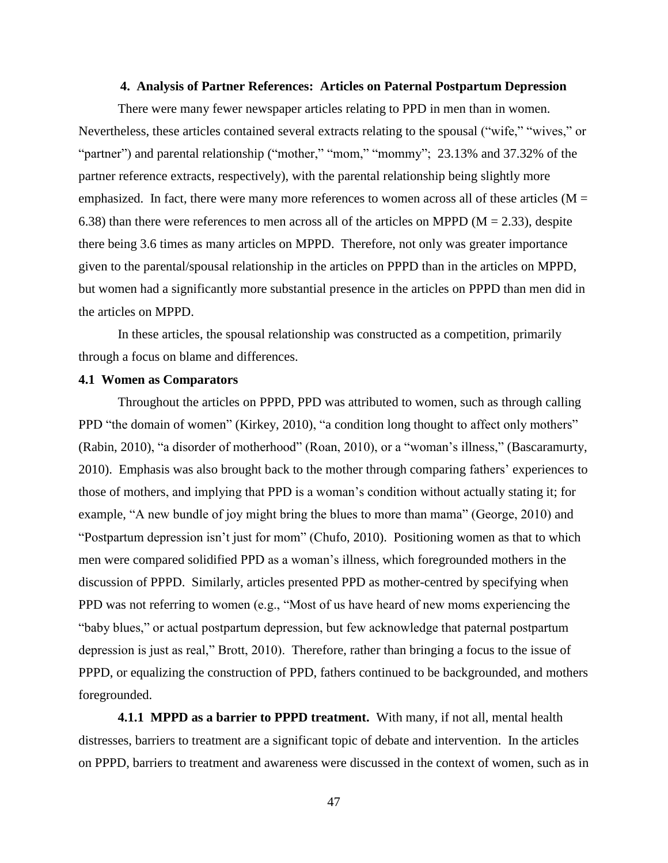#### **4. Analysis of Partner References: Articles on Paternal Postpartum Depression**

There were many fewer newspaper articles relating to PPD in men than in women. Nevertheless, these articles contained several extracts relating to the spousal ("wife," "wives," or "partner") and parental relationship ("mother," "mom," "mommy"; 23.13% and 37.32% of the partner reference extracts, respectively), with the parental relationship being slightly more emphasized. In fact, there were many more references to women across all of these articles ( $M =$ 6.38) than there were references to men across all of the articles on MPPD ( $M = 2.33$ ), despite there being 3.6 times as many articles on MPPD. Therefore, not only was greater importance given to the parental/spousal relationship in the articles on PPPD than in the articles on MPPD, but women had a significantly more substantial presence in the articles on PPPD than men did in the articles on MPPD.

In these articles, the spousal relationship was constructed as a competition, primarily through a focus on blame and differences.

## **4.1 Women as Comparators**

Throughout the articles on PPPD, PPD was attributed to women, such as through calling PPD "the domain of women" (Kirkey, 2010), "a condition long thought to affect only mothers" (Rabin, 2010), "a disorder of motherhood" (Roan, 2010), or a "woman's illness," (Bascaramurty, 2010).Emphasis was also brought back to the mother through comparing fathers' experiences to those of mothers, and implying that PPD is a woman's condition without actually stating it; for example, "A new bundle of joy might bring the blues to more than mama" (George, 2010) and "Postpartum depression isn't just for mom" (Chufo, 2010). Positioning women as that to which men were compared solidified PPD as a woman's illness, which foregrounded mothers in the discussion of PPPD. Similarly, articles presented PPD as mother-centred by specifying when PPD was not referring to women (e.g., "Most of us have heard of new moms experiencing the "baby blues," or actual postpartum depression, but few acknowledge that paternal postpartum depression is just as real," Brott, 2010). Therefore, rather than bringing a focus to the issue of PPPD, or equalizing the construction of PPD, fathers continued to be backgrounded, and mothers foregrounded.

**4.1.1 MPPD as a barrier to PPPD treatment.** With many, if not all, mental health distresses, barriers to treatment are a significant topic of debate and intervention. In the articles on PPPD, barriers to treatment and awareness were discussed in the context of women, such as in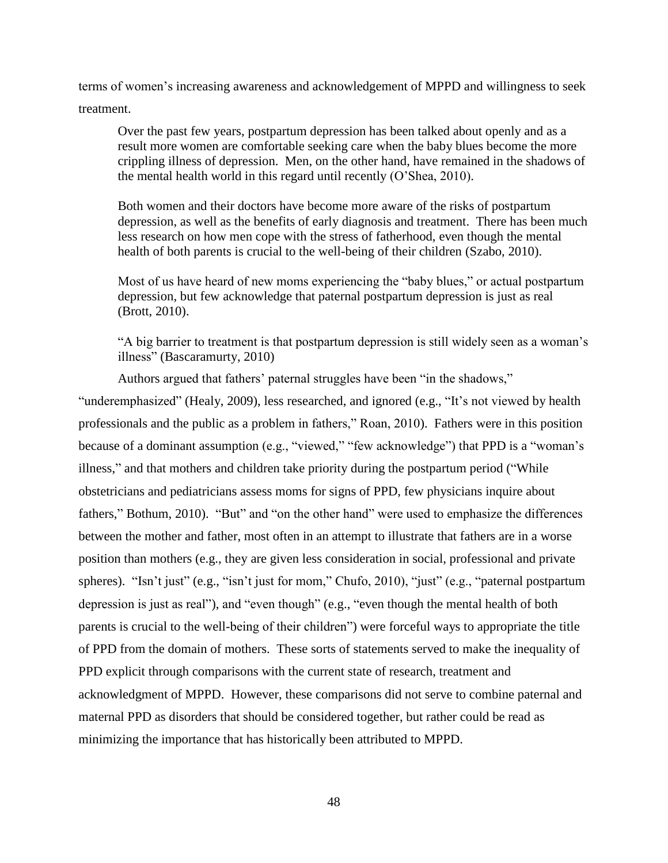terms of women's increasing awareness and acknowledgement of MPPD and willingness to seek treatment.

Over the past few years, postpartum depression has been talked about openly and as a result more women are comfortable seeking care when the baby blues become the more crippling illness of depression. Men, on the other hand, have remained in the shadows of the mental health world in this regard until recently (O'Shea, 2010).

Both women and their doctors have become more aware of the risks of postpartum depression, as well as the benefits of early diagnosis and treatment. There has been much less research on how men cope with the stress of fatherhood, even though the mental health of both parents is crucial to the well-being of their children (Szabo, 2010).

Most of us have heard of new moms experiencing the "baby blues," or actual postpartum depression, but few acknowledge that paternal postpartum depression is just as real (Brott, 2010).

"A big barrier to treatment is that postpartum depression is still widely seen as a woman's illness" (Bascaramurty, 2010)

Authors argued that fathers' paternal struggles have been "in the shadows,"

"underemphasized" (Healy, 2009), less researched, and ignored (e.g., "It's not viewed by health professionals and the public as a problem in fathers," Roan, 2010). Fathers were in this position because of a dominant assumption (e.g., "viewed," "few acknowledge") that PPD is a "woman's illness," and that mothers and children take priority during the postpartum period ("While obstetricians and pediatricians assess moms for signs of PPD, few physicians inquire about fathers," Bothum, 2010). "But" and "on the other hand" were used to emphasize the differences between the mother and father, most often in an attempt to illustrate that fathers are in a worse position than mothers (e.g., they are given less consideration in social, professional and private spheres). "Isn't just" (e.g., "isn't just for mom," Chufo, 2010), "just" (e.g., "paternal postpartum depression is just as real"), and "even though" (e.g., "even though the mental health of both parents is crucial to the well-being of their children") were forceful ways to appropriate the title of PPD from the domain of mothers. These sorts of statements served to make the inequality of PPD explicit through comparisons with the current state of research, treatment and acknowledgment of MPPD. However, these comparisons did not serve to combine paternal and maternal PPD as disorders that should be considered together, but rather could be read as minimizing the importance that has historically been attributed to MPPD.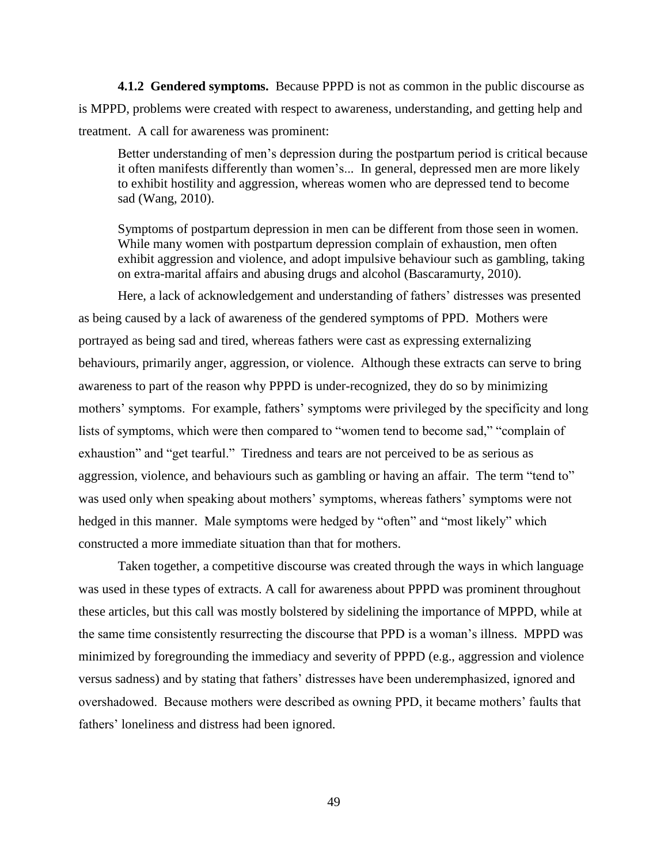**4.1.2 Gendered symptoms.** Because PPPD is not as common in the public discourse as is MPPD, problems were created with respect to awareness, understanding, and getting help and treatment. A call for awareness was prominent:

Better understanding of men's depression during the postpartum period is critical because it often manifests differently than women's... In general, depressed men are more likely to exhibit hostility and aggression, whereas women who are depressed tend to become sad (Wang, 2010).

Symptoms of postpartum depression in men can be different from those seen in women. While many women with postpartum depression complain of exhaustion, men often exhibit aggression and violence, and adopt impulsive behaviour such as gambling, taking on extra-marital affairs and abusing drugs and alcohol (Bascaramurty, 2010).

Here, a lack of acknowledgement and understanding of fathers' distresses was presented as being caused by a lack of awareness of the gendered symptoms of PPD. Mothers were portrayed as being sad and tired, whereas fathers were cast as expressing externalizing behaviours, primarily anger, aggression, or violence. Although these extracts can serve to bring awareness to part of the reason why PPPD is under-recognized, they do so by minimizing mothers' symptoms. For example, fathers' symptoms were privileged by the specificity and long lists of symptoms, which were then compared to "women tend to become sad," "complain of exhaustion" and "get tearful." Tiredness and tears are not perceived to be as serious as aggression, violence, and behaviours such as gambling or having an affair. The term "tend to" was used only when speaking about mothers' symptoms, whereas fathers' symptoms were not hedged in this manner. Male symptoms were hedged by "often" and "most likely" which constructed a more immediate situation than that for mothers.

Taken together, a competitive discourse was created through the ways in which language was used in these types of extracts. A call for awareness about PPPD was prominent throughout these articles, but this call was mostly bolstered by sidelining the importance of MPPD, while at the same time consistently resurrecting the discourse that PPD is a woman's illness. MPPD was minimized by foregrounding the immediacy and severity of PPPD (e.g., aggression and violence versus sadness) and by stating that fathers' distresses have been underemphasized, ignored and overshadowed. Because mothers were described as owning PPD, it became mothers' faults that fathers' loneliness and distress had been ignored.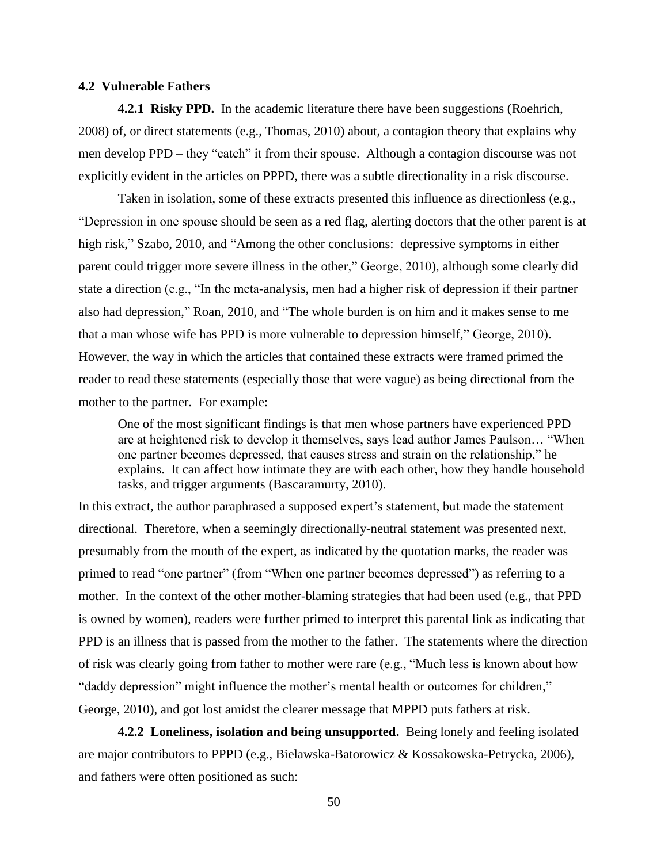#### **4.2 Vulnerable Fathers**

**4.2.1 Risky PPD.** In the academic literature there have been suggestions (Roehrich, 2008) of, or direct statements (e.g., Thomas, 2010) about, a contagion theory that explains why men develop PPD – they "catch" it from their spouse. Although a contagion discourse was not explicitly evident in the articles on PPPD, there was a subtle directionality in a risk discourse.

Taken in isolation, some of these extracts presented this influence as directionless (e.g., "Depression in one spouse should be seen as a red flag, alerting doctors that the other parent is at high risk," Szabo, 2010, and "Among the other conclusions: depressive symptoms in either parent could trigger more severe illness in the other," George, 2010), although some clearly did state a direction (e.g., "In the meta-analysis, men had a higher risk of depression if their partner also had depression," Roan, 2010, and "The whole burden is on him and it makes sense to me that a man whose wife has PPD is more vulnerable to depression himself," George, 2010). However, the way in which the articles that contained these extracts were framed primed the reader to read these statements (especially those that were vague) as being directional from the mother to the partner. For example:

One of the most significant findings is that men whose partners have experienced PPD are at heightened risk to develop it themselves, says lead author James Paulson… "When one partner becomes depressed, that causes stress and strain on the relationship," he explains. It can affect how intimate they are with each other, how they handle household tasks, and trigger arguments (Bascaramurty, 2010).

In this extract, the author paraphrased a supposed expert's statement, but made the statement directional. Therefore, when a seemingly directionally-neutral statement was presented next, presumably from the mouth of the expert, as indicated by the quotation marks, the reader was primed to read "one partner" (from "When one partner becomes depressed") as referring to a mother. In the context of the other mother-blaming strategies that had been used (e.g., that PPD is owned by women), readers were further primed to interpret this parental link as indicating that PPD is an illness that is passed from the mother to the father. The statements where the direction of risk was clearly going from father to mother were rare (e.g., "Much less is known about how "daddy depression" might influence the mother's mental health or outcomes for children," George, 2010), and got lost amidst the clearer message that MPPD puts fathers at risk.

**4.2.2 Loneliness, isolation and being unsupported.** Being lonely and feeling isolated are major contributors to PPPD (e.g., Bielawska-Batorowicz & Kossakowska-Petrycka, 2006), and fathers were often positioned as such: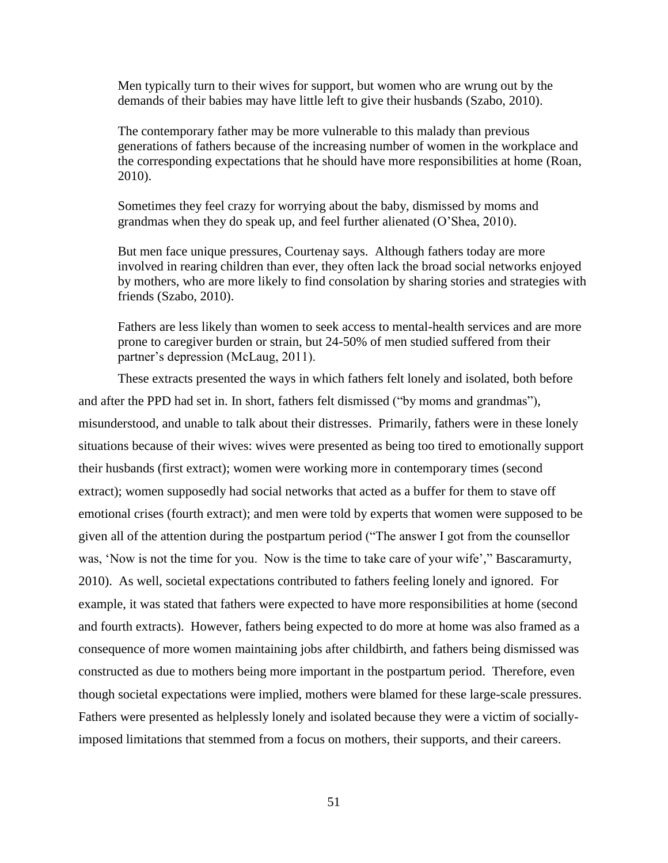Men typically turn to their wives for support, but women who are wrung out by the demands of their babies may have little left to give their husbands (Szabo, 2010).

The contemporary father may be more vulnerable to this malady than previous generations of fathers because of the increasing number of women in the workplace and the corresponding expectations that he should have more responsibilities at home (Roan, 2010).

Sometimes they feel crazy for worrying about the baby, dismissed by moms and grandmas when they do speak up, and feel further alienated (O'Shea, 2010).

But men face unique pressures, Courtenay says. Although fathers today are more involved in rearing children than ever, they often lack the broad social networks enjoyed by mothers, who are more likely to find consolation by sharing stories and strategies with friends (Szabo, 2010).

Fathers are less likely than women to seek access to mental-health services and are more prone to caregiver burden or strain, but 24-50% of men studied suffered from their partner's depression (McLaug, 2011).

These extracts presented the ways in which fathers felt lonely and isolated, both before and after the PPD had set in. In short, fathers felt dismissed ("by moms and grandmas"), misunderstood, and unable to talk about their distresses. Primarily, fathers were in these lonely situations because of their wives: wives were presented as being too tired to emotionally support their husbands (first extract); women were working more in contemporary times (second extract); women supposedly had social networks that acted as a buffer for them to stave off emotional crises (fourth extract); and men were told by experts that women were supposed to be given all of the attention during the postpartum period ("The answer I got from the counsellor was, 'Now is not the time for you. Now is the time to take care of your wife'," Bascaramurty, 2010). As well, societal expectations contributed to fathers feeling lonely and ignored. For example, it was stated that fathers were expected to have more responsibilities at home (second and fourth extracts). However, fathers being expected to do more at home was also framed as a consequence of more women maintaining jobs after childbirth, and fathers being dismissed was constructed as due to mothers being more important in the postpartum period. Therefore, even though societal expectations were implied, mothers were blamed for these large-scale pressures. Fathers were presented as helplessly lonely and isolated because they were a victim of sociallyimposed limitations that stemmed from a focus on mothers, their supports, and their careers.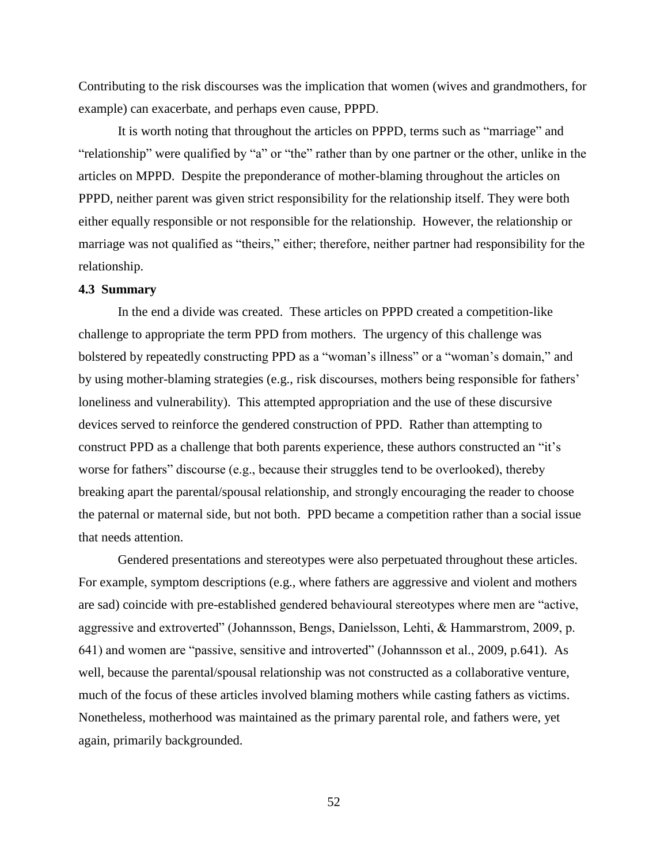Contributing to the risk discourses was the implication that women (wives and grandmothers, for example) can exacerbate, and perhaps even cause, PPPD.

It is worth noting that throughout the articles on PPPD, terms such as "marriage" and "relationship" were qualified by "a" or "the" rather than by one partner or the other, unlike in the articles on MPPD. Despite the preponderance of mother-blaming throughout the articles on PPPD, neither parent was given strict responsibility for the relationship itself. They were both either equally responsible or not responsible for the relationship. However, the relationship or marriage was not qualified as "theirs," either; therefore, neither partner had responsibility for the relationship.

## **4.3 Summary**

In the end a divide was created. These articles on PPPD created a competition-like challenge to appropriate the term PPD from mothers. The urgency of this challenge was bolstered by repeatedly constructing PPD as a "woman's illness" or a "woman's domain," and by using mother-blaming strategies (e.g., risk discourses, mothers being responsible for fathers' loneliness and vulnerability). This attempted appropriation and the use of these discursive devices served to reinforce the gendered construction of PPD. Rather than attempting to construct PPD as a challenge that both parents experience, these authors constructed an "it's worse for fathers" discourse (e.g., because their struggles tend to be overlooked), thereby breaking apart the parental/spousal relationship, and strongly encouraging the reader to choose the paternal or maternal side, but not both. PPD became a competition rather than a social issue that needs attention.

Gendered presentations and stereotypes were also perpetuated throughout these articles. For example, symptom descriptions (e.g., where fathers are aggressive and violent and mothers are sad) coincide with pre-established gendered behavioural stereotypes where men are "active, aggressive and extroverted" (Johannsson, Bengs, Danielsson, Lehti, & Hammarstrom, 2009, p. 641) and women are "passive, sensitive and introverted" (Johannsson et al., 2009, p.641). As well, because the parental/spousal relationship was not constructed as a collaborative venture, much of the focus of these articles involved blaming mothers while casting fathers as victims. Nonetheless, motherhood was maintained as the primary parental role, and fathers were, yet again, primarily backgrounded.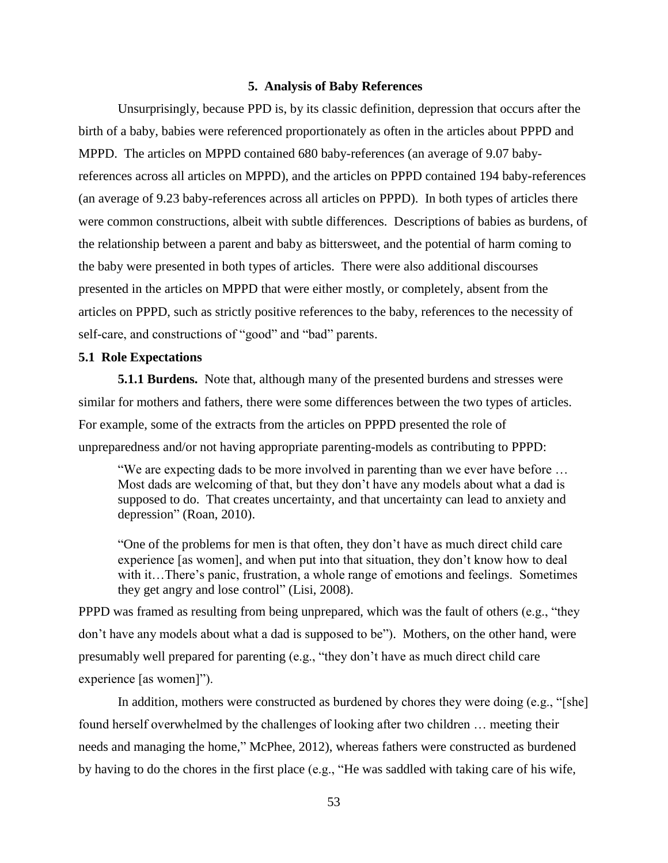### **5. Analysis of Baby References**

Unsurprisingly, because PPD is, by its classic definition, depression that occurs after the birth of a baby, babies were referenced proportionately as often in the articles about PPPD and MPPD. The articles on MPPD contained 680 baby-references (an average of 9.07 babyreferences across all articles on MPPD), and the articles on PPPD contained 194 baby-references (an average of 9.23 baby-references across all articles on PPPD). In both types of articles there were common constructions, albeit with subtle differences. Descriptions of babies as burdens, of the relationship between a parent and baby as bittersweet, and the potential of harm coming to the baby were presented in both types of articles. There were also additional discourses presented in the articles on MPPD that were either mostly, or completely, absent from the articles on PPPD, such as strictly positive references to the baby, references to the necessity of self-care, and constructions of "good" and "bad" parents.

## **5.1 Role Expectations**

**5.1.1 Burdens.** Note that, although many of the presented burdens and stresses were similar for mothers and fathers, there were some differences between the two types of articles. For example, some of the extracts from the articles on PPPD presented the role of unpreparedness and/or not having appropriate parenting-models as contributing to PPPD:

"We are expecting dads to be more involved in parenting than we ever have before … Most dads are welcoming of that, but they don't have any models about what a dad is supposed to do. That creates uncertainty, and that uncertainty can lead to anxiety and depression" (Roan, 2010).

"One of the problems for men is that often, they don't have as much direct child care experience [as women], and when put into that situation, they don't know how to deal with it…There's panic, frustration, a whole range of emotions and feelings. Sometimes they get angry and lose control" (Lisi, 2008).

PPPD was framed as resulting from being unprepared, which was the fault of others (e.g., "they don't have any models about what a dad is supposed to be"). Mothers, on the other hand, were presumably well prepared for parenting (e.g., "they don't have as much direct child care experience [as women]").

In addition, mothers were constructed as burdened by chores they were doing  $(e.g., "[she]$ found herself overwhelmed by the challenges of looking after two children … meeting their needs and managing the home," McPhee, 2012), whereas fathers were constructed as burdened by having to do the chores in the first place (e.g., "He was saddled with taking care of his wife,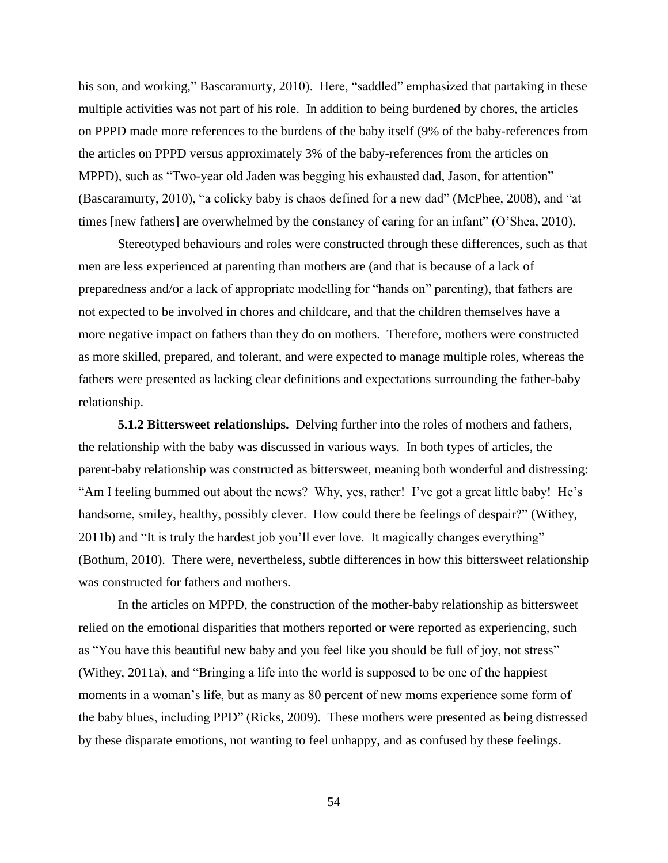his son, and working," Bascaramurty, 2010). Here, "saddled" emphasized that partaking in these multiple activities was not part of his role. In addition to being burdened by chores, the articles on PPPD made more references to the burdens of the baby itself (9% of the baby-references from the articles on PPPD versus approximately 3% of the baby-references from the articles on MPPD), such as "Two-year old Jaden was begging his exhausted dad, Jason, for attention" (Bascaramurty, 2010), "a colicky baby is chaos defined for a new dad" (McPhee, 2008), and "at times [new fathers] are overwhelmed by the constancy of caring for an infant" (O'Shea, 2010).

Stereotyped behaviours and roles were constructed through these differences, such as that men are less experienced at parenting than mothers are (and that is because of a lack of preparedness and/or a lack of appropriate modelling for "hands on" parenting), that fathers are not expected to be involved in chores and childcare, and that the children themselves have a more negative impact on fathers than they do on mothers. Therefore, mothers were constructed as more skilled, prepared, and tolerant, and were expected to manage multiple roles, whereas the fathers were presented as lacking clear definitions and expectations surrounding the father-baby relationship.

**5.1.2 Bittersweet relationships.** Delving further into the roles of mothers and fathers, the relationship with the baby was discussed in various ways. In both types of articles, the parent-baby relationship was constructed as bittersweet, meaning both wonderful and distressing: "Am I feeling bummed out about the news? Why, yes, rather! I've got a great little baby! He's handsome, smiley, healthy, possibly clever. How could there be feelings of despair?" (Withey, 2011b) and "It is truly the hardest job you'll ever love. It magically changes everything" (Bothum, 2010). There were, nevertheless, subtle differences in how this bittersweet relationship was constructed for fathers and mothers.

In the articles on MPPD, the construction of the mother-baby relationship as bittersweet relied on the emotional disparities that mothers reported or were reported as experiencing, such as "You have this beautiful new baby and you feel like you should be full of joy, not stress" (Withey, 2011a), and "Bringing a life into the world is supposed to be one of the happiest moments in a woman's life, but as many as 80 percent of new moms experience some form of the baby blues, including PPD" (Ricks, 2009). These mothers were presented as being distressed by these disparate emotions, not wanting to feel unhappy, and as confused by these feelings.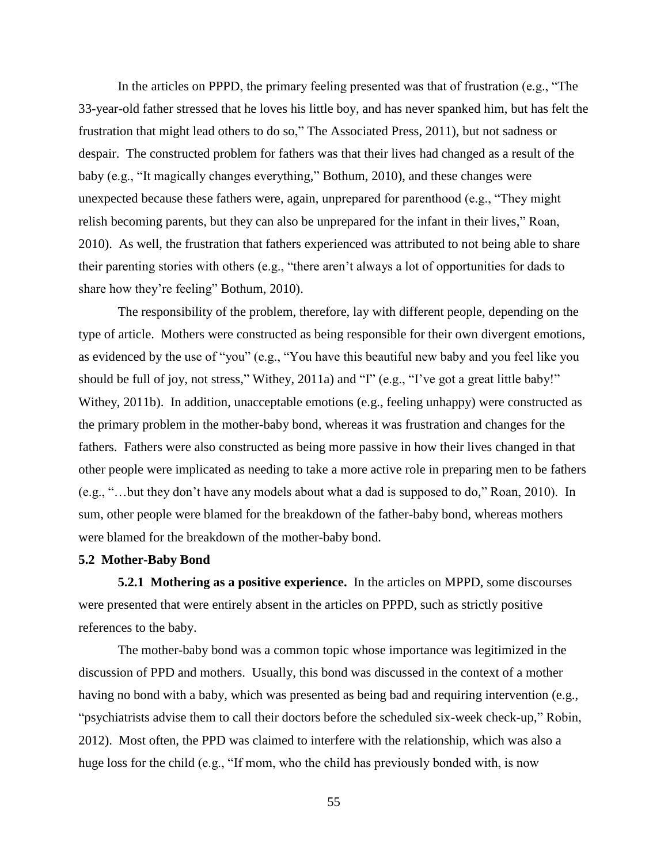In the articles on PPPD, the primary feeling presented was that of frustration (e.g., "The 33-year-old father stressed that he loves his little boy, and has never spanked him, but has felt the frustration that might lead others to do so," The Associated Press, 2011), but not sadness or despair. The constructed problem for fathers was that their lives had changed as a result of the baby (e.g., "It magically changes everything," Bothum, 2010), and these changes were unexpected because these fathers were, again, unprepared for parenthood (e.g., "They might relish becoming parents, but they can also be unprepared for the infant in their lives," Roan, 2010). As well, the frustration that fathers experienced was attributed to not being able to share their parenting stories with others (e.g., "there aren't always a lot of opportunities for dads to share how they're feeling" Bothum, 2010).

The responsibility of the problem, therefore, lay with different people, depending on the type of article. Mothers were constructed as being responsible for their own divergent emotions, as evidenced by the use of "you" (e.g., "You have this beautiful new baby and you feel like you should be full of joy, not stress," Withey, 2011a) and "I" (e.g., "I've got a great little baby!" Withey, 2011b). In addition, unacceptable emotions (e.g., feeling unhappy) were constructed as the primary problem in the mother-baby bond, whereas it was frustration and changes for the fathers. Fathers were also constructed as being more passive in how their lives changed in that other people were implicated as needing to take a more active role in preparing men to be fathers (e.g., "…but they don't have any models about what a dad is supposed to do," Roan, 2010). In sum, other people were blamed for the breakdown of the father-baby bond, whereas mothers were blamed for the breakdown of the mother-baby bond.

## **5.2 Mother-Baby Bond**

**5.2.1 Mothering as a positive experience.** In the articles on MPPD, some discourses were presented that were entirely absent in the articles on PPPD, such as strictly positive references to the baby.

The mother-baby bond was a common topic whose importance was legitimized in the discussion of PPD and mothers. Usually, this bond was discussed in the context of a mother having no bond with a baby, which was presented as being bad and requiring intervention (e.g., "psychiatrists advise them to call their doctors before the scheduled six-week check-up," Robin, 2012). Most often, the PPD was claimed to interfere with the relationship, which was also a huge loss for the child (e.g., "If mom, who the child has previously bonded with, is now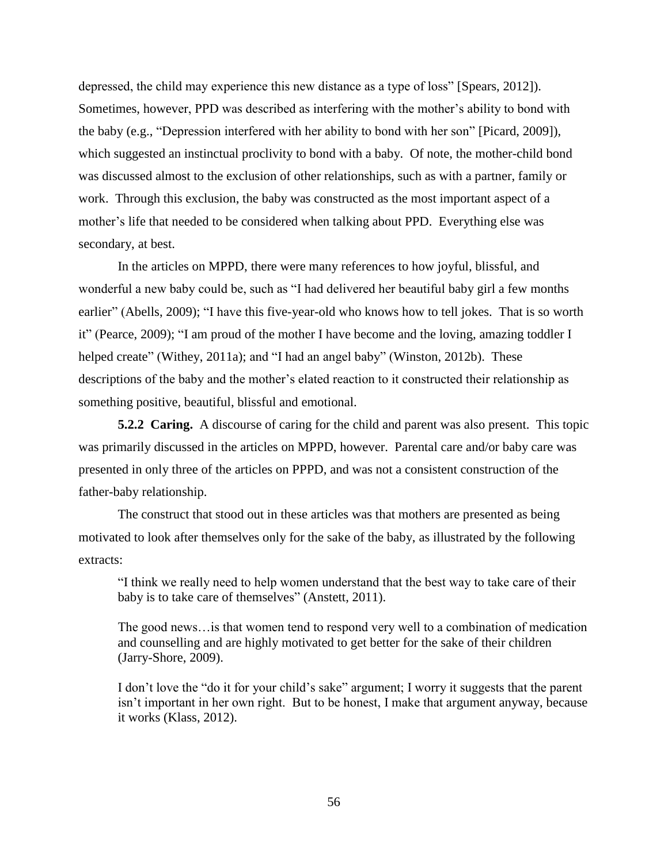depressed, the child may experience this new distance as a type of loss" [Spears, 2012]). Sometimes, however, PPD was described as interfering with the mother's ability to bond with the baby (e.g., "Depression interfered with her ability to bond with her son" [Picard, 2009]), which suggested an instinctual proclivity to bond with a baby. Of note, the mother-child bond was discussed almost to the exclusion of other relationships, such as with a partner, family or work. Through this exclusion, the baby was constructed as the most important aspect of a mother's life that needed to be considered when talking about PPD. Everything else was secondary, at best.

In the articles on MPPD, there were many references to how joyful, blissful, and wonderful a new baby could be, such as "I had delivered her beautiful baby girl a few months earlier" (Abells, 2009); "I have this five-year-old who knows how to tell jokes. That is so worth it" (Pearce, 2009); "I am proud of the mother I have become and the loving, amazing toddler I helped create" (Withey, 2011a); and "I had an angel baby" (Winston, 2012b). These descriptions of the baby and the mother's elated reaction to it constructed their relationship as something positive, beautiful, blissful and emotional.

**5.2.2 Caring.** A discourse of caring for the child and parent was also present. This topic was primarily discussed in the articles on MPPD, however. Parental care and/or baby care was presented in only three of the articles on PPPD, and was not a consistent construction of the father-baby relationship.

The construct that stood out in these articles was that mothers are presented as being motivated to look after themselves only for the sake of the baby, as illustrated by the following extracts:

"I think we really need to help women understand that the best way to take care of their baby is to take care of themselves" (Anstett, 2011).

The good news…is that women tend to respond very well to a combination of medication and counselling and are highly motivated to get better for the sake of their children (Jarry-Shore, 2009).

I don't love the "do it for your child's sake" argument; I worry it suggests that the parent isn't important in her own right. But to be honest, I make that argument anyway, because it works (Klass, 2012).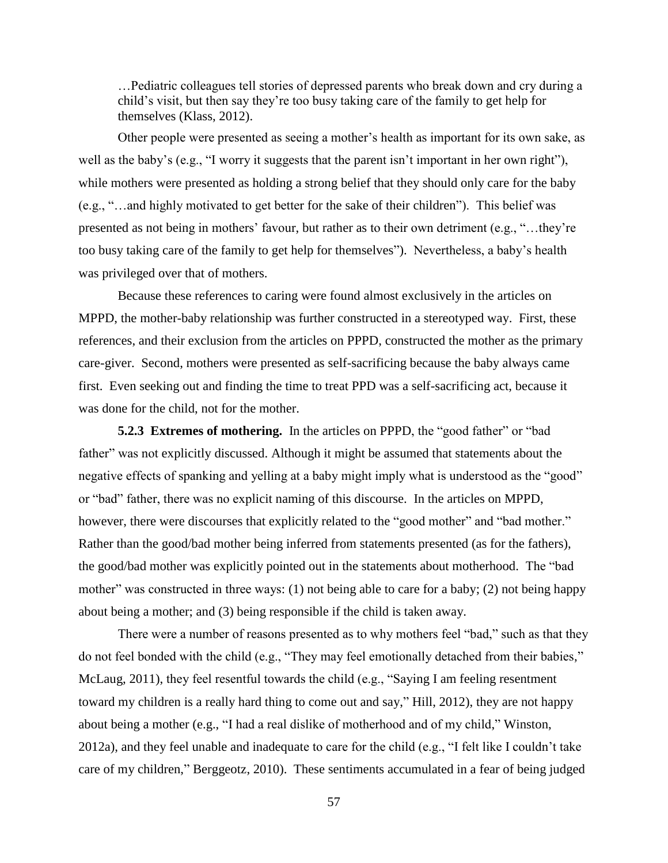…Pediatric colleagues tell stories of depressed parents who break down and cry during a child's visit, but then say they're too busy taking care of the family to get help for themselves (Klass, 2012).

Other people were presented as seeing a mother's health as important for its own sake, as well as the baby's (e.g., "I worry it suggests that the parent isn't important in her own right"), while mothers were presented as holding a strong belief that they should only care for the baby (e.g., "…and highly motivated to get better for the sake of their children"). This belief was presented as not being in mothers' favour, but rather as to their own detriment (e.g., "…they're too busy taking care of the family to get help for themselves"). Nevertheless, a baby's health was privileged over that of mothers.

Because these references to caring were found almost exclusively in the articles on MPPD, the mother-baby relationship was further constructed in a stereotyped way. First, these references, and their exclusion from the articles on PPPD, constructed the mother as the primary care-giver. Second, mothers were presented as self-sacrificing because the baby always came first. Even seeking out and finding the time to treat PPD was a self-sacrificing act, because it was done for the child, not for the mother.

**5.2.3 Extremes of mothering.** In the articles on PPPD, the "good father" or "bad father" was not explicitly discussed. Although it might be assumed that statements about the negative effects of spanking and yelling at a baby might imply what is understood as the "good" or "bad" father, there was no explicit naming of this discourse. In the articles on MPPD, however, there were discourses that explicitly related to the "good mother" and "bad mother." Rather than the good/bad mother being inferred from statements presented (as for the fathers), the good/bad mother was explicitly pointed out in the statements about motherhood. The "bad mother" was constructed in three ways: (1) not being able to care for a baby; (2) not being happy about being a mother; and (3) being responsible if the child is taken away.

There were a number of reasons presented as to why mothers feel "bad," such as that they do not feel bonded with the child (e.g., "They may feel emotionally detached from their babies," McLaug, 2011), they feel resentful towards the child (e.g., "Saying I am feeling resentment toward my children is a really hard thing to come out and say," Hill, 2012), they are not happy about being a mother (e.g., "I had a real dislike of motherhood and of my child," Winston, 2012a), and they feel unable and inadequate to care for the child (e.g., "I felt like I couldn't take care of my children," Berggeotz, 2010). These sentiments accumulated in a fear of being judged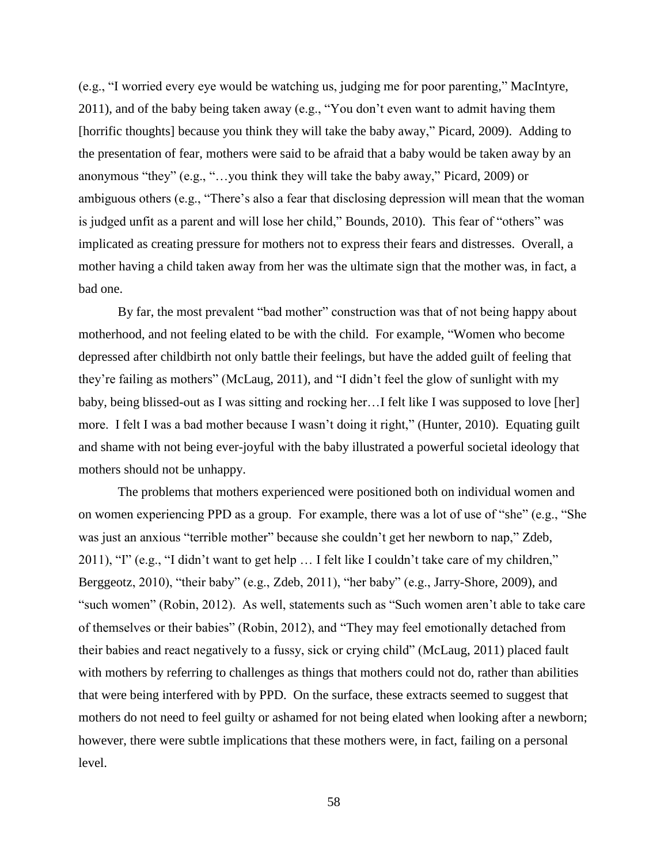(e.g., "I worried every eye would be watching us, judging me for poor parenting," MacIntyre, 2011), and of the baby being taken away (e.g., "You don't even want to admit having them [horrific thoughts] because you think they will take the baby away," Picard, 2009). Adding to the presentation of fear, mothers were said to be afraid that a baby would be taken away by an anonymous "they" (e.g., "…you think they will take the baby away," Picard, 2009) or ambiguous others (e.g., "There's also a fear that disclosing depression will mean that the woman is judged unfit as a parent and will lose her child," Bounds, 2010). This fear of "others" was implicated as creating pressure for mothers not to express their fears and distresses. Overall, a mother having a child taken away from her was the ultimate sign that the mother was, in fact, a bad one.

By far, the most prevalent "bad mother" construction was that of not being happy about motherhood, and not feeling elated to be with the child. For example, "Women who become depressed after childbirth not only battle their feelings, but have the added guilt of feeling that they're failing as mothers" (McLaug, 2011), and "I didn't feel the glow of sunlight with my baby, being blissed-out as I was sitting and rocking her…I felt like I was supposed to love [her] more. I felt I was a bad mother because I wasn't doing it right," (Hunter, 2010). Equating guilt and shame with not being ever-joyful with the baby illustrated a powerful societal ideology that mothers should not be unhappy.

The problems that mothers experienced were positioned both on individual women and on women experiencing PPD as a group. For example, there was a lot of use of "she" (e.g., "She was just an anxious "terrible mother" because she couldn't get her newborn to nap," Zdeb, 2011), "I" (e.g., "I didn't want to get help … I felt like I couldn't take care of my children," Berggeotz, 2010), "their baby" (e.g., Zdeb, 2011), "her baby" (e.g., Jarry-Shore, 2009), and "such women" (Robin, 2012). As well, statements such as "Such women aren't able to take care of themselves or their babies" (Robin, 2012), and "They may feel emotionally detached from their babies and react negatively to a fussy, sick or crying child" (McLaug, 2011) placed fault with mothers by referring to challenges as things that mothers could not do, rather than abilities that were being interfered with by PPD. On the surface, these extracts seemed to suggest that mothers do not need to feel guilty or ashamed for not being elated when looking after a newborn; however, there were subtle implications that these mothers were, in fact, failing on a personal level.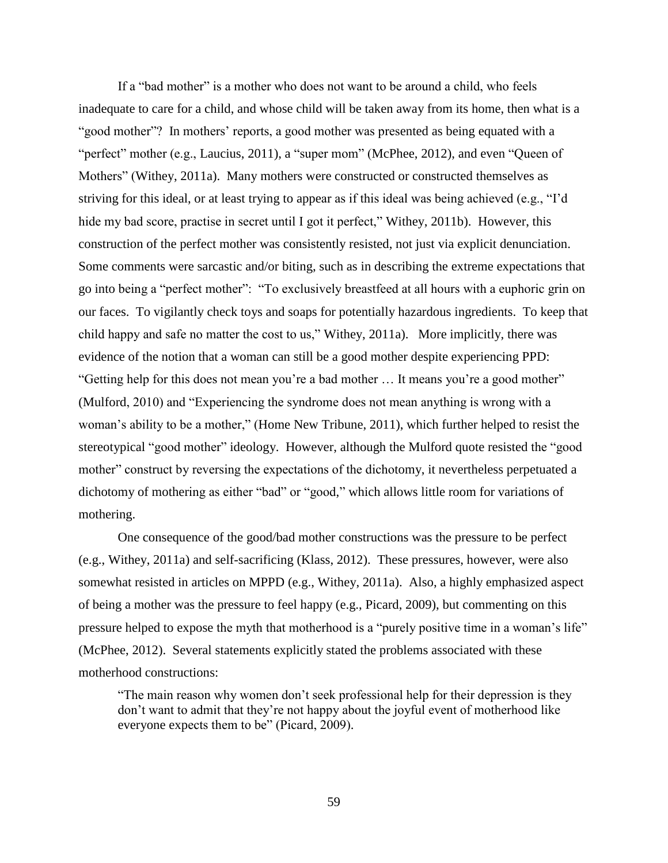If a "bad mother" is a mother who does not want to be around a child, who feels inadequate to care for a child, and whose child will be taken away from its home, then what is a "good mother"? In mothers' reports, a good mother was presented as being equated with a "perfect" mother (e.g., Laucius, 2011), a "super mom" (McPhee, 2012), and even "Queen of Mothers" (Withey, 2011a). Many mothers were constructed or constructed themselves as striving for this ideal, or at least trying to appear as if this ideal was being achieved (e.g., "I'd hide my bad score, practise in secret until I got it perfect," Withey, 2011b). However, this construction of the perfect mother was consistently resisted, not just via explicit denunciation. Some comments were sarcastic and/or biting, such as in describing the extreme expectations that go into being a "perfect mother": "To exclusively breastfeed at all hours with a euphoric grin on our faces. To vigilantly check toys and soaps for potentially hazardous ingredients. To keep that child happy and safe no matter the cost to us," Withey, 2011a). More implicitly, there was evidence of the notion that a woman can still be a good mother despite experiencing PPD: "Getting help for this does not mean you're a bad mother … It means you're a good mother" (Mulford, 2010) and "Experiencing the syndrome does not mean anything is wrong with a woman's ability to be a mother," (Home New Tribune, 2011), which further helped to resist the stereotypical "good mother" ideology. However, although the Mulford quote resisted the "good mother" construct by reversing the expectations of the dichotomy, it nevertheless perpetuated a dichotomy of mothering as either "bad" or "good," which allows little room for variations of mothering.

One consequence of the good/bad mother constructions was the pressure to be perfect (e.g., Withey, 2011a) and self-sacrificing (Klass, 2012). These pressures, however, were also somewhat resisted in articles on MPPD (e.g., Withey, 2011a). Also, a highly emphasized aspect of being a mother was the pressure to feel happy (e.g., Picard, 2009), but commenting on this pressure helped to expose the myth that motherhood is a "purely positive time in a woman's life" (McPhee, 2012). Several statements explicitly stated the problems associated with these motherhood constructions:

"The main reason why women don't seek professional help for their depression is they don't want to admit that they're not happy about the joyful event of motherhood like everyone expects them to be" (Picard, 2009).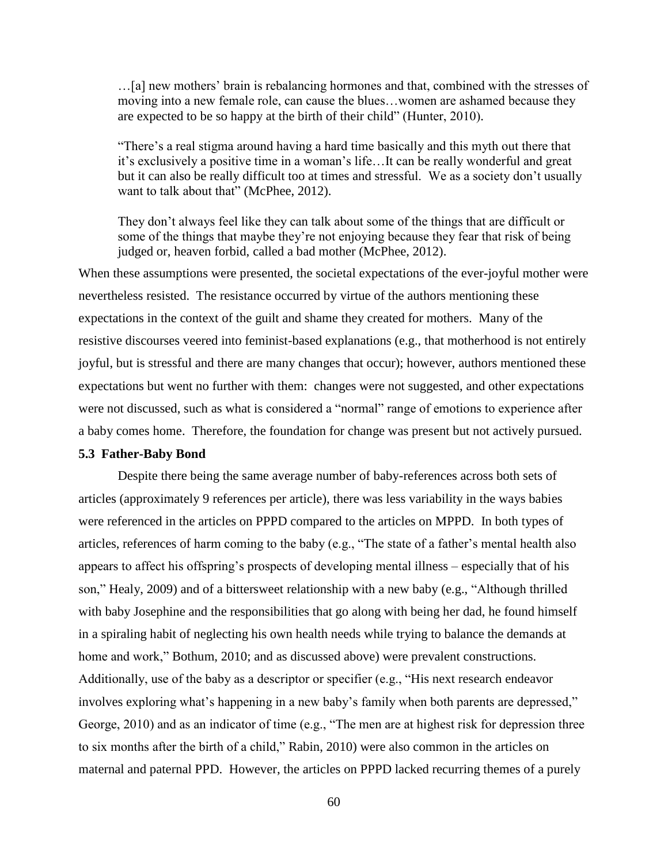…[a] new mothers' brain is rebalancing hormones and that, combined with the stresses of moving into a new female role, can cause the blues…women are ashamed because they are expected to be so happy at the birth of their child" (Hunter, 2010).

"There's a real stigma around having a hard time basically and this myth out there that it's exclusively a positive time in a woman's life…It can be really wonderful and great but it can also be really difficult too at times and stressful. We as a society don't usually want to talk about that" (McPhee, 2012).

They don't always feel like they can talk about some of the things that are difficult or some of the things that maybe they're not enjoying because they fear that risk of being judged or, heaven forbid, called a bad mother (McPhee, 2012).

When these assumptions were presented, the societal expectations of the ever-joyful mother were nevertheless resisted. The resistance occurred by virtue of the authors mentioning these expectations in the context of the guilt and shame they created for mothers. Many of the resistive discourses veered into feminist-based explanations (e.g., that motherhood is not entirely joyful, but is stressful and there are many changes that occur); however, authors mentioned these expectations but went no further with them: changes were not suggested, and other expectations were not discussed, such as what is considered a "normal" range of emotions to experience after a baby comes home. Therefore, the foundation for change was present but not actively pursued.

## **5.3 Father-Baby Bond**

Despite there being the same average number of baby-references across both sets of articles (approximately 9 references per article), there was less variability in the ways babies were referenced in the articles on PPPD compared to the articles on MPPD. In both types of articles, references of harm coming to the baby (e.g., "The state of a father's mental health also appears to affect his offspring's prospects of developing mental illness – especially that of his son," Healy, 2009) and of a bittersweet relationship with a new baby (e.g., "Although thrilled with baby Josephine and the responsibilities that go along with being her dad, he found himself in a spiraling habit of neglecting his own health needs while trying to balance the demands at home and work," Bothum, 2010; and as discussed above) were prevalent constructions. Additionally, use of the baby as a descriptor or specifier (e.g., "His next research endeavor involves exploring what's happening in a new baby's family when both parents are depressed," George, 2010) and as an indicator of time (e.g., "The men are at highest risk for depression three to six months after the birth of a child," Rabin, 2010) were also common in the articles on maternal and paternal PPD. However, the articles on PPPD lacked recurring themes of a purely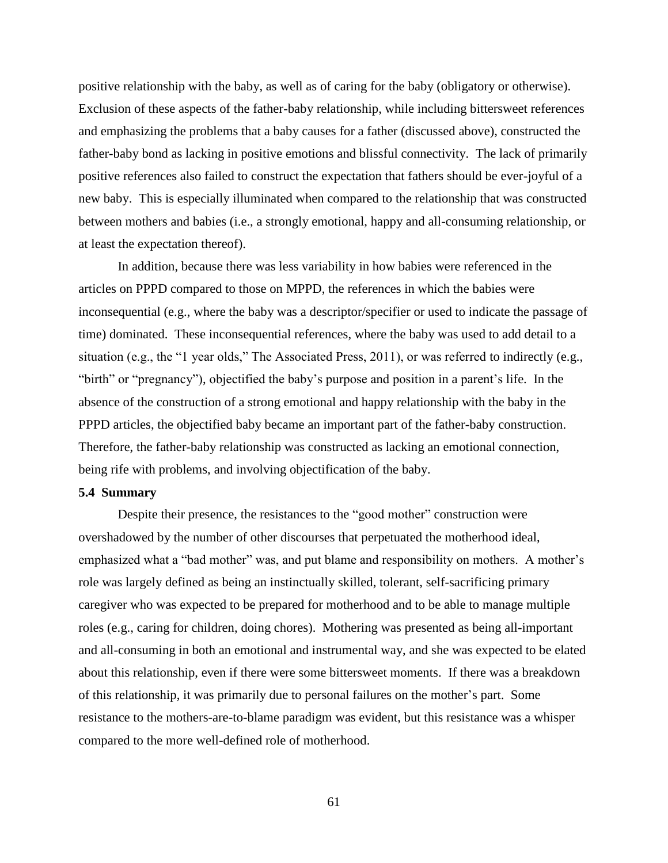positive relationship with the baby, as well as of caring for the baby (obligatory or otherwise). Exclusion of these aspects of the father-baby relationship, while including bittersweet references and emphasizing the problems that a baby causes for a father (discussed above), constructed the father-baby bond as lacking in positive emotions and blissful connectivity. The lack of primarily positive references also failed to construct the expectation that fathers should be ever-joyful of a new baby. This is especially illuminated when compared to the relationship that was constructed between mothers and babies (i.e., a strongly emotional, happy and all-consuming relationship, or at least the expectation thereof).

In addition, because there was less variability in how babies were referenced in the articles on PPPD compared to those on MPPD, the references in which the babies were inconsequential (e.g., where the baby was a descriptor/specifier or used to indicate the passage of time) dominated. These inconsequential references, where the baby was used to add detail to a situation (e.g., the "1 year olds," The Associated Press, 2011), or was referred to indirectly (e.g., "birth" or "pregnancy"), objectified the baby's purpose and position in a parent's life. In the absence of the construction of a strong emotional and happy relationship with the baby in the PPPD articles, the objectified baby became an important part of the father-baby construction. Therefore, the father-baby relationship was constructed as lacking an emotional connection, being rife with problems, and involving objectification of the baby.

## **5.4 Summary**

Despite their presence, the resistances to the "good mother" construction were overshadowed by the number of other discourses that perpetuated the motherhood ideal, emphasized what a "bad mother" was, and put blame and responsibility on mothers. A mother's role was largely defined as being an instinctually skilled, tolerant, self-sacrificing primary caregiver who was expected to be prepared for motherhood and to be able to manage multiple roles (e.g., caring for children, doing chores). Mothering was presented as being all-important and all-consuming in both an emotional and instrumental way, and she was expected to be elated about this relationship, even if there were some bittersweet moments. If there was a breakdown of this relationship, it was primarily due to personal failures on the mother's part. Some resistance to the mothers-are-to-blame paradigm was evident, but this resistance was a whisper compared to the more well-defined role of motherhood.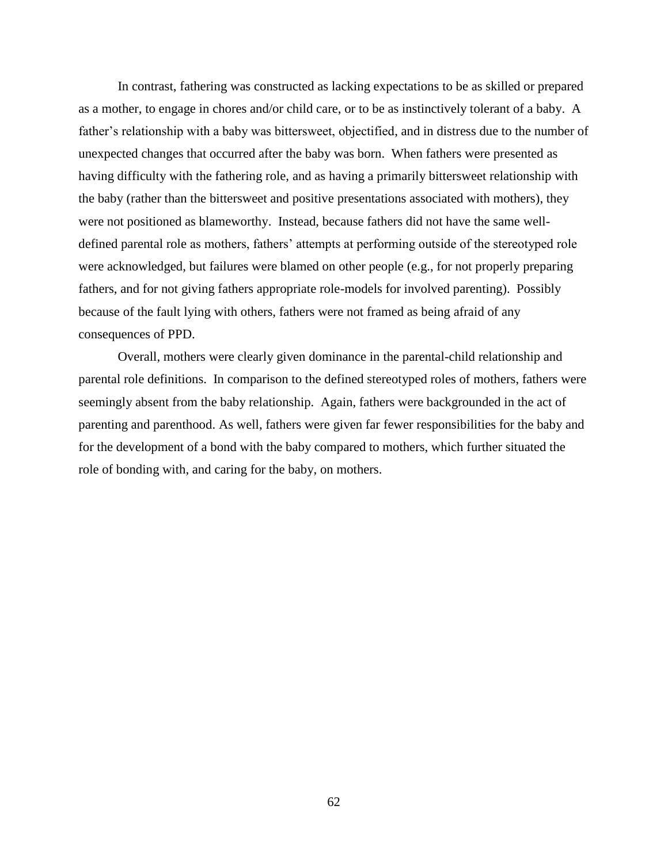In contrast, fathering was constructed as lacking expectations to be as skilled or prepared as a mother, to engage in chores and/or child care, or to be as instinctively tolerant of a baby. A father's relationship with a baby was bittersweet, objectified, and in distress due to the number of unexpected changes that occurred after the baby was born. When fathers were presented as having difficulty with the fathering role, and as having a primarily bittersweet relationship with the baby (rather than the bittersweet and positive presentations associated with mothers), they were not positioned as blameworthy. Instead, because fathers did not have the same welldefined parental role as mothers, fathers' attempts at performing outside of the stereotyped role were acknowledged, but failures were blamed on other people (e.g., for not properly preparing fathers, and for not giving fathers appropriate role-models for involved parenting). Possibly because of the fault lying with others, fathers were not framed as being afraid of any consequences of PPD.

Overall, mothers were clearly given dominance in the parental-child relationship and parental role definitions. In comparison to the defined stereotyped roles of mothers, fathers were seemingly absent from the baby relationship. Again, fathers were backgrounded in the act of parenting and parenthood. As well, fathers were given far fewer responsibilities for the baby and for the development of a bond with the baby compared to mothers, which further situated the role of bonding with, and caring for the baby, on mothers.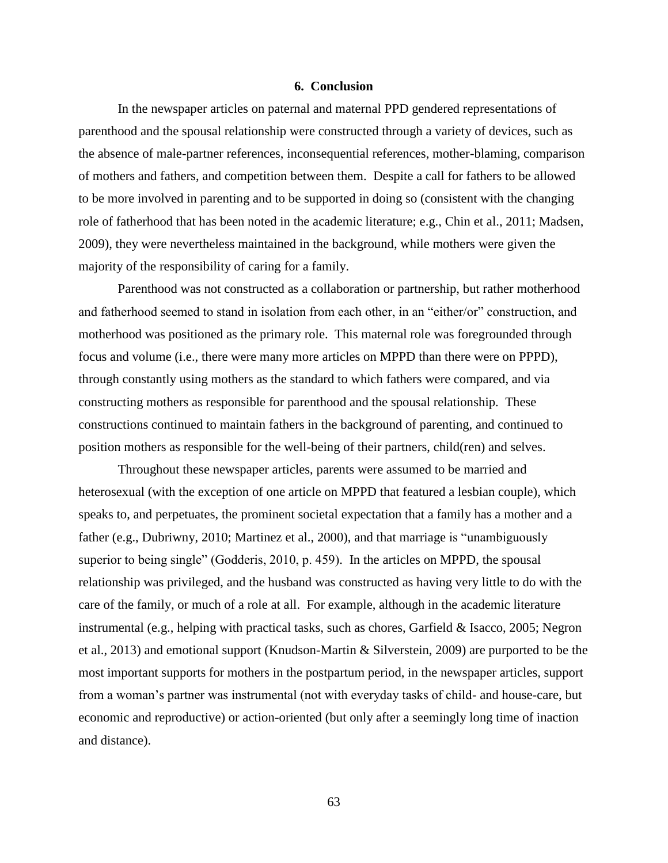#### **6. Conclusion**

In the newspaper articles on paternal and maternal PPD gendered representations of parenthood and the spousal relationship were constructed through a variety of devices, such as the absence of male-partner references, inconsequential references, mother-blaming, comparison of mothers and fathers, and competition between them. Despite a call for fathers to be allowed to be more involved in parenting and to be supported in doing so (consistent with the changing role of fatherhood that has been noted in the academic literature; e.g., Chin et al., 2011; Madsen, 2009), they were nevertheless maintained in the background, while mothers were given the majority of the responsibility of caring for a family.

Parenthood was not constructed as a collaboration or partnership, but rather motherhood and fatherhood seemed to stand in isolation from each other, in an "either/or" construction, and motherhood was positioned as the primary role. This maternal role was foregrounded through focus and volume (i.e., there were many more articles on MPPD than there were on PPPD), through constantly using mothers as the standard to which fathers were compared, and via constructing mothers as responsible for parenthood and the spousal relationship. These constructions continued to maintain fathers in the background of parenting, and continued to position mothers as responsible for the well-being of their partners, child(ren) and selves.

Throughout these newspaper articles, parents were assumed to be married and heterosexual (with the exception of one article on MPPD that featured a lesbian couple), which speaks to, and perpetuates, the prominent societal expectation that a family has a mother and a father (e.g., Dubriwny, 2010; Martinez et al., 2000), and that marriage is "unambiguously superior to being single" (Godderis, 2010, p. 459). In the articles on MPPD, the spousal relationship was privileged, and the husband was constructed as having very little to do with the care of the family, or much of a role at all. For example, although in the academic literature instrumental (e.g., helping with practical tasks, such as chores, Garfield & Isacco, 2005; Negron et al., 2013) and emotional support (Knudson-Martin & Silverstein, 2009) are purported to be the most important supports for mothers in the postpartum period, in the newspaper articles, support from a woman's partner was instrumental (not with everyday tasks of child- and house-care, but economic and reproductive) or action-oriented (but only after a seemingly long time of inaction and distance).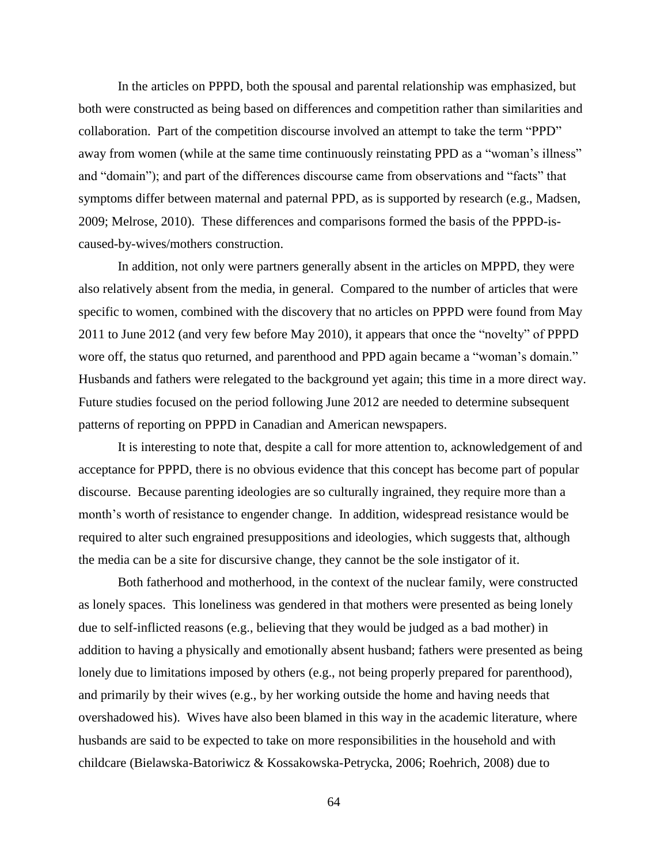In the articles on PPPD, both the spousal and parental relationship was emphasized, but both were constructed as being based on differences and competition rather than similarities and collaboration. Part of the competition discourse involved an attempt to take the term "PPD" away from women (while at the same time continuously reinstating PPD as a "woman's illness" and "domain"); and part of the differences discourse came from observations and "facts" that symptoms differ between maternal and paternal PPD, as is supported by research (e.g., Madsen, 2009; Melrose, 2010). These differences and comparisons formed the basis of the PPPD-iscaused-by-wives/mothers construction.

In addition, not only were partners generally absent in the articles on MPPD, they were also relatively absent from the media, in general. Compared to the number of articles that were specific to women, combined with the discovery that no articles on PPPD were found from May 2011 to June 2012 (and very few before May 2010), it appears that once the "novelty" of PPPD wore off, the status quo returned, and parenthood and PPD again became a "woman's domain." Husbands and fathers were relegated to the background yet again; this time in a more direct way. Future studies focused on the period following June 2012 are needed to determine subsequent patterns of reporting on PPPD in Canadian and American newspapers.

It is interesting to note that, despite a call for more attention to, acknowledgement of and acceptance for PPPD, there is no obvious evidence that this concept has become part of popular discourse. Because parenting ideologies are so culturally ingrained, they require more than a month's worth of resistance to engender change. In addition, widespread resistance would be required to alter such engrained presuppositions and ideologies, which suggests that, although the media can be a site for discursive change, they cannot be the sole instigator of it.

Both fatherhood and motherhood, in the context of the nuclear family, were constructed as lonely spaces. This loneliness was gendered in that mothers were presented as being lonely due to self-inflicted reasons (e.g., believing that they would be judged as a bad mother) in addition to having a physically and emotionally absent husband; fathers were presented as being lonely due to limitations imposed by others (e.g., not being properly prepared for parenthood), and primarily by their wives (e.g., by her working outside the home and having needs that overshadowed his). Wives have also been blamed in this way in the academic literature, where husbands are said to be expected to take on more responsibilities in the household and with childcare (Bielawska-Batoriwicz & Kossakowska-Petrycka, 2006; Roehrich, 2008) due to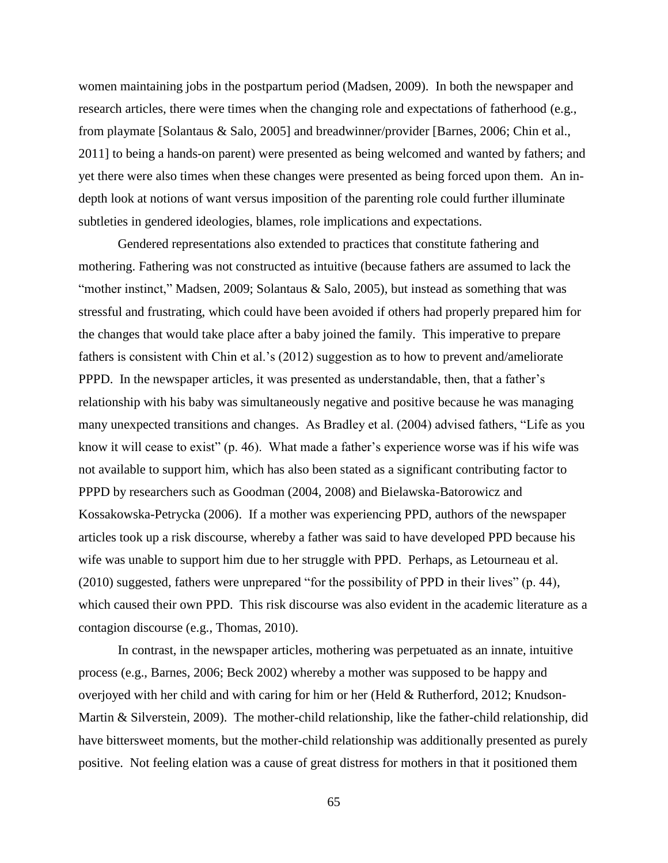women maintaining jobs in the postpartum period (Madsen, 2009). In both the newspaper and research articles, there were times when the changing role and expectations of fatherhood (e.g., from playmate [Solantaus & Salo, 2005] and breadwinner/provider [Barnes, 2006; Chin et al., 2011] to being a hands-on parent) were presented as being welcomed and wanted by fathers; and yet there were also times when these changes were presented as being forced upon them. An indepth look at notions of want versus imposition of the parenting role could further illuminate subtleties in gendered ideologies, blames, role implications and expectations.

Gendered representations also extended to practices that constitute fathering and mothering. Fathering was not constructed as intuitive (because fathers are assumed to lack the "mother instinct," Madsen, 2009; Solantaus & Salo, 2005), but instead as something that was stressful and frustrating, which could have been avoided if others had properly prepared him for the changes that would take place after a baby joined the family. This imperative to prepare fathers is consistent with Chin et al.'s (2012) suggestion as to how to prevent and/ameliorate PPPD. In the newspaper articles, it was presented as understandable, then, that a father's relationship with his baby was simultaneously negative and positive because he was managing many unexpected transitions and changes. As Bradley et al. (2004) advised fathers, "Life as you know it will cease to exist" (p. 46). What made a father's experience worse was if his wife was not available to support him, which has also been stated as a significant contributing factor to PPPD by researchers such as Goodman (2004, 2008) and Bielawska-Batorowicz and Kossakowska-Petrycka (2006). If a mother was experiencing PPD, authors of the newspaper articles took up a risk discourse, whereby a father was said to have developed PPD because his wife was unable to support him due to her struggle with PPD. Perhaps, as Letourneau et al. (2010) suggested, fathers were unprepared "for the possibility of PPD in their lives" (p. 44), which caused their own PPD. This risk discourse was also evident in the academic literature as a contagion discourse (e.g., Thomas, 2010).

In contrast, in the newspaper articles, mothering was perpetuated as an innate, intuitive process (e.g., Barnes, 2006; Beck 2002) whereby a mother was supposed to be happy and overjoyed with her child and with caring for him or her (Held & Rutherford, 2012; Knudson-Martin & Silverstein, 2009). The mother-child relationship, like the father-child relationship, did have bittersweet moments, but the mother-child relationship was additionally presented as purely positive. Not feeling elation was a cause of great distress for mothers in that it positioned them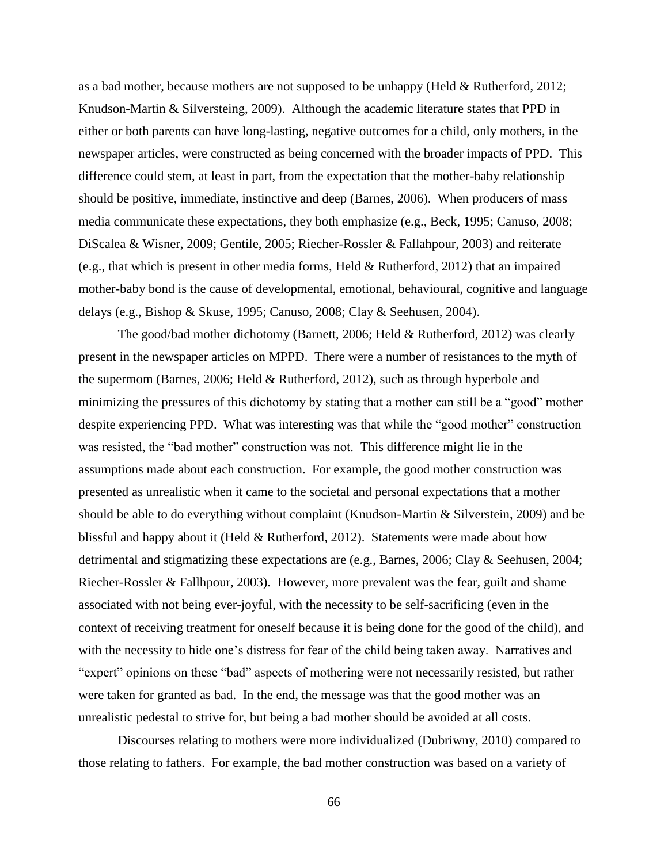as a bad mother, because mothers are not supposed to be unhappy (Held & Rutherford, 2012; Knudson-Martin & Silversteing, 2009). Although the academic literature states that PPD in either or both parents can have long-lasting, negative outcomes for a child, only mothers, in the newspaper articles, were constructed as being concerned with the broader impacts of PPD. This difference could stem, at least in part, from the expectation that the mother-baby relationship should be positive, immediate, instinctive and deep (Barnes, 2006). When producers of mass media communicate these expectations, they both emphasize (e.g., Beck, 1995; Canuso, 2008; DiScalea & Wisner, 2009; Gentile, 2005; Riecher-Rossler & Fallahpour, 2003) and reiterate (e.g., that which is present in other media forms, Held & Rutherford, 2012) that an impaired mother-baby bond is the cause of developmental, emotional, behavioural, cognitive and language delays (e.g., Bishop & Skuse, 1995; Canuso, 2008; Clay & Seehusen, 2004).

The good/bad mother dichotomy (Barnett, 2006; Held & Rutherford, 2012) was clearly present in the newspaper articles on MPPD. There were a number of resistances to the myth of the supermom (Barnes, 2006; Held & Rutherford, 2012), such as through hyperbole and minimizing the pressures of this dichotomy by stating that a mother can still be a "good" mother despite experiencing PPD. What was interesting was that while the "good mother" construction was resisted, the "bad mother" construction was not. This difference might lie in the assumptions made about each construction. For example, the good mother construction was presented as unrealistic when it came to the societal and personal expectations that a mother should be able to do everything without complaint (Knudson-Martin & Silverstein, 2009) and be blissful and happy about it (Held & Rutherford, 2012). Statements were made about how detrimental and stigmatizing these expectations are (e.g., Barnes, 2006; Clay & Seehusen, 2004; Riecher-Rossler & Fallhpour, 2003). However, more prevalent was the fear, guilt and shame associated with not being ever-joyful, with the necessity to be self-sacrificing (even in the context of receiving treatment for oneself because it is being done for the good of the child), and with the necessity to hide one's distress for fear of the child being taken away. Narratives and "expert" opinions on these "bad" aspects of mothering were not necessarily resisted, but rather were taken for granted as bad. In the end, the message was that the good mother was an unrealistic pedestal to strive for, but being a bad mother should be avoided at all costs.

Discourses relating to mothers were more individualized (Dubriwny, 2010) compared to those relating to fathers. For example, the bad mother construction was based on a variety of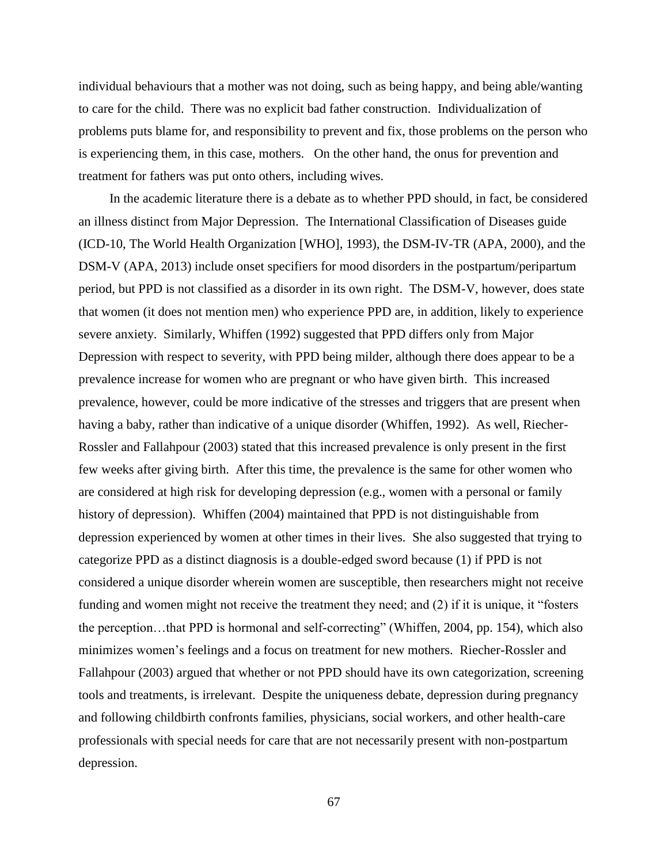individual behaviours that a mother was not doing, such as being happy, and being able/wanting to care for the child. There was no explicit bad father construction. Individualization of problems puts blame for, and responsibility to prevent and fix, those problems on the person who is experiencing them, in this case, mothers. On the other hand, the onus for prevention and treatment for fathers was put onto others, including wives.

In the academic literature there is a debate as to whether PPD should, in fact, be considered an illness distinct from Major Depression. The International Classification of Diseases guide (ICD-10, The World Health Organization [WHO], 1993), the DSM-IV-TR (APA, 2000), and the DSM-V (APA, 2013) include onset specifiers for mood disorders in the postpartum/peripartum period, but PPD is not classified as a disorder in its own right. The DSM-V, however, does state that women (it does not mention men) who experience PPD are, in addition, likely to experience severe anxiety. Similarly, Whiffen (1992) suggested that PPD differs only from Major Depression with respect to severity, with PPD being milder, although there does appear to be a prevalence increase for women who are pregnant or who have given birth. This increased prevalence, however, could be more indicative of the stresses and triggers that are present when having a baby, rather than indicative of a unique disorder (Whiffen, 1992). As well, Riecher-Rossler and Fallahpour (2003) stated that this increased prevalence is only present in the first few weeks after giving birth. After this time, the prevalence is the same for other women who are considered at high risk for developing depression (e.g., women with a personal or family history of depression). Whiffen (2004) maintained that PPD is not distinguishable from depression experienced by women at other times in their lives. She also suggested that trying to categorize PPD as a distinct diagnosis is a double-edged sword because (1) if PPD is not considered a unique disorder wherein women are susceptible, then researchers might not receive funding and women might not receive the treatment they need; and (2) if it is unique, it "fosters the perception…that PPD is hormonal and self-correcting" (Whiffen, 2004, pp. 154), which also minimizes women's feelings and a focus on treatment for new mothers. Riecher-Rossler and Fallahpour (2003) argued that whether or not PPD should have its own categorization, screening tools and treatments, is irrelevant. Despite the uniqueness debate, depression during pregnancy and following childbirth confronts families, physicians, social workers, and other health-care professionals with special needs for care that are not necessarily present with non-postpartum depression.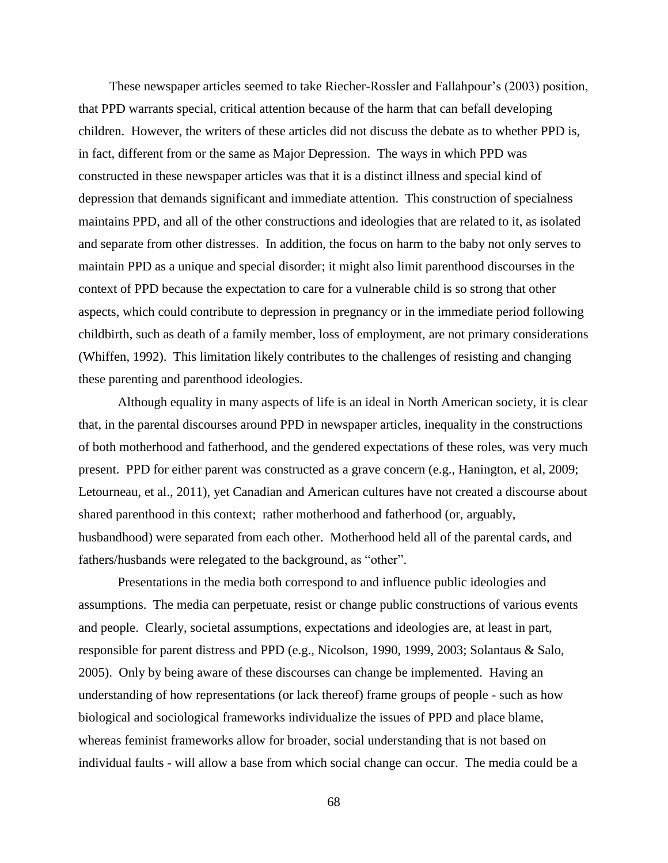These newspaper articles seemed to take Riecher-Rossler and Fallahpour's (2003) position, that PPD warrants special, critical attention because of the harm that can befall developing children. However, the writers of these articles did not discuss the debate as to whether PPD is, in fact, different from or the same as Major Depression. The ways in which PPD was constructed in these newspaper articles was that it is a distinct illness and special kind of depression that demands significant and immediate attention. This construction of specialness maintains PPD, and all of the other constructions and ideologies that are related to it, as isolated and separate from other distresses. In addition, the focus on harm to the baby not only serves to maintain PPD as a unique and special disorder; it might also limit parenthood discourses in the context of PPD because the expectation to care for a vulnerable child is so strong that other aspects, which could contribute to depression in pregnancy or in the immediate period following childbirth, such as death of a family member, loss of employment, are not primary considerations (Whiffen, 1992). This limitation likely contributes to the challenges of resisting and changing these parenting and parenthood ideologies.

Although equality in many aspects of life is an ideal in North American society, it is clear that, in the parental discourses around PPD in newspaper articles, inequality in the constructions of both motherhood and fatherhood, and the gendered expectations of these roles, was very much present. PPD for either parent was constructed as a grave concern (e.g., Hanington, et al, 2009; Letourneau, et al., 2011), yet Canadian and American cultures have not created a discourse about shared parenthood in this context; rather motherhood and fatherhood (or, arguably, husbandhood) were separated from each other. Motherhood held all of the parental cards, and fathers/husbands were relegated to the background, as "other".

Presentations in the media both correspond to and influence public ideologies and assumptions. The media can perpetuate, resist or change public constructions of various events and people. Clearly, societal assumptions, expectations and ideologies are, at least in part, responsible for parent distress and PPD (e.g., Nicolson, 1990, 1999, 2003; Solantaus & Salo, 2005). Only by being aware of these discourses can change be implemented. Having an understanding of how representations (or lack thereof) frame groups of people - such as how biological and sociological frameworks individualize the issues of PPD and place blame, whereas feminist frameworks allow for broader, social understanding that is not based on individual faults - will allow a base from which social change can occur. The media could be a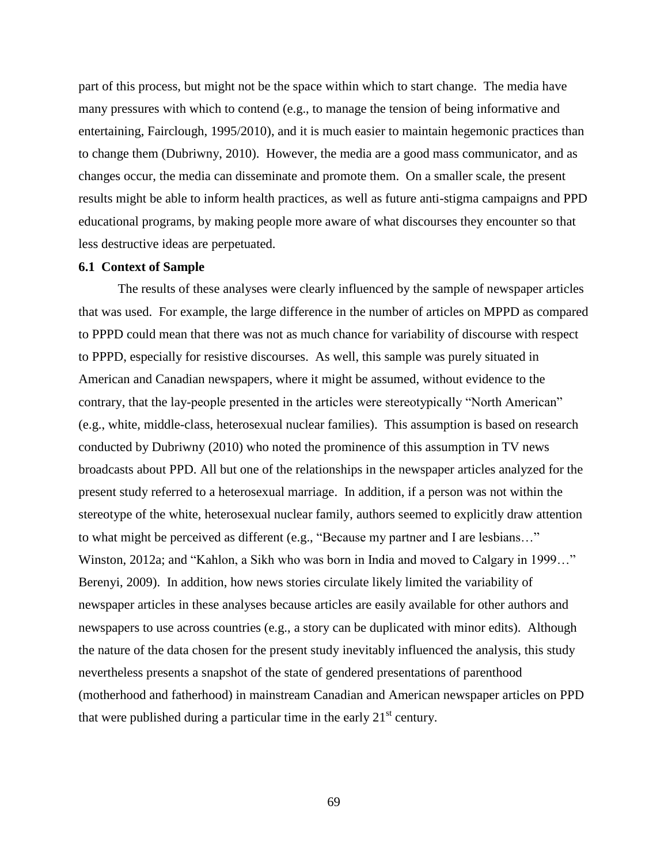part of this process, but might not be the space within which to start change. The media have many pressures with which to contend (e.g., to manage the tension of being informative and entertaining, Fairclough, 1995/2010), and it is much easier to maintain hegemonic practices than to change them (Dubriwny, 2010). However, the media are a good mass communicator, and as changes occur, the media can disseminate and promote them. On a smaller scale, the present results might be able to inform health practices, as well as future anti-stigma campaigns and PPD educational programs, by making people more aware of what discourses they encounter so that less destructive ideas are perpetuated.

## **6.1 Context of Sample**

The results of these analyses were clearly influenced by the sample of newspaper articles that was used. For example, the large difference in the number of articles on MPPD as compared to PPPD could mean that there was not as much chance for variability of discourse with respect to PPPD, especially for resistive discourses. As well, this sample was purely situated in American and Canadian newspapers, where it might be assumed, without evidence to the contrary, that the lay-people presented in the articles were stereotypically "North American" (e.g., white, middle-class, heterosexual nuclear families). This assumption is based on research conducted by Dubriwny (2010) who noted the prominence of this assumption in TV news broadcasts about PPD. All but one of the relationships in the newspaper articles analyzed for the present study referred to a heterosexual marriage. In addition, if a person was not within the stereotype of the white, heterosexual nuclear family, authors seemed to explicitly draw attention to what might be perceived as different (e.g., "Because my partner and I are lesbians…" Winston, 2012a; and "Kahlon, a Sikh who was born in India and moved to Calgary in 1999…" Berenyi, 2009). In addition, how news stories circulate likely limited the variability of newspaper articles in these analyses because articles are easily available for other authors and newspapers to use across countries (e.g., a story can be duplicated with minor edits). Although the nature of the data chosen for the present study inevitably influenced the analysis, this study nevertheless presents a snapshot of the state of gendered presentations of parenthood (motherhood and fatherhood) in mainstream Canadian and American newspaper articles on PPD that were published during a particular time in the early  $21<sup>st</sup>$  century.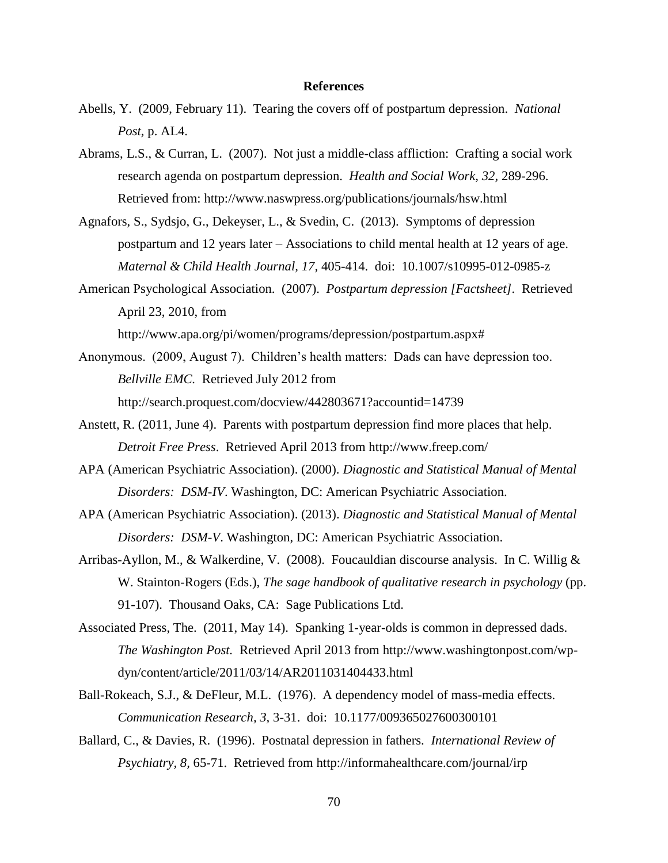## **References**

- Abells, Y. (2009, February 11). Tearing the covers off of postpartum depression. *National Post,* p. AL4.
- Abrams, L.S., & Curran, L. (2007). Not just a middle-class affliction: Crafting a social work research agenda on postpartum depression. *Health and Social Work, 32,* 289-296. Retrieved from: http://www.naswpress.org/publications/journals/hsw.html
- Agnafors, S., Sydsjo, G., Dekeyser, L., & Svedin, C. (2013). Symptoms of depression postpartum and 12 years later – Associations to child mental health at 12 years of age. *Maternal & Child Health Journal, 17,* 405-414. doi: 10.1007/s10995-012-0985-z
- American Psychological Association. (2007). *Postpartum depression [Factsheet].* Retrieved April 23, 2010, from http://www.apa.org/pi/women/programs/depression/postpartum.aspx#
- Anonymous. (2009, August 7). Children's health matters: Dads can have depression too. *Bellville EMC.* Retrieved July 2012 from http://search.proquest.com/docview/442803671?accountid=14739
- Anstett, R. (2011, June 4). Parents with postpartum depression find more places that help. *Detroit Free Press*. Retrieved April 2013 from http://www.freep.com/
- APA (American Psychiatric Association). (2000). *Diagnostic and Statistical Manual of Mental Disorders: DSM-IV*. Washington, DC: American Psychiatric Association.
- APA (American Psychiatric Association). (2013). *Diagnostic and Statistical Manual of Mental Disorders: DSM-V*. Washington, DC: American Psychiatric Association.
- Arribas-Ayllon, M., & Walkerdine, V. (2008). Foucauldian discourse analysis. In C. Willig & W. Stainton-Rogers (Eds.), *The sage handbook of qualitative research in psychology* (pp. 91-107). Thousand Oaks, CA: Sage Publications Ltd.
- Associated Press, The. (2011, May 14). Spanking 1-year-olds is common in depressed dads. *The Washington Post.* Retrieved April 2013 from http://www.washingtonpost.com/wpdyn/content/article/2011/03/14/AR2011031404433.html
- Ball-Rokeach, S.J., & DeFleur, M.L. (1976). A dependency model of mass-media effects. *Communication Research, 3,* 3-31. doi: 10.1177/009365027600300101
- Ballard, C., & Davies, R. (1996). Postnatal depression in fathers. *International Review of Psychiatry, 8,* 65-71. Retrieved from http://informahealthcare.com/journal/irp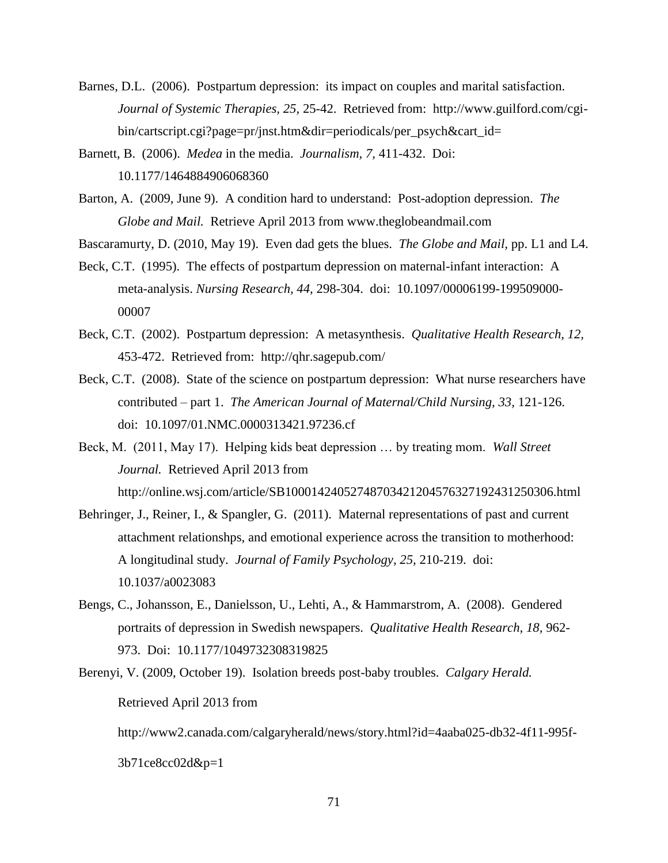- Barnes, D.L. (2006). Postpartum depression: its impact on couples and marital satisfaction. *Journal of Systemic Therapies, 25,* 25-42. Retrieved from: http://www.guilford.com/cgibin/cartscript.cgi?page=pr/jnst.htm&dir=periodicals/per\_psych&cart\_id=
- Barnett, B. (2006). *Medea* in the media. *Journalism, 7,* 411-432. Doi: 10.1177/1464884906068360
- Barton, A. (2009, June 9). A condition hard to understand: Post-adoption depression. *The Globe and Mail.* Retrieve April 2013 from www.theglobeandmail.com
- Bascaramurty, D. (2010, May 19). Even dad gets the blues. *The Globe and Mail,* pp. L1 and L4.
- Beck, C.T. (1995). The effects of postpartum depression on maternal-infant interaction: A meta-analysis. *Nursing Research, 44,* 298-304. doi: 10.1097/00006199-199509000- 00007
- Beck, C.T. (2002). Postpartum depression: A metasynthesis. *Qualitative Health Research, 12,*  453-472. Retrieved from: http://qhr.sagepub.com/
- Beck, C.T. (2008). State of the science on postpartum depression: What nurse researchers have contributed – part 1. *The American Journal of Maternal/Child Nursing, 33,* 121-126. doi: 10.1097/01.NMC.0000313421.97236.cf
- Beck, M. (2011, May 17). Helping kids beat depression … by treating mom. *Wall Street Journal.* Retrieved April 2013 from http://online.wsj.com/article/SB10001424052748703421204576327192431250306.html
- Behringer, J., Reiner, I., & Spangler, G. (2011). Maternal representations of past and current attachment relationshps, and emotional experience across the transition to motherhood: A longitudinal study. *Journal of Family Psychology, 25,* 210-219. doi: 10.1037/a0023083
- Bengs, C., Johansson, E., Danielsson, U., Lehti, A., & Hammarstrom, A. (2008). Gendered portraits of depression in Swedish newspapers. *Qualitative Health Research, 18,* 962- 973. Doi: 10.1177/1049732308319825
- Berenyi, V. (2009, October 19). Isolation breeds post-baby troubles. *Calgary Herald.* Retrieved April 2013 from

http://www2.canada.com/calgaryherald/news/story.html?id=4aaba025-db32-4f11-995f-

3b71ce8cc02d&p=1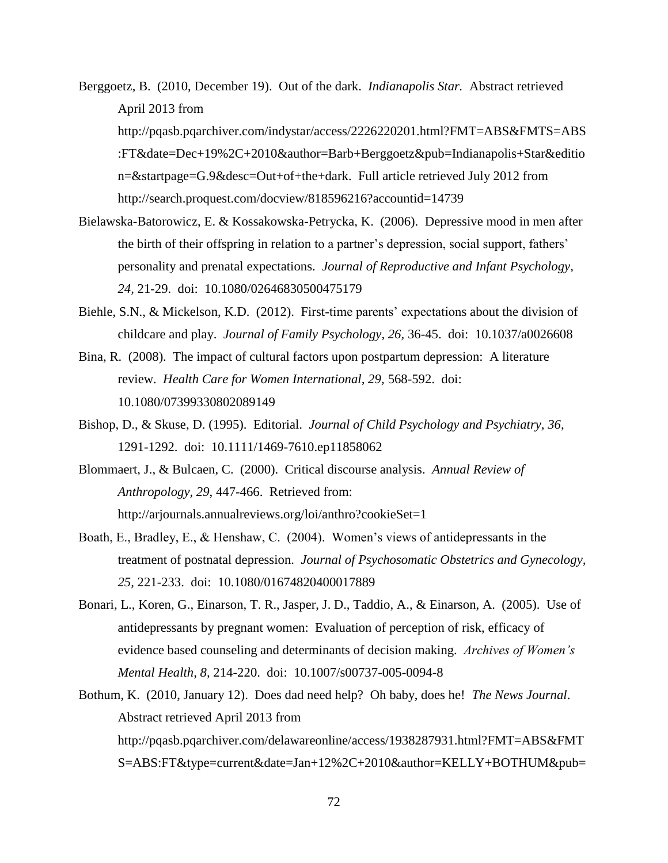- Berggoetz, B. (2010, December 19). Out of the dark. *Indianapolis Star.* Abstract retrieved April 2013 from http://pqasb.pqarchiver.com/indystar/access/2226220201.html?FMT=ABS&FMTS=ABS :FT&date=Dec+19%2C+2010&author=Barb+Berggoetz&pub=Indianapolis+Star&editio n=&startpage=G.9&desc=Out+of+the+dark. Full article retrieved July 2012 from http://search.proquest.com/docview/818596216?accountid=14739
- Bielawska-Batorowicz, E. & Kossakowska-Petrycka, K. (2006). Depressive mood in men after the birth of their offspring in relation to a partner's depression, social support, fathers' personality and prenatal expectations. *Journal of Reproductive and Infant Psychology, 24,* 21-29. doi: 10.1080/02646830500475179
- Biehle, S.N., & Mickelson, K.D. (2012). First-time parents' expectations about the division of childcare and play. *Journal of Family Psychology, 26,* 36-45. doi: 10.1037/a0026608
- Bina, R. (2008). The impact of cultural factors upon postpartum depression: A literature review. *Health Care for Women International, 29,* 568-592. doi: 10.1080/07399330802089149
- Bishop, D., & Skuse, D. (1995). Editorial. *Journal of Child Psychology and Psychiatry, 36,*  1291-1292. doi: 10.1111/1469-7610.ep11858062
- Blommaert, J., & Bulcaen, C. (2000). Critical discourse analysis. *Annual Review of Anthropology, 29*, 447-466. Retrieved from: http://arjournals.annualreviews.org/loi/anthro?cookieSet=1
- Boath, E., Bradley, E., & Henshaw, C. (2004). Women's views of antidepressants in the treatment of postnatal depression. *Journal of Psychosomatic Obstetrics and Gynecology, 25,* 221-233. doi: 10.1080/01674820400017889
- Bonari, L., Koren, G., Einarson, T. R., Jasper, J. D., Taddio, A., & Einarson, A. (2005). Use of antidepressants by pregnant women: Evaluation of perception of risk, efficacy of evidence based counseling and determinants of decision making. *Archives of Women's Mental Health, 8,* 214-220. doi: 10.1007/s00737-005-0094-8
- Bothum, K. (2010, January 12). Does dad need help? Oh baby, does he! *The News Journal*. Abstract retrieved April 2013 from http://pqasb.pqarchiver.com/delawareonline/access/1938287931.html?FMT=ABS&FMT S=ABS:FT&type=current&date=Jan+12%2C+2010&author=KELLY+BOTHUM&pub=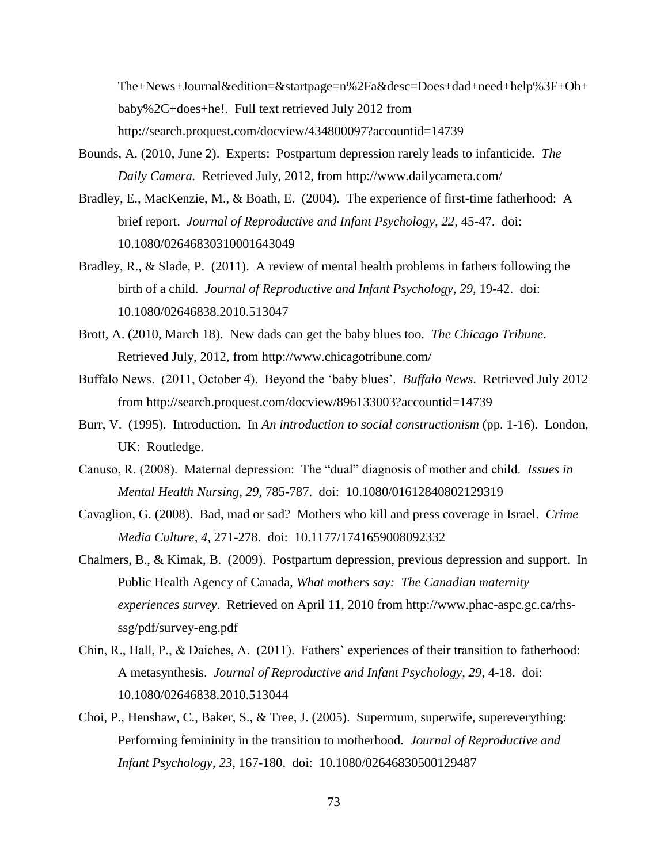The+News+Journal&edition=&startpage=n%2Fa&desc=Does+dad+need+help%3F+Oh+ baby%2C+does+he!. Full text retrieved July 2012 from http://search.proquest.com/docview/434800097?accountid=14739

- Bounds, A. (2010, June 2). Experts: Postpartum depression rarely leads to infanticide. *The Daily Camera.* Retrieved July, 2012, from http://www.dailycamera.com/
- Bradley, E., MacKenzie, M., & Boath, E. (2004). The experience of first-time fatherhood: A brief report. *Journal of Reproductive and Infant Psychology, 22,* 45-47. doi: 10.1080/02646830310001643049
- Bradley, R., & Slade, P. (2011). A review of mental health problems in fathers following the birth of a child. *Journal of Reproductive and Infant Psychology, 29, 19-42.* doi: 10.1080/02646838.2010.513047
- Brott, A. (2010, March 18). New dads can get the baby blues too. *The Chicago Tribune*. Retrieved July, 2012, from http://www.chicagotribune.com/
- Buffalo News. (2011, October 4). Beyond the 'baby blues'. *Buffalo News*. Retrieved July 2012 from http://search.proquest.com/docview/896133003?accountid=14739
- Burr, V. (1995). Introduction. In *An introduction to social constructionism* (pp. 1-16). London, UK: Routledge.
- Canuso, R. (2008). Maternal depression: The "dual" diagnosis of mother and child. *Issues in Mental Health Nursing, 29,* 785-787. doi: 10.1080/01612840802129319
- Cavaglion, G. (2008). Bad, mad or sad? Mothers who kill and press coverage in Israel. *Crime Media Culture, 4,* 271-278. doi: 10.1177/1741659008092332
- Chalmers, B., & Kimak, B. (2009). Postpartum depression, previous depression and support. In Public Health Agency of Canada, *What mothers say: The Canadian maternity experiences survey*. Retrieved on April 11, 2010 from http://www.phac-aspc.gc.ca/rhsssg/pdf/survey-eng.pdf
- Chin, R., Hall, P., & Daiches, A. (2011). Fathers' experiences of their transition to fatherhood: A metasynthesis. *Journal of Reproductive and Infant Psychology, 29,* 4-18. doi: 10.1080/02646838.2010.513044
- Choi, P., Henshaw, C., Baker, S., & Tree, J. (2005). Supermum, superwife, supereverything: Performing femininity in the transition to motherhood. *Journal of Reproductive and Infant Psychology, 23,* 167-180. doi: 10.1080/02646830500129487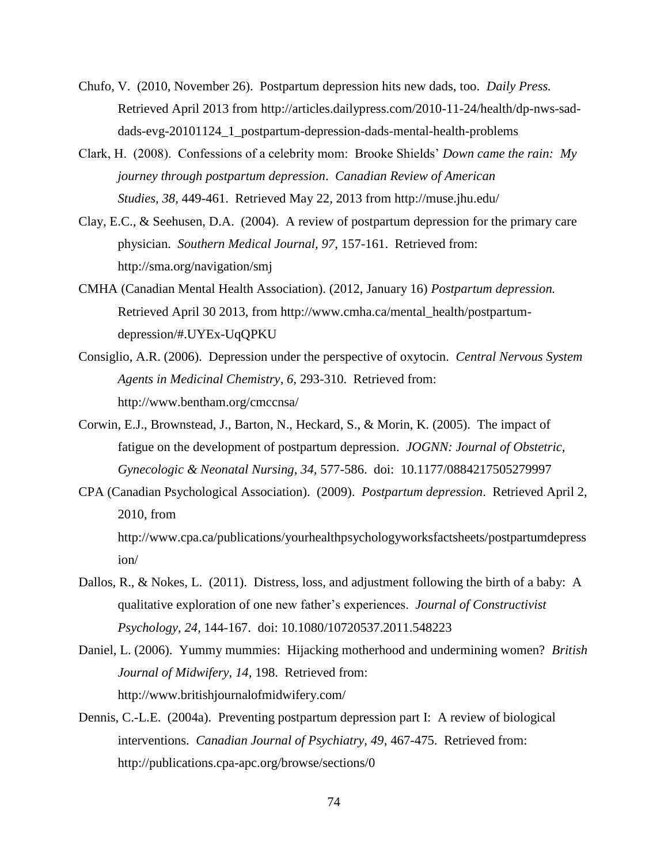- Chufo, V. (2010, November 26). Postpartum depression hits new dads, too. *Daily Press.* Retrieved April 2013 from http://articles.dailypress.com/2010-11-24/health/dp-nws-saddads-evg-20101124\_1\_postpartum-depression-dads-mental-health-problems
- Clark, H. (2008). Confessions of a celebrity mom: Brooke Shields' *Down came the rain: My journey through postpartum depression*. *Canadian Review of American Studies, 38,* 449-461. Retrieved May 22, 2013 from http://muse.jhu.edu/
- Clay, E.C., & Seehusen, D.A. (2004). A review of postpartum depression for the primary care physician. *Southern Medical Journal, 97,* 157-161. Retrieved from: http://sma.org/navigation/smj
- CMHA (Canadian Mental Health Association). (2012, January 16) *Postpartum depression.* Retrieved April 30 2013, from http://www.cmha.ca/mental\_health/postpartumdepression/#.UYEx-UqQPKU
- Consiglio, A.R. (2006). Depression under the perspective of oxytocin. *Central Nervous System Agents in Medicinal Chemistry, 6,* 293-310. Retrieved from: http://www.bentham.org/cmccnsa/
- Corwin, E.J., Brownstead, J., Barton, N., Heckard, S., & Morin, K. (2005). The impact of fatigue on the development of postpartum depression. *JOGNN: Journal of Obstetric, Gynecologic & Neonatal Nursing, 34,* 577-586. doi: 10.1177/0884217505279997
- CPA (Canadian Psychological Association). (2009). *Postpartum depression*. Retrieved April 2, 2010, from http://www.cpa.ca/publications/yourhealthpsychologyworksfactsheets/postpartumdepress ion/
- Dallos, R., & Nokes, L. (2011). Distress, loss, and adjustment following the birth of a baby: A qualitative exploration of one new father's experiences. *Journal of Constructivist Psychology, 24,* 144-167. doi: 10.1080/10720537.2011.548223
- Daniel, L. (2006). Yummy mummies: Hijacking motherhood and undermining women? *British Journal of Midwifery, 14,* 198. Retrieved from: http://www.britishjournalofmidwifery.com/
- Dennis, C.-L.E. (2004a). Preventing postpartum depression part I: A review of biological interventions. *Canadian Journal of Psychiatry, 49,* 467-475. Retrieved from: http://publications.cpa-apc.org/browse/sections/0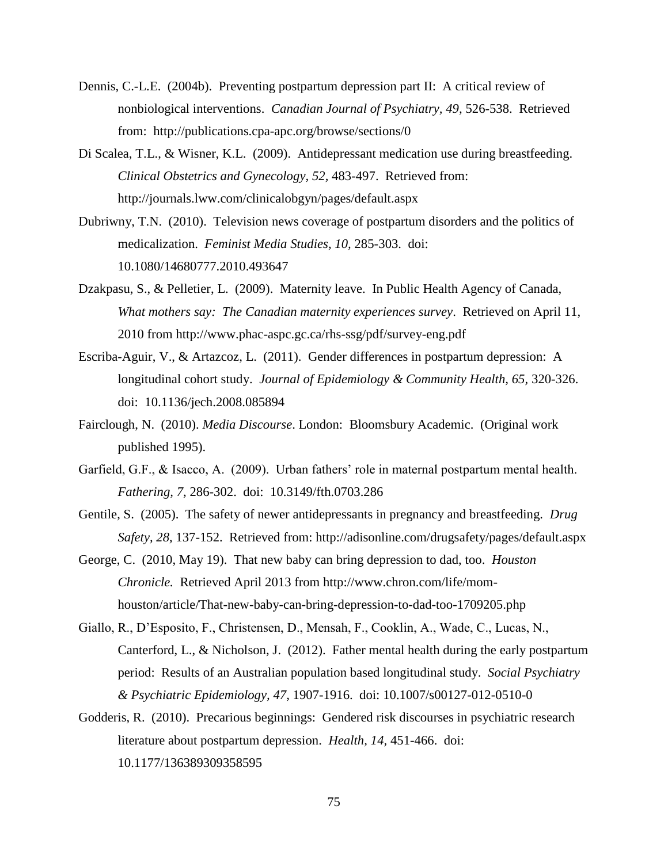- Dennis, C.-L.E. (2004b). Preventing postpartum depression part II: A critical review of nonbiological interventions. *Canadian Journal of Psychiatry, 49,* 526-538. Retrieved from: http://publications.cpa-apc.org/browse/sections/0
- Di Scalea, T.L., & Wisner, K.L. (2009). Antidepressant medication use during breastfeeding. *Clinical Obstetrics and Gynecology, 52,* 483-497. Retrieved from: http://journals.lww.com/clinicalobgyn/pages/default.aspx
- Dubriwny, T.N. (2010). Television news coverage of postpartum disorders and the politics of medicalization. *Feminist Media Studies, 10,* 285-303. doi: 10.1080/14680777.2010.493647
- Dzakpasu, S., & Pelletier, L. (2009). Maternity leave. In Public Health Agency of Canada, *What mothers say: The Canadian maternity experiences survey*. Retrieved on April 11, 2010 from http://www.phac-aspc.gc.ca/rhs-ssg/pdf/survey-eng.pdf
- Escriba-Aguir, V., & Artazcoz, L. (2011). Gender differences in postpartum depression: A longitudinal cohort study. *Journal of Epidemiology & Community Health, 65,* 320-326. doi: 10.1136/jech.2008.085894
- Fairclough, N. (2010). *Media Discourse*. London: Bloomsbury Academic. (Original work published 1995).
- Garfield, G.F., & Isacco, A. (2009). Urban fathers' role in maternal postpartum mental health. *Fathering, 7,* 286-302. doi: 10.3149/fth.0703.286
- Gentile, S. (2005). The safety of newer antidepressants in pregnancy and breastfeeding. *Drug Safety, 28,* 137-152. Retrieved from: http://adisonline.com/drugsafety/pages/default.aspx
- George, C. (2010, May 19). That new baby can bring depression to dad, too. *Houston Chronicle.* Retrieved April 2013 from http://www.chron.com/life/momhouston/article/That-new-baby-can-bring-depression-to-dad-too-1709205.php
- Giallo, R., D'Esposito, F., Christensen, D., Mensah, F., Cooklin, A., Wade, C., Lucas, N., Canterford, L., & Nicholson, J. (2012). Father mental health during the early postpartum period: Results of an Australian population based longitudinal study. *Social Psychiatry & Psychiatric Epidemiology, 47,* 1907-1916. doi: 10.1007/s00127-012-0510-0
- Godderis, R. (2010). Precarious beginnings: Gendered risk discourses in psychiatric research literature about postpartum depression. *Health, 14,* 451-466. doi: 10.1177/136389309358595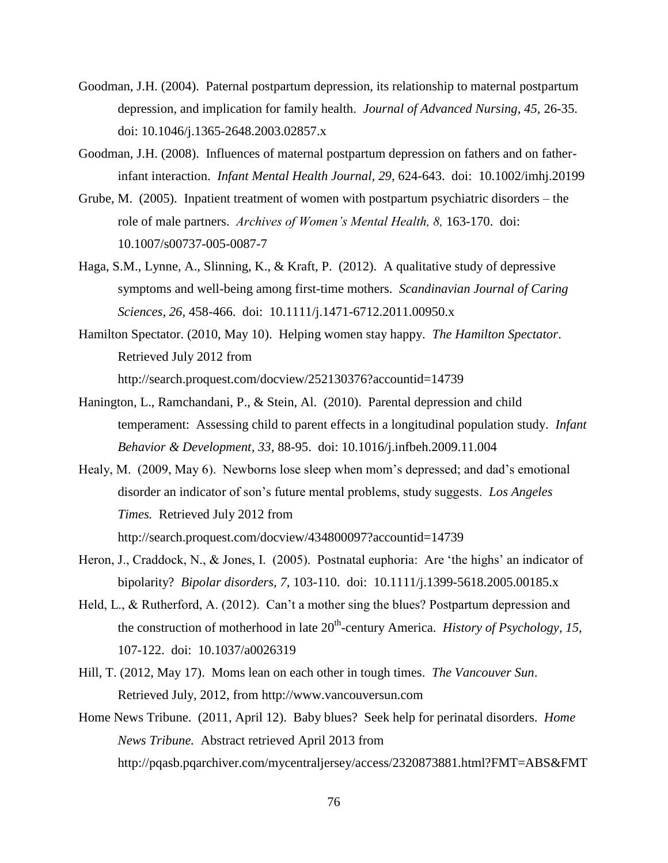- Goodman, J.H. (2004). Paternal postpartum depression, its relationship to maternal postpartum depression, and implication for family health. *Journal of Advanced Nursing, 45,* 26-35. doi: 10.1046/j.1365-2648.2003.02857.x
- Goodman, J.H. (2008). Influences of maternal postpartum depression on fathers and on fatherinfant interaction. *Infant Mental Health Journal, 29,* 624-643. doi: 10.1002/imhj.20199
- Grube, M. (2005). Inpatient treatment of women with postpartum psychiatric disorders the role of male partners. *Archives of Women's Mental Health, 8,* 163-170. doi: 10.1007/s00737-005-0087-7
- Haga, S.M., Lynne, A., Slinning, K., & Kraft, P. (2012). A qualitative study of depressive symptoms and well-being among first-time mothers. *Scandinavian Journal of Caring Sciences, 26,* 458-466. doi: 10.1111/j.1471-6712.2011.00950.x
- Hamilton Spectator. (2010, May 10). Helping women stay happy. *The Hamilton Spectator*. Retrieved July 2012 from http://search.proquest.com/docview/252130376?accountid=14739
- Hanington, L., Ramchandani, P., & Stein, Al. (2010). Parental depression and child temperament: Assessing child to parent effects in a longitudinal population study. *Infant Behavior & Development, 33,* 88-95. doi: 10.1016/j.infbeh.2009.11.004
- Healy, M. (2009, May 6). Newborns lose sleep when mom's depressed; and dad's emotional disorder an indicator of son's future mental problems, study suggests. *Los Angeles Times.* Retrieved July 2012 from http://search.proquest.com/docview/434800097?accountid=14739
- Heron, J., Craddock, N., & Jones, I. (2005). Postnatal euphoria: Are 'the highs' an indicator of bipolarity? *Bipolar disorders, 7,* 103-110. doi: 10.1111/j.1399-5618.2005.00185.x
- Held, L., & Rutherford, A. (2012). Can't a mother sing the blues? Postpartum depression and the construction of motherhood in late 20<sup>th</sup>-century America. *History of Psychology, 15,* 107-122. doi: 10.1037/a0026319
- Hill, T. (2012, May 17). Moms lean on each other in tough times. *The Vancouver Sun*. Retrieved July, 2012, from http://www.vancouversun.com
- Home News Tribune. (2011, April 12). Baby blues? Seek help for perinatal disorders. *Home News Tribune.* Abstract retrieved April 2013 from http://pqasb.pqarchiver.com/mycentraljersey/access/2320873881.html?FMT=ABS&FMT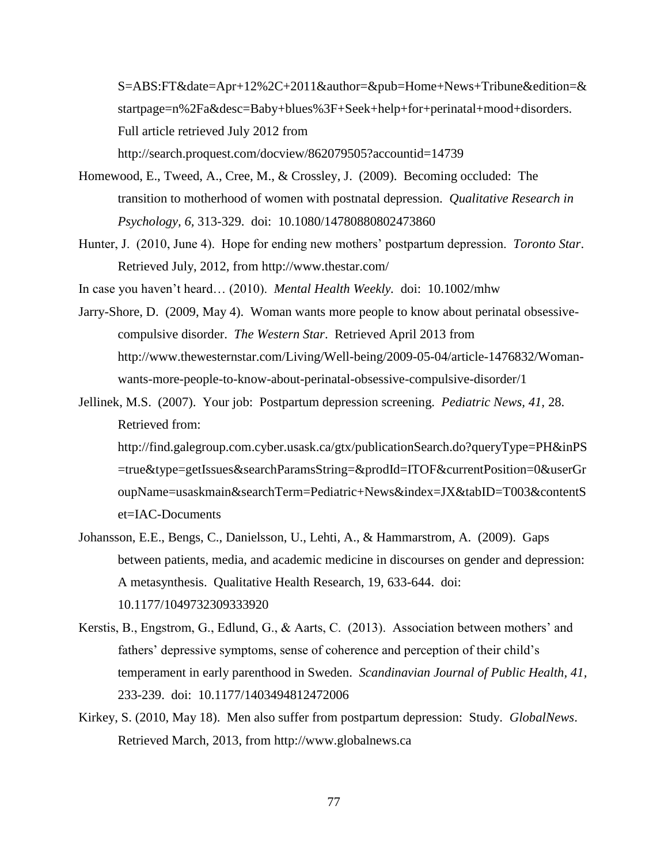S=ABS:FT&date=Apr+12%2C+2011&author=&pub=Home+News+Tribune&edition=& startpage=n%2Fa&desc=Baby+blues%3F+Seek+help+for+perinatal+mood+disorders. Full article retrieved July 2012 from http://search.proquest.com/docview/862079505?accountid=14739

- Homewood, E., Tweed, A., Cree, M., & Crossley, J. (2009). Becoming occluded: The transition to motherhood of women with postnatal depression. *Qualitative Research in Psychology, 6,* 313-329. doi: 10.1080/14780880802473860
- Hunter, J. (2010, June 4). Hope for ending new mothers' postpartum depression. *Toronto Star*. Retrieved July, 2012, from http://www.thestar.com/

In case you haven't heard… (2010). *Mental Health Weekly.* doi: 10.1002/mhw

- Jarry-Shore, D. (2009, May 4). Woman wants more people to know about perinatal obsessivecompulsive disorder. *The Western Star*. Retrieved April 2013 from http://www.thewesternstar.com/Living/Well-being/2009-05-04/article-1476832/Womanwants-more-people-to-know-about-perinatal-obsessive-compulsive-disorder/1
- Jellinek, M.S. (2007). Your job: Postpartum depression screening. *Pediatric News, 41,* 28. Retrieved from:

http://find.galegroup.com.cyber.usask.ca/gtx/publicationSearch.do?queryType=PH&inPS =true&type=getIssues&searchParamsString=&prodId=ITOF&currentPosition=0&userGr oupName=usaskmain&searchTerm=Pediatric+News&index=JX&tabID=T003&contentS et=IAC-Documents

- Johansson, E.E., Bengs, C., Danielsson, U., Lehti, A., & Hammarstrom, A. (2009). Gaps between patients, media, and academic medicine in discourses on gender and depression: A metasynthesis. Qualitative Health Research, 19, 633-644. doi: 10.1177/1049732309333920
- Kerstis, B., Engstrom, G., Edlund, G., & Aarts, C. (2013). Association between mothers' and fathers' depressive symptoms, sense of coherence and perception of their child's temperament in early parenthood in Sweden. *Scandinavian Journal of Public Health, 41,*  233-239. doi: 10.1177/1403494812472006
- Kirkey, S. (2010, May 18). Men also suffer from postpartum depression: Study. *GlobalNews*. Retrieved March, 2013, from http://www.globalnews.ca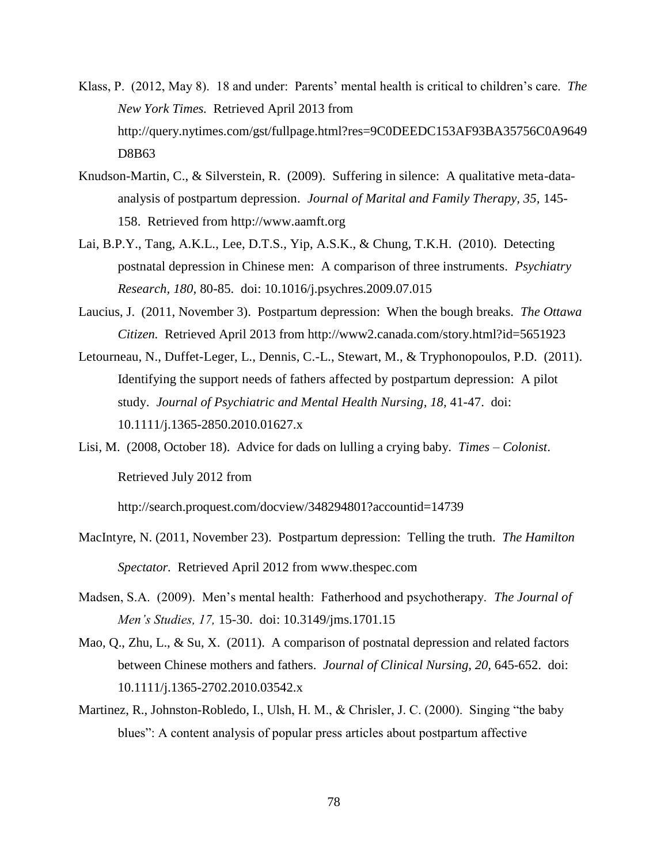- Klass, P. (2012, May 8). 18 and under: Parents' mental health is critical to children's care. *The New York Times.* Retrieved April 2013 from http://query.nytimes.com/gst/fullpage.html?res=9C0DEEDC153AF93BA35756C0A9649 D8B63
- Knudson-Martin, C., & Silverstein, R. (2009). Suffering in silence: A qualitative meta-dataanalysis of postpartum depression. *Journal of Marital and Family Therapy, 35,* 145- 158. Retrieved from http://www.aamft.org
- Lai, B.P.Y., Tang, A.K.L., Lee, D.T.S., Yip, A.S.K., & Chung, T.K.H. (2010). Detecting postnatal depression in Chinese men: A comparison of three instruments. *Psychiatry Research, 180,* 80-85. doi: 10.1016/j.psychres.2009.07.015
- Laucius, J. (2011, November 3). Postpartum depression: When the bough breaks. *The Ottawa Citizen.* Retrieved April 2013 from http://www2.canada.com/story.html?id=5651923
- Letourneau, N., Duffet-Leger, L., Dennis, C.-L., Stewart, M., & Tryphonopoulos, P.D. (2011). Identifying the support needs of fathers affected by postpartum depression: A pilot study. *Journal of Psychiatric and Mental Health Nursing, 18, 41-47. doi:* 10.1111/j.1365-2850.2010.01627.x
- Lisi, M. (2008, October 18). Advice for dads on lulling a crying baby. *Times – Colonist*. Retrieved July 2012 from

http://search.proquest.com/docview/348294801?accountid=14739

- MacIntyre, N. (2011, November 23). Postpartum depression: Telling the truth. *The Hamilton Spectator.* Retrieved April 2012 from www.thespec.com
- Madsen, S.A. (2009). Men's mental health: Fatherhood and psychotherapy. *The Journal of Men's Studies, 17,* 15-30. doi: 10.3149/jms.1701.15
- Mao, Q., Zhu, L., & Su, X. (2011). A comparison of postnatal depression and related factors between Chinese mothers and fathers. *Journal of Clinical Nursing, 20,* 645-652. doi: 10.1111/j.1365-2702.2010.03542.x
- Martinez, R., Johnston-Robledo, I., Ulsh, H. M., & Chrisler, J. C. (2000). Singing "the baby blues": A content analysis of popular press articles about postpartum affective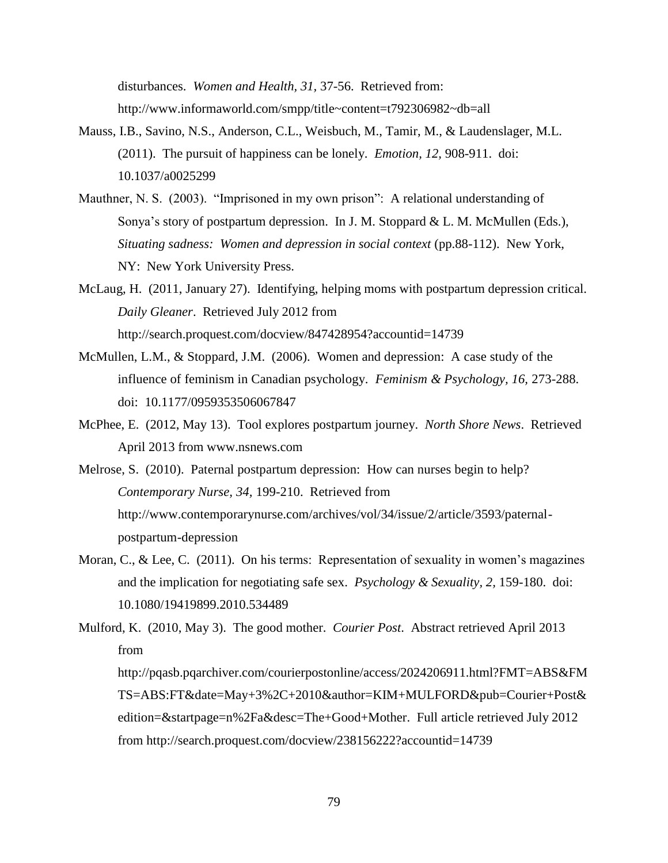disturbances. *Women and Health, 31,* 37-56. Retrieved from: http://www.informaworld.com/smpp/title~content=t792306982~db=all

- Mauss, I.B., Savino, N.S., Anderson, C.L., Weisbuch, M., Tamir, M., & Laudenslager, M.L. (2011). The pursuit of happiness can be lonely. *Emotion, 12,* 908-911. doi: 10.1037/a0025299
- Mauthner, N. S. (2003). "Imprisoned in my own prison": A relational understanding of Sonya's story of postpartum depression. In J. M. Stoppard & L. M. McMullen (Eds.), *Situating sadness: Women and depression in social context* (pp.88-112). New York, NY: New York University Press.
- McLaug, H. (2011, January 27). Identifying, helping moms with postpartum depression critical. *Daily Gleaner*. Retrieved July 2012 from http://search.proquest.com/docview/847428954?accountid=14739
- McMullen, L.M., & Stoppard, J.M. (2006). Women and depression: A case study of the influence of feminism in Canadian psychology. *Feminism & Psychology, 16,* 273-288. doi: 10.1177/0959353506067847
- McPhee, E. (2012, May 13). Tool explores postpartum journey. *North Shore News*. Retrieved April 2013 from www.nsnews.com
- Melrose, S. (2010). Paternal postpartum depression: How can nurses begin to help? *Contemporary Nurse, 34,* 199-210. Retrieved from http://www.contemporarynurse.com/archives/vol/34/issue/2/article/3593/paternalpostpartum-depression
- Moran, C., & Lee, C. (2011). On his terms: Representation of sexuality in women's magazines and the implication for negotiating safe sex. *Psychology & Sexuality, 2,* 159-180. doi: 10.1080/19419899.2010.534489

Mulford, K. (2010, May 3). The good mother. *Courier Post*. Abstract retrieved April 2013 from http://pqasb.pqarchiver.com/courierpostonline/access/2024206911.html?FMT=ABS&FM TS=ABS:FT&date=May+3%2C+2010&author=KIM+MULFORD&pub=Courier+Post& edition=&startpage=n%2Fa&desc=The+Good+Mother. Full article retrieved July 2012 from http://search.proquest.com/docview/238156222?accountid=14739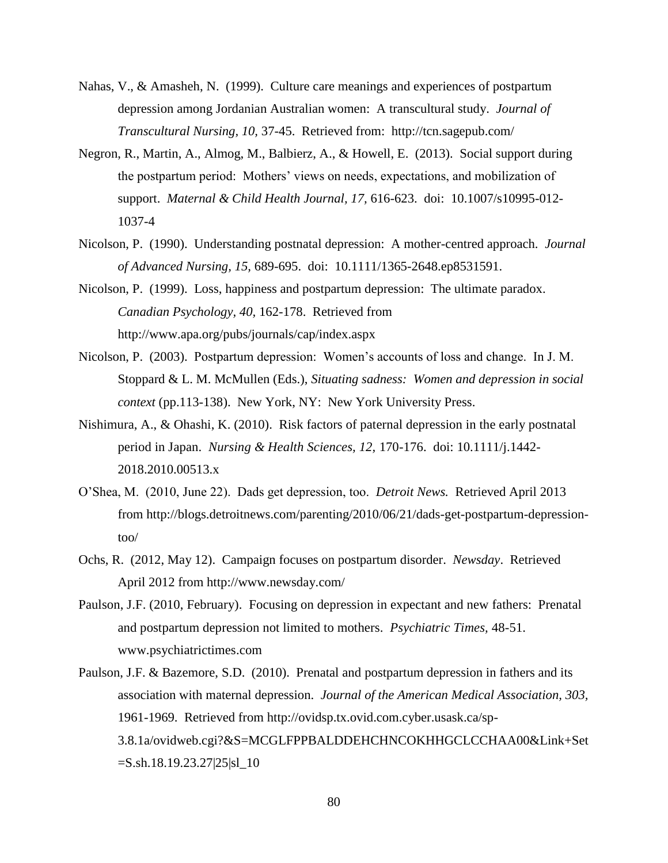- Nahas, V., & Amasheh, N. (1999). Culture care meanings and experiences of postpartum depression among Jordanian Australian women: A transcultural study. *Journal of Transcultural Nursing, 10,* 37-45. Retrieved from: http://tcn.sagepub.com/
- Negron, R., Martin, A., Almog, M., Balbierz, A., & Howell, E. (2013). Social support during the postpartum period: Mothers' views on needs, expectations, and mobilization of support. *Maternal & Child Health Journal, 17,* 616-623. doi: 10.1007/s10995-012- 1037-4
- Nicolson, P. (1990). Understanding postnatal depression: A mother-centred approach. *Journal of Advanced Nursing, 15,* 689-695. doi: 10.1111/1365-2648.ep8531591.
- Nicolson, P. (1999). Loss, happiness and postpartum depression: The ultimate paradox. *Canadian Psychology, 40,* 162-178. Retrieved from http://www.apa.org/pubs/journals/cap/index.aspx
- Nicolson, P. (2003). Postpartum depression: Women's accounts of loss and change. In J. M. Stoppard & L. M. McMullen (Eds.), *Situating sadness: Women and depression in social context* (pp.113-138). New York, NY: New York University Press.
- Nishimura, A., & Ohashi, K. (2010). Risk factors of paternal depression in the early postnatal period in Japan. *Nursing & Health Sciences, 12,* 170-176. doi: 10.1111/j.1442- 2018.2010.00513.x
- O'Shea, M. (2010, June 22). Dads get depression, too. *Detroit News.* Retrieved April 2013 from http://blogs.detroitnews.com/parenting/2010/06/21/dads-get-postpartum-depressiontoo/
- Ochs, R. (2012, May 12). Campaign focuses on postpartum disorder. *Newsday*. Retrieved April 2012 from http://www.newsday.com/
- Paulson, J.F. (2010, February). Focusing on depression in expectant and new fathers: Prenatal and postpartum depression not limited to mothers. *Psychiatric Times,* 48-51. www.psychiatrictimes.com
- Paulson, J.F. & Bazemore, S.D. (2010). Prenatal and postpartum depression in fathers and its association with maternal depression. *Journal of the American Medical Association, 303,* 1961-1969. Retrieved from http://ovidsp.tx.ovid.com.cyber.usask.ca/sp-3.8.1a/ovidweb.cgi?&S=MCGLFPPBALDDEHCHNCOKHHGCLCCHAA00&Link+Set  $=$ S.sh.18.19.23.27|25|sl\_10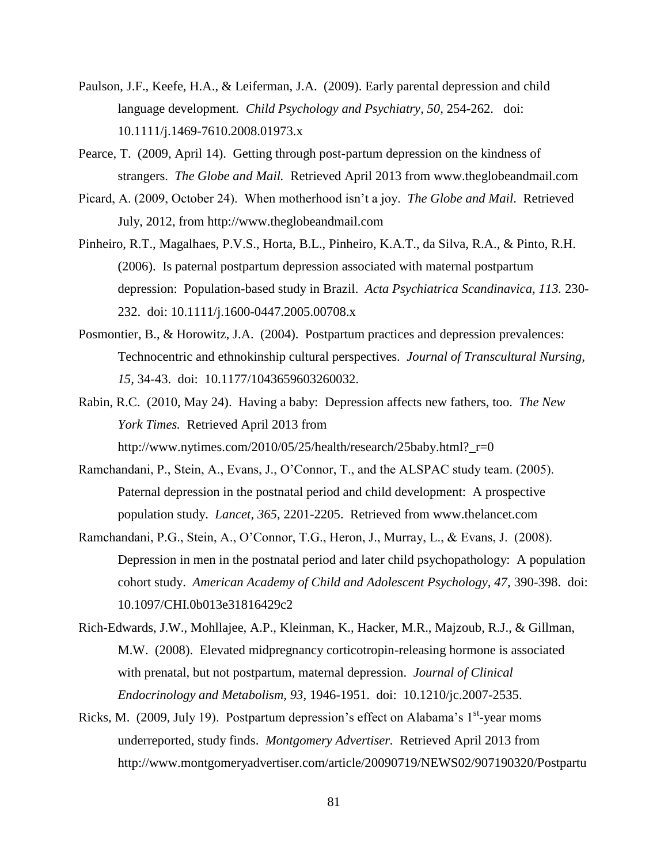- Paulson, J.F., Keefe, H.A., & Leiferman, J.A. (2009). Early parental depression and child language development. *Child Psychology and Psychiatry, 50,* 254-262. doi: 10.1111/j.1469-7610.2008.01973.x
- Pearce, T. (2009, April 14). Getting through post-partum depression on the kindness of strangers. *The Globe and Mail.* Retrieved April 2013 from www.theglobeandmail.com
- Picard, A. (2009, October 24). When motherhood isn't a joy. *The Globe and Mail*. Retrieved July, 2012, from http://www.theglobeandmail.com
- Pinheiro, R.T., Magalhaes, P.V.S., Horta, B.L., Pinheiro, K.A.T., da Silva, R.A., & Pinto, R.H. (2006). Is paternal postpartum depression associated with maternal postpartum depression: Population-based study in Brazil. *Acta Psychiatrica Scandinavica, 113.* 230- 232. doi: 10.1111/j.1600-0447.2005.00708.x
- Posmontier, B., & Horowitz, J.A. (2004). Postpartum practices and depression prevalences: Technocentric and ethnokinship cultural perspectives. *Journal of Transcultural Nursing, 15,* 34-43. doi: 10.1177/1043659603260032.
- Rabin, R.C. (2010, May 24). Having a baby: Depression affects new fathers, too. *The New York Times.* Retrieved April 2013 from http://www.nytimes.com/2010/05/25/health/research/25baby.html?\_r=0
- Ramchandani, P., Stein, A., Evans, J., O'Connor, T., and the ALSPAC study team. (2005). Paternal depression in the postnatal period and child development: A prospective population study. *Lancet, 365,* 2201-2205. Retrieved from www.thelancet.com
- Ramchandani, P.G., Stein, A., O'Connor, T.G., Heron, J., Murray, L., & Evans, J. (2008). Depression in men in the postnatal period and later child psychopathology: A population cohort study. American Academy of Child and Adolescent Psychology, 47, 390-398. doi: 10.1097/CHI.0b013e31816429c2
- Rich-Edwards, J.W., Mohllajee, A.P., Kleinman, K., Hacker, M.R., Majzoub, R.J., & Gillman, M.W. (2008). Elevated midpregnancy corticotropin-releasing hormone is associated with prenatal, but not postpartum, maternal depression. *Journal of Clinical Endocrinology and Metabolism, 93,* 1946-1951. doi: 10.1210/jc.2007-2535.
- Ricks, M. (2009, July 19). Postpartum depression's effect on Alabama's  $1<sup>st</sup>$ -year moms underreported, study finds. *Montgomery Advertiser.* Retrieved April 2013 from http://www.montgomeryadvertiser.com/article/20090719/NEWS02/907190320/Postpartu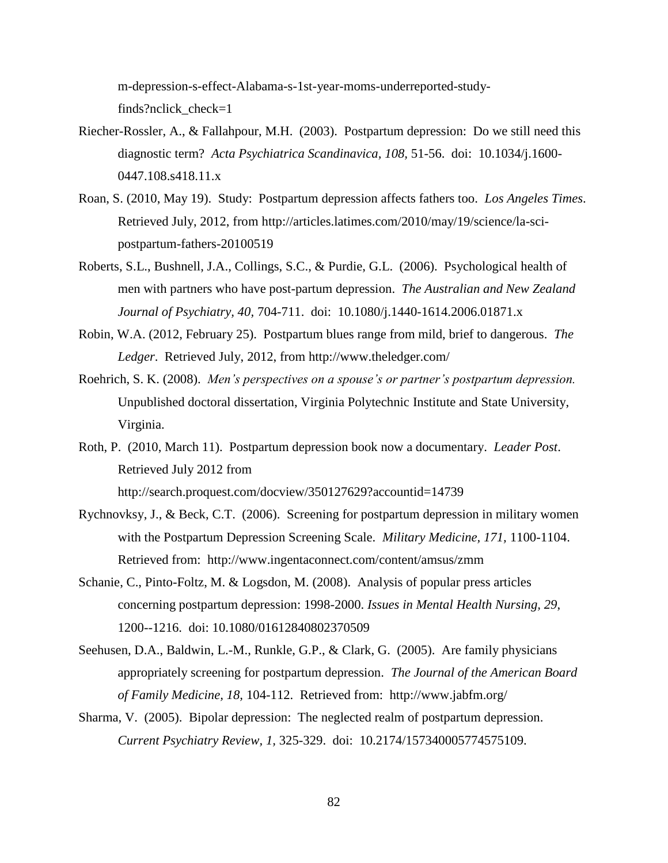m-depression-s-effect-Alabama-s-1st-year-moms-underreported-studyfinds?nclick check=1

- Riecher-Rossler, A., & Fallahpour, M.H. (2003). Postpartum depression: Do we still need this diagnostic term? *Acta Psychiatrica Scandinavica, 108,* 51-56. doi: 10.1034/j.1600- 0447.108.s418.11.x
- Roan, S. (2010, May 19). Study: Postpartum depression affects fathers too. *Los Angeles Times*. Retrieved July, 2012, from http://articles.latimes.com/2010/may/19/science/la-scipostpartum-fathers-20100519
- Roberts, S.L., Bushnell, J.A., Collings, S.C., & Purdie, G.L. (2006). Psychological health of men with partners who have post-partum depression. *The Australian and New Zealand Journal of Psychiatry, 40,* 704-711. doi: 10.1080/j.1440-1614.2006.01871.x
- Robin, W.A. (2012, February 25). Postpartum blues range from mild, brief to dangerous. *The Ledger*. Retrieved July, 2012, from http://www.theledger.com/
- Roehrich, S. K. (2008). *Men's perspectives on a spouse's or partner's postpartum depression.* Unpublished doctoral dissertation, Virginia Polytechnic Institute and State University, Virginia.
- Roth, P. (2010, March 11). Postpartum depression book now a documentary. *Leader Post*. Retrieved July 2012 from http://search.proquest.com/docview/350127629?accountid=14739
- Rychnovksy, J., & Beck, C.T. (2006). Screening for postpartum depression in military women with the Postpartum Depression Screening Scale. *Military Medicine, 171,* 1100-1104. Retrieved from: http://www.ingentaconnect.com/content/amsus/zmm
- Schanie, C., Pinto-Foltz, M. & Logsdon, M. (2008). Analysis of popular press articles concerning postpartum depression: 1998-2000. *Issues in Mental Health Nursing, 29*, 1200--1216. doi: 10.1080/01612840802370509
- Seehusen, D.A., Baldwin, L.-M., Runkle, G.P., & Clark, G. (2005). Are family physicians appropriately screening for postpartum depression. *The Journal of the American Board of Family Medicine, 18,* 104-112. Retrieved from: http://www.jabfm.org/
- Sharma, V. (2005). Bipolar depression: The neglected realm of postpartum depression. *Current Psychiatry Review, 1,* 325-329. doi: 10.2174/157340005774575109.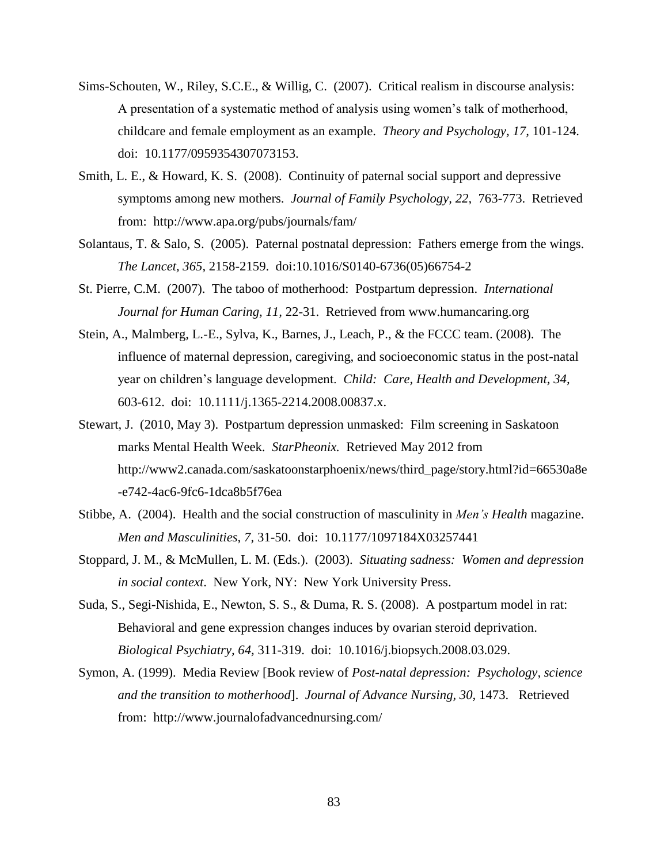- Sims-Schouten, W., Riley, S.C.E., & Willig, C. (2007). Critical realism in discourse analysis: A presentation of a systematic method of analysis using women's talk of motherhood, childcare and female employment as an example. *Theory and Psychology, 17,* 101-124. doi: 10.1177/0959354307073153.
- Smith, L. E., & Howard, K. S. (2008). Continuity of paternal social support and depressive symptoms among new mothers. *Journal of Family Psychology, 22,* 763-773. Retrieved from: http://www.apa.org/pubs/journals/fam/
- Solantaus, T. & Salo, S. (2005). Paternal postnatal depression: Fathers emerge from the wings. *The Lancet, 365,* 2158-2159. doi:10.1016/S0140-6736(05)66754-[2](http://www.thelancet.com/popup?fileName=cite-using-doi)
- St. Pierre, C.M. (2007). The taboo of motherhood: Postpartum depression. *International Journal for Human Caring, 11,* 22-31. Retrieved from www.humancaring.org
- Stein, A., Malmberg, L.-E., Sylva, K., Barnes, J., Leach, P., & the FCCC team. (2008). The influence of maternal depression, caregiving, and socioeconomic status in the post-natal year on children's language development. *Child: Care, Health and Development, 34,*  603-612. doi: 10.1111/j.1365-2214.2008.00837.x.
- Stewart, J. (2010, May 3). Postpartum depression unmasked: Film screening in Saskatoon marks Mental Health Week. *StarPheonix.* Retrieved May 2012 from http://www2.canada.com/saskatoonstarphoenix/news/third\_page/story.html?id=66530a8e -e742-4ac6-9fc6-1dca8b5f76ea
- Stibbe, A. (2004). Health and the social construction of masculinity in *Men's Health* magazine. *Men and Masculinities, 7,* 31-50. doi: 10.1177/1097184X03257441
- Stoppard, J. M., & McMullen, L. M. (Eds.). (2003). *Situating sadness: Women and depression in social context*. New York, NY: New York University Press.
- Suda, S., Segi-Nishida, E., Newton, S. S., & Duma, R. S. (2008). A postpartum model in rat: Behavioral and gene expression changes induces by ovarian steroid deprivation. *Biological Psychiatry, 64,* 311-319. doi: 10.1016/j.biopsych.2008.03.029.
- Symon, A. (1999). Media Review [Book review of *Post-natal depression: Psychology, science and the transition to motherhood*]. *Journal of Advance Nursing, 30,* 1473. Retrieved from: http://www.journalofadvancednursing.com/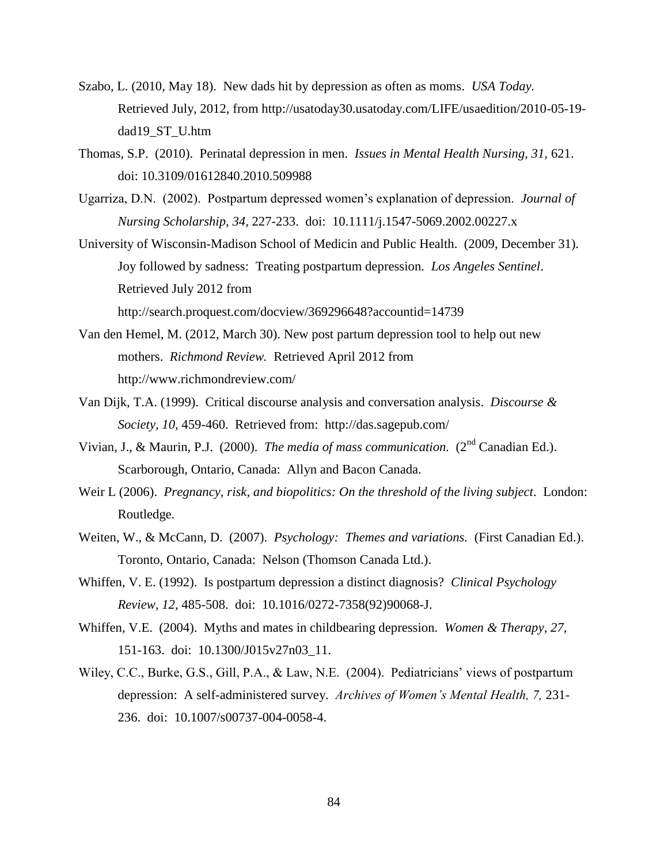- Szabo, L. (2010, May 18). New dads hit by depression as often as moms. *USA Today.* Retrieved July, 2012, from http://usatoday30.usatoday.com/LIFE/usaedition/2010-05-19 dad19\_ST\_U.htm
- Thomas, S.P. (2010). Perinatal depression in men. *Issues in Mental Health Nursing, 31,* 621. doi: 10.3109/01612840.2010.509988
- Ugarriza, D.N. (2002). Postpartum depressed women's explanation of depression. *Journal of Nursing Scholarship, 34,* 227-233. doi: 10.1111/j.1547-5069.2002.00227.x
- University of Wisconsin-Madison School of Medicin and Public Health. (2009, December 31). Joy followed by sadness: Treating postpartum depression. *Los Angeles Sentinel*. Retrieved July 2012 from http://search.proquest.com/docview/369296648?accountid=14739
- Van den Hemel, M. (2012, March 30). New post partum depression tool to help out new mothers. *Richmond Review.* Retrieved April 2012 from http://www.richmondreview.com/
- Van Dijk, T.A. (1999). Critical discourse analysis and conversation analysis. *Discourse & Society, 10,* 459-460. Retrieved from: http://das.sagepub.com/
- Vivian, J., & Maurin, P.J. (2000). *The media of mass communication.* (2nd Canadian Ed.). Scarborough, Ontario, Canada: Allyn and Bacon Canada.
- Weir L (2006). *Pregnancy, risk, and biopolitics: On the threshold of the living subject*. London: Routledge.
- Weiten, W., & McCann, D. (2007). *Psychology: Themes and variations.* (First Canadian Ed.). Toronto, Ontario, Canada: Nelson (Thomson Canada Ltd.).
- Whiffen, V. E. (1992). Is postpartum depression a distinct diagnosis? *Clinical Psychology Review, 12,* 485-508. doi: 10.1016/0272-7358(92)90068-J.
- Whiffen, V.E. (2004). Myths and mates in childbearing depression. *Women & Therapy, 27,*  151-163. doi: 10.1300/J015v27n03\_11.
- Wiley, C.C., Burke, G.S., Gill, P.A., & Law, N.E. (2004). Pediatricians' views of postpartum depression: A self-administered survey. *Archives of Women's Mental Health, 7,* 231- 236. doi: 10.1007/s00737-004-0058-4.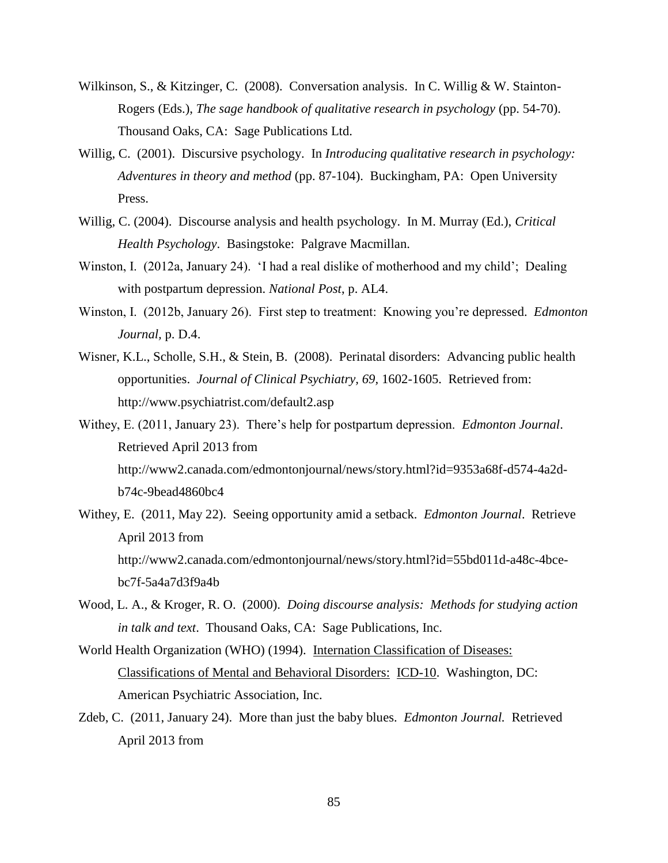- Wilkinson, S., & Kitzinger, C. (2008). Conversation analysis. In C. Willig & W. Stainton-Rogers (Eds.), *The sage handbook of qualitative research in psychology* (pp. 54-70). Thousand Oaks, CA: Sage Publications Ltd.
- Willig, C. (2001). Discursive psychology. In *Introducing qualitative research in psychology: Adventures in theory and method* (pp. 87-104). Buckingham, PA: Open University Press.
- Willig, C. (2004). Discourse analysis and health psychology. In M. Murray (Ed.), *Critical Health Psychology*. Basingstoke: Palgrave Macmillan.
- Winston, I. (2012a, January 24). 'I had a real dislike of motherhood and my child'; Dealing with postpartum depression. *National Post*, p. AL4.
- Winston, I. (2012b, January 26). First step to treatment: Knowing you're depressed. *Edmonton Journal,* p. D.4.
- Wisner, K.L., Scholle, S.H., & Stein, B. (2008). Perinatal disorders: Advancing public health opportunities. *Journal of Clinical Psychiatry, 69,* 1602-1605. Retrieved from: http://www.psychiatrist.com/default2.asp
- Withey, E. (2011, January 23). There's help for postpartum depression. *Edmonton Journal*. Retrieved April 2013 from http://www2.canada.com/edmontonjournal/news/story.html?id=9353a68f-d574-4a2db74c-9bead4860bc4
- Withey, E. (2011, May 22). Seeing opportunity amid a setback. *Edmonton Journal*. Retrieve April 2013 from http://www2.canada.com/edmontonjournal/news/story.html?id=55bd011d-a48c-4bcebc7f-5a4a7d3f9a4b
- Wood, L. A., & Kroger, R. O. (2000). *Doing discourse analysis: Methods for studying action in talk and text*. Thousand Oaks, CA: Sage Publications, Inc.
- World Health Organization (WHO) (1994). Internation Classification of Diseases: Classifications of Mental and Behavioral Disorders: ICD-10. Washington, DC: American Psychiatric Association, Inc.
- Zdeb, C. (2011, January 24). More than just the baby blues. *Edmonton Journal.* Retrieved April 2013 from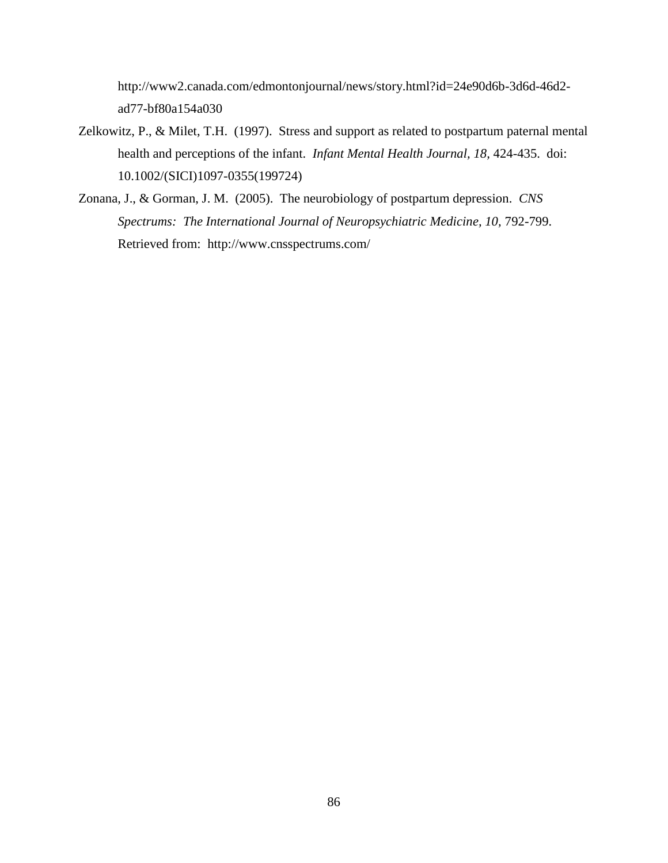http://www2.canada.com/edmontonjournal/news/story.html?id=24e90d6b-3d6d-46d2 ad77-bf80a154a030

- Zelkowitz, P., & Milet, T.H. (1997). Stress and support as related to postpartum paternal mental health and perceptions of the infant. *Infant Mental Health Journal, 18,* 424-435. doi: 10.1002/(SICI)1097-0355(199724)
- Zonana, J., & Gorman, J. M. (2005). The neurobiology of postpartum depression. *CNS*  Spectrums: The International Journal of Neuropsychiatric Medicine, 10, 792-799. Retrieved from: http://www.cnsspectrums.com/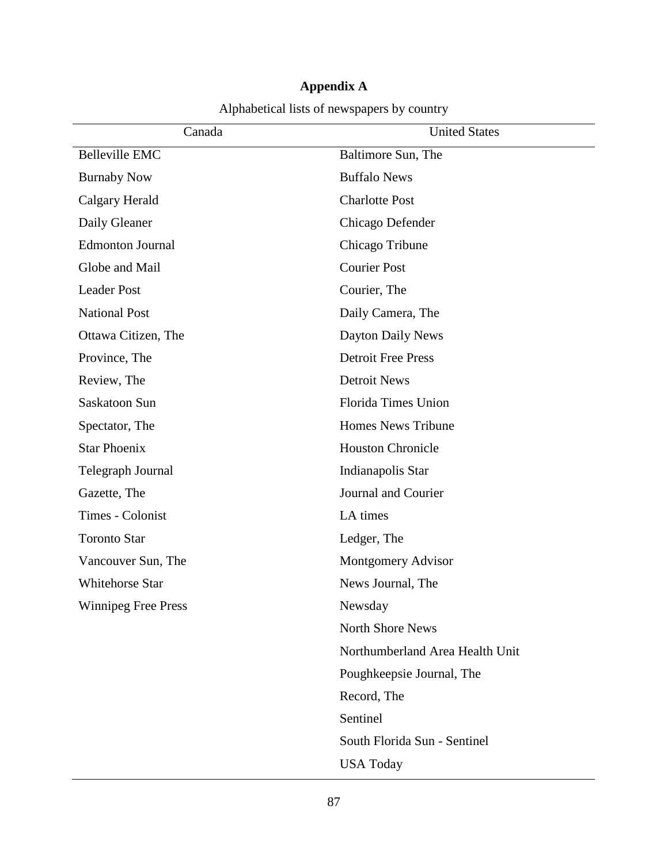| Canada                     | <b>United States</b>            |
|----------------------------|---------------------------------|
| <b>Belleville EMC</b>      | Baltimore Sun, The              |
| <b>Burnaby Now</b>         | <b>Buffalo News</b>             |
| Calgary Herald             | <b>Charlotte Post</b>           |
| Daily Gleaner              | Chicago Defender                |
| <b>Edmonton Journal</b>    | Chicago Tribune                 |
| Globe and Mail             | <b>Courier Post</b>             |
| <b>Leader Post</b>         | Courier, The                    |
| <b>National Post</b>       | Daily Camera, The               |
| Ottawa Citizen, The        | Dayton Daily News               |
| Province, The              | <b>Detroit Free Press</b>       |
| Review, The                | <b>Detroit News</b>             |
| Saskatoon Sun              | <b>Florida Times Union</b>      |
| Spectator, The             | Homes News Tribune              |
| <b>Star Phoenix</b>        | <b>Houston Chronicle</b>        |
| Telegraph Journal          | Indianapolis Star               |
| Gazette, The               | Journal and Courier             |
| Times - Colonist           | LA times                        |
| <b>Toronto Star</b>        | Ledger, The                     |
| Vancouver Sun, The         | Montgomery Advisor              |
| <b>Whitehorse Star</b>     | News Journal, The               |
| <b>Winnipeg Free Press</b> | Newsday                         |
|                            | <b>North Shore News</b>         |
|                            | Northumberland Area Health Unit |
|                            | Poughkeepsie Journal, The       |
|                            | Record, The                     |
|                            | Sentinel                        |
|                            | South Florida Sun - Sentinel    |
|                            | <b>USA Today</b>                |

## **Appendix A** Alphabetical lists of newspapers by country